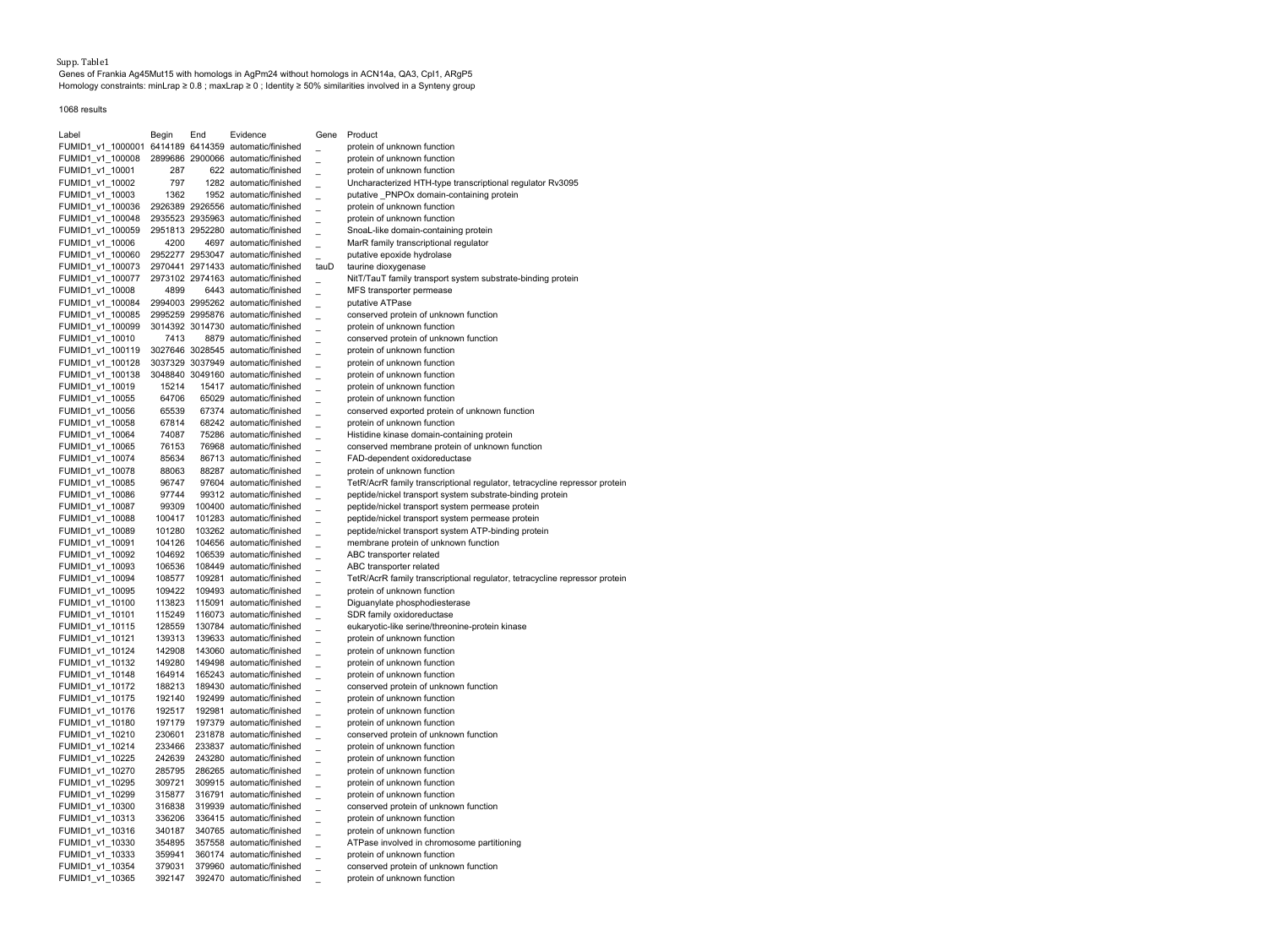Supp. Table1 Genes of Frankia Ag45Mut15 with homologs in AgPm24 without homologs in ACN14a, QA3, CpI1, ARgP5 Homology constraints: minLrap ≥ 0.8 ; maxLrap ≥ 0 ; Identity ≥ 50% similarities involved in a Synteny group

1068 results

| Label                                | Begin            | End  | Evidence                                                      | Gene | Product                                                                    |
|--------------------------------------|------------------|------|---------------------------------------------------------------|------|----------------------------------------------------------------------------|
| FUMID1 v1 1000001                    |                  |      | 6414189 6414359 automatic/finished                            |      | protein of unknown function                                                |
| FUMID1_v1_100008                     |                  |      | 2899686 2900066 automatic/finished                            |      | protein of unknown function                                                |
| FUMID1 v1 10001                      | 287              |      | 622 automatic/finished                                        |      | protein of unknown function                                                |
| FUMID1 v1 10002                      | 797              |      | 1282 automatic/finished                                       |      | Uncharacterized HTH-type transcriptional regulator Rv3095                  |
| FUMID1_v1_10003                      | 1362             |      | 1952 automatic/finished                                       |      | putative PNPOx domain-containing protein                                   |
| FUMID1_v1_100036                     |                  |      | 2926389 2926556 automatic/finished                            |      | protein of unknown function                                                |
| FUMID1 v1 100048                     |                  |      | 2935523 2935963 automatic/finished                            |      | protein of unknown function                                                |
| FUMID1 v1 100059                     |                  |      | 2951813 2952280 automatic/finished                            |      | SnoaL-like domain-containing protein                                       |
| FUMID1_v1_10006                      | 4200             | 4697 | automatic/finished                                            |      | MarR family transcriptional regulator                                      |
| FUMID1_v1_100060                     |                  |      | 2952277 2953047 automatic/finished                            |      | putative epoxide hydrolase                                                 |
| FUMID1 v1 100073                     |                  |      | 2970441 2971433 automatic/finished                            | tauD | taurine dioxygenase                                                        |
| FUMID1 v1 100077                     |                  |      | 2973102 2974163 automatic/finished                            |      | NitT/TauT family transport system substrate-binding protein                |
| FUMID1 v1 10008                      | 4899             |      | 6443 automatic/finished                                       |      | MFS transporter permease                                                   |
| FUMID1_v1_100084                     |                  |      | 2994003 2995262 automatic/finished                            |      | putative ATPase                                                            |
| FUMID1 v1 100085                     |                  |      | 2995259 2995876 automatic/finished                            |      | conserved protein of unknown function                                      |
| FUMID1 v1 100099                     |                  |      | 3014392 3014730 automatic/finished                            |      | protein of unknown function                                                |
| FUMID1 v1 10010                      | 7413             |      | 8879 automatic/finished<br>3027646 3028545 automatic/finished |      | conserved protein of unknown function<br>protein of unknown function       |
| FUMID1_v1_100119<br>FUMID1 v1 100128 |                  |      | 3037329 3037949 automatic/finished                            |      | protein of unknown function                                                |
| FUMID1 v1 100138                     |                  |      | 3048840 3049160 automatic/finished                            |      | protein of unknown function                                                |
| FUMID1_v1_10019                      | 15214            |      | 15417 automatic/finished                                      |      | protein of unknown function                                                |
| FUMID1_v1_10055                      | 64706            |      | 65029 automatic/finished                                      |      | protein of unknown function                                                |
| FUMID1_v1_10056                      | 65539            |      | 67374 automatic/finished                                      |      | conserved exported protein of unknown function                             |
| FUMID1_v1_10058                      | 67814            |      | 68242 automatic/finished                                      |      | protein of unknown function                                                |
| FUMID1_v1_10064                      | 74087            |      | 75286 automatic/finished                                      |      | Histidine kinase domain-containing protein                                 |
| FUMID1_v1_10065                      | 76153            |      | 76968 automatic/finished                                      |      | conserved membrane protein of unknown function                             |
| FUMID1_v1_10074                      | 85634            |      | 86713 automatic/finished                                      |      | FAD-dependent oxidoreductase                                               |
| FUMID1_v1_10078                      | 88063            |      | 88287 automatic/finished                                      |      | protein of unknown function                                                |
| FUMID1_v1_10085                      | 96747            |      | 97604 automatic/finished                                      |      | TetR/AcrR family transcriptional regulator, tetracycline repressor protein |
| FUMID1 v1 10086                      | 97744            |      | 99312 automatic/finished                                      |      | peptide/nickel transport system substrate-binding protein                  |
| FUMID1_v1_10087                      | 99309            |      | 100400 automatic/finished                                     |      | peptide/nickel transport system permease protein                           |
| FUMID1_v1_10088                      | 100417           |      | 101283 automatic/finished                                     |      | peptide/nickel transport system permease protein                           |
| FUMID1 v1 10089                      | 101280           |      | 103262 automatic/finished                                     |      | peptide/nickel transport system ATP-binding protein                        |
| FUMID1 v1 10091                      | 104126           |      | 104656 automatic/finished                                     |      | membrane protein of unknown function                                       |
| FUMID1_v1_10092                      | 104692           |      | 106539 automatic/finished                                     |      | ABC transporter related                                                    |
| FUMID1_v1_10093                      | 106536           |      | 108449 automatic/finished                                     |      | ABC transporter related                                                    |
| FUMID1_v1_10094                      | 108577           |      | 109281 automatic/finished                                     |      | TetR/AcrR family transcriptional regulator, tetracycline repressor protein |
| FUMID1_v1_10095                      | 109422           |      | 109493 automatic/finished                                     |      | protein of unknown function                                                |
| FUMID1_v1_10100                      | 113823           |      | 115091 automatic/finished                                     |      | Diguanylate phosphodiesterase                                              |
| FUMID1_v1_10101                      | 115249           |      | 116073 automatic/finished                                     |      | SDR family oxidoreductase                                                  |
| FUMID1_v1_10115                      | 128559           |      | 130784 automatic/finished                                     |      | eukaryotic-like serine/threonine-protein kinase                            |
| FUMID1_v1_10121                      | 139313           |      | 139633 automatic/finished                                     |      | protein of unknown function                                                |
| FUMID1_v1_10124                      | 142908           |      | 143060 automatic/finished                                     |      | protein of unknown function                                                |
| FUMID1_v1_10132                      | 149280           |      | 149498 automatic/finished                                     |      | protein of unknown function                                                |
| FUMID1_v1_10148                      | 164914           |      | 165243 automatic/finished                                     |      | protein of unknown function                                                |
| FUMID1_v1_10172                      | 188213           |      | 189430 automatic/finished                                     |      | conserved protein of unknown function                                      |
| FUMID1_v1_10175                      | 192140           |      | 192499 automatic/finished                                     |      | protein of unknown function                                                |
| FUMID1_v1_10176                      | 192517           |      | 192981 automatic/finished                                     |      | protein of unknown function                                                |
| FUMID1_v1_10180                      | 197179           |      | 197379 automatic/finished                                     |      | protein of unknown function                                                |
| FUMID1_v1_10210                      | 230601           |      | 231878 automatic/finished                                     |      | conserved protein of unknown function                                      |
| FUMID1_v1_10214                      | 233466           |      | 233837 automatic/finished                                     |      | protein of unknown function                                                |
| FUMID1_v1_10225                      | 242639           |      | 243280 automatic/finished                                     |      | protein of unknown function                                                |
| FUMID1_v1_10270                      | 285795           |      | 286265 automatic/finished                                     |      | protein of unknown function                                                |
| FUMID1_v1_10295                      | 309721<br>315877 |      | 309915 automatic/finished                                     |      | protein of unknown function                                                |
| FUMID1_v1_10299                      | 316838           |      | 316791 automatic/finished<br>319939 automatic/finished        |      | protein of unknown function                                                |
| FUMID1_v1_10300<br>FUMID1_v1_10313   | 336206           |      | 336415 automatic/finished                                     |      | conserved protein of unknown function<br>protein of unknown function       |
| FUMID1_v1_10316                      | 340187           |      | 340765 automatic/finished                                     |      | protein of unknown function                                                |
| FUMID1_v1_10330                      | 354895           |      | 357558 automatic/finished                                     |      | ATPase involved in chromosome partitioning                                 |
| FUMID1 v1 10333                      | 359941           |      | 360174 automatic/finished                                     |      | protein of unknown function                                                |
| FUMID1 v1 10354                      | 379031           |      | 379960 automatic/finished                                     |      | conserved protein of unknown function                                      |
| FUMID1_v1_10365                      | 392147           |      | 392470 automatic/finished                                     |      | protein of unknown function                                                |
|                                      |                  |      |                                                               |      |                                                                            |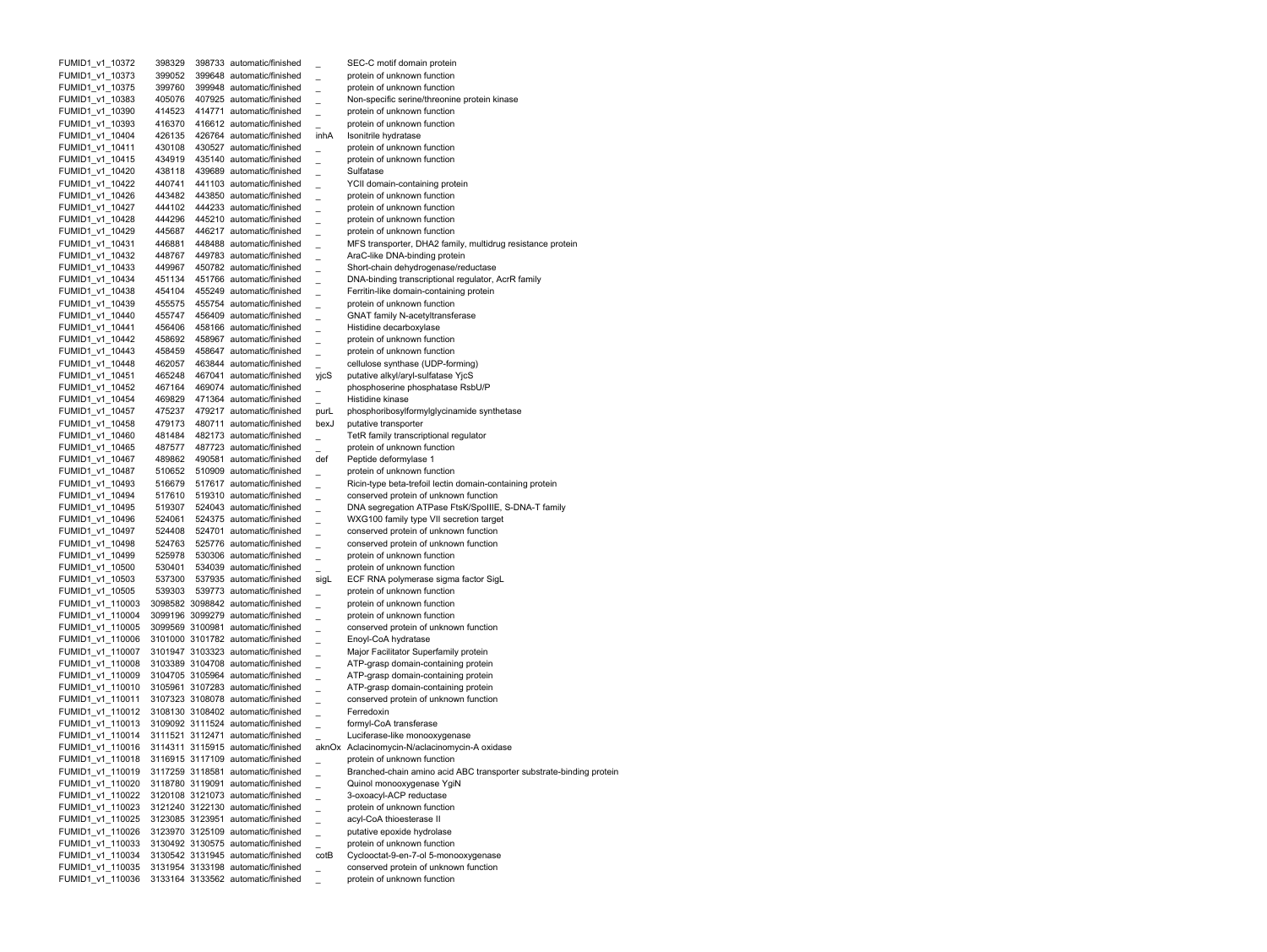| FUMID1_v1_10372  | 398329 | 398733 automatic/finished                                                |      | SEC-C motif domain protein                                          |
|------------------|--------|--------------------------------------------------------------------------|------|---------------------------------------------------------------------|
| FUMID1 v1 10373  | 399052 | 399648 automatic/finished                                                |      | protein of unknown function                                         |
| FUMID1 v1 10375  | 399760 | 399948 automatic/finished                                                |      | protein of unknown function                                         |
| FUMID1 v1 10383  | 405076 | 407925 automatic/finished                                                |      | Non-specific serine/threonine protein kinase                        |
| FUMID1_v1_10390  | 414523 | 414771 automatic/finished                                                |      | protein of unknown function                                         |
| FUMID1 v1 10393  | 416370 | 416612 automatic/finished                                                |      | protein of unknown function                                         |
| FUMID1 v1 10404  | 426135 | 426764 automatic/finished                                                | inhA | Isonitrile hydratase                                                |
| FUMID1_v1_10411  | 430108 | 430527 automatic/finished                                                |      | protein of unknown function                                         |
| FUMID1 v1 10415  | 434919 | 435140 automatic/finished                                                |      | protein of unknown function                                         |
| FUMID1 v1 10420  | 438118 | 439689 automatic/finished                                                |      | Sulfatase                                                           |
| FUMID1 v1 10422  | 440741 | 441103 automatic/finished                                                |      | YCII domain-containing protein                                      |
| FUMID1_v1_10426  | 443482 | 443850 automatic/finished                                                |      | protein of unknown function                                         |
| FUMID1_v1_10427  | 444102 | 444233 automatic/finished                                                |      | protein of unknown function                                         |
| FUMID1 v1 10428  | 444296 | 445210 automatic/finished                                                |      | protein of unknown function                                         |
| FUMID1 v1 10429  | 445687 | 446217 automatic/finished                                                |      | protein of unknown function                                         |
| FUMID1_v1_10431  | 446881 | 448488 automatic/finished                                                |      | MFS transporter, DHA2 family, multidrug resistance protein          |
| FUMID1 v1 10432  | 448767 | 449783 automatic/finished                                                |      | AraC-like DNA-binding protein                                       |
| FUMID1 v1 10433  | 449967 | 450782 automatic/finished                                                |      | Short-chain dehydrogenase/reductase                                 |
| FUMID1 v1 10434  | 451134 | 451766 automatic/finished                                                |      | DNA-binding transcriptional regulator, AcrR family                  |
| FUMID1 v1 10438  | 454104 | 455249 automatic/finished                                                |      | Ferritin-like domain-containing protein                             |
| FUMID1_v1_10439  | 455575 | 455754 automatic/finished                                                |      | protein of unknown function                                         |
| FUMID1 v1 10440  | 455747 | 456409 automatic/finished                                                |      | <b>GNAT family N-acetyltransferase</b>                              |
| FUMID1 v1 10441  | 456406 | 458166 automatic/finished                                                |      |                                                                     |
|                  |        |                                                                          |      | Histidine decarboxylase                                             |
| FUMID1_v1_10442  | 458692 | 458967 automatic/finished                                                |      | protein of unknown function                                         |
| FUMID1 v1 10443  | 458459 | 458647 automatic/finished                                                |      | protein of unknown function                                         |
| FUMID1_v1_10448  | 462057 | 463844 automatic/finished                                                |      | cellulose synthase (UDP-forming)                                    |
| FUMID1_v1_10451  | 465248 | 467041 automatic/finished                                                | yjcS | putative alkyl/aryl-sulfatase YjcS                                  |
| FUMID1_v1_10452  | 467164 | 469074 automatic/finished                                                |      | phosphoserine phosphatase RsbU/P                                    |
| FUMID1_v1_10454  | 469829 | 471364 automatic/finished                                                |      | Histidine kinase                                                    |
| FUMID1 v1 10457  | 475237 | 479217 automatic/finished                                                | purL | phosphoribosylformylglycinamide synthetase                          |
| FUMID1 v1 10458  | 479173 | 480711 automatic/finished                                                | bexJ | putative transporter                                                |
| FUMID1 v1 10460  | 481484 | 482173 automatic/finished                                                |      | TetR family transcriptional regulator                               |
| FUMID1 v1 10465  | 487577 | 487723 automatic/finished                                                |      | protein of unknown function                                         |
| FUMID1_v1_10467  | 489862 | 490581 automatic/finished                                                | def  | Peptide deformylase 1                                               |
| FUMID1_v1_10487  | 510652 | 510909 automatic/finished                                                |      | protein of unknown function                                         |
| FUMID1 v1 10493  | 516679 | 517617 automatic/finished                                                |      | Ricin-type beta-trefoil lectin domain-containing protein            |
| FUMID1_v1_10494  | 517610 | 519310 automatic/finished                                                |      | conserved protein of unknown function                               |
| FUMID1_v1_10495  | 519307 | 524043 automatic/finished                                                |      | DNA segregation ATPase FtsK/SpoIIIE, S-DNA-T family                 |
| FUMID1 v1 10496  | 524061 | 524375 automatic/finished                                                |      | WXG100 family type VII secretion target                             |
| FUMID1_v1_10497  | 524408 | 524701 automatic/finished                                                |      | conserved protein of unknown function                               |
| FUMID1 v1 10498  | 524763 | 525776 automatic/finished                                                |      | conserved protein of unknown function                               |
| FUMID1_v1_10499  | 525978 | 530306 automatic/finished                                                |      | protein of unknown function                                         |
| FUMID1_v1_10500  | 530401 | 534039 automatic/finished                                                |      | protein of unknown function                                         |
| FUMID1 v1 10503  | 537300 | 537935 automatic/finished                                                | sigL | ECF RNA polymerase sigma factor SigL                                |
| FUMID1_v1_10505  | 539303 | 539773 automatic/finished                                                |      | protein of unknown function                                         |
| FUMID1_v1_110003 |        | 3098582 3098842 automatic/finished                                       |      | protein of unknown function                                         |
| FUMID1 v1 110004 |        | 3099196 3099279 automatic/finished                                       |      | protein of unknown function                                         |
| FUMID1 v1 110005 |        | 3099569 3100981 automatic/finished                                       |      | conserved protein of unknown function                               |
| FUMID1 v1 110006 |        | 3101000 3101782 automatic/finished                                       |      | Enoyl-CoA hydratase                                                 |
| FUMID1_v1_110007 |        | 3101947 3103323 automatic/finished                                       |      | Major Facilitator Superfamily protein                               |
| FUMID1 v1 110008 |        | 3103389 3104708 automatic/finished                                       |      | ATP-grasp domain-containing protein                                 |
| FUMID1 v1 110009 |        | 3104705 3105964 automatic/finished                                       |      | ATP-grasp domain-containing protein                                 |
| FUMID1 v1 110010 |        | 3105961 3107283 automatic/finished                                       |      | ATP-grasp domain-containing protein                                 |
| FUMID1_v1_110011 |        | 3107323 3108078 automatic/finished                                       |      | conserved protein of unknown function                               |
| FUMID1 v1 110012 |        | 3108130 3108402 automatic/finished                                       |      | Ferredoxin                                                          |
| FUMID1_v1_110013 |        | 3109092 3111524 automatic/finished                                       |      | formyl-CoA transferase                                              |
| FUMID1_v1_110014 |        | 3111521 3112471 automatic/finished                                       |      | Luciferase-like monooxygenase                                       |
| FUMID1_v1_110016 |        | 3114311 3115915 automatic/finished                                       |      | aknOx Aclacinomycin-N/aclacinomycin-A oxidase                       |
| FUMID1_v1_110018 |        | 3116915 3117109 automatic/finished                                       |      | protein of unknown function                                         |
| FUMID1 v1 110019 |        | 3117259 3118581 automatic/finished                                       |      | Branched-chain amino acid ABC transporter substrate-binding protein |
|                  |        |                                                                          |      |                                                                     |
| FUMID1_v1_110020 |        | 3118780 3119091 automatic/finished<br>3120108 3121073 automatic/finished |      | Quinol monooxygenase YgiN                                           |
| FUMID1 v1 110022 |        |                                                                          |      | 3-oxoacyl-ACP reductase                                             |
| FUMID1 v1 110023 |        | 3121240 3122130 automatic/finished                                       |      | protein of unknown function                                         |
| FUMID1 v1 110025 |        | 3123085 3123951 automatic/finished                                       |      | acyl-CoA thioesterase II                                            |
| FUMID1 v1 110026 |        | 3123970 3125109 automatic/finished                                       |      | putative epoxide hydrolase                                          |
| FUMID1 v1 110033 |        | 3130492 3130575 automatic/finished                                       |      | protein of unknown function                                         |
| FUMID1 v1 110034 |        | 3130542 3131945 automatic/finished                                       | cotB | Cyclooctat-9-en-7-ol 5-monooxygenase                                |
| FUMID1 v1 110035 |        | 3131954 3133198 automatic/finished                                       |      | conserved protein of unknown function                               |
| FUMID1 v1 110036 |        | 3133164 3133562 automatic/finished                                       |      | protein of unknown function                                         |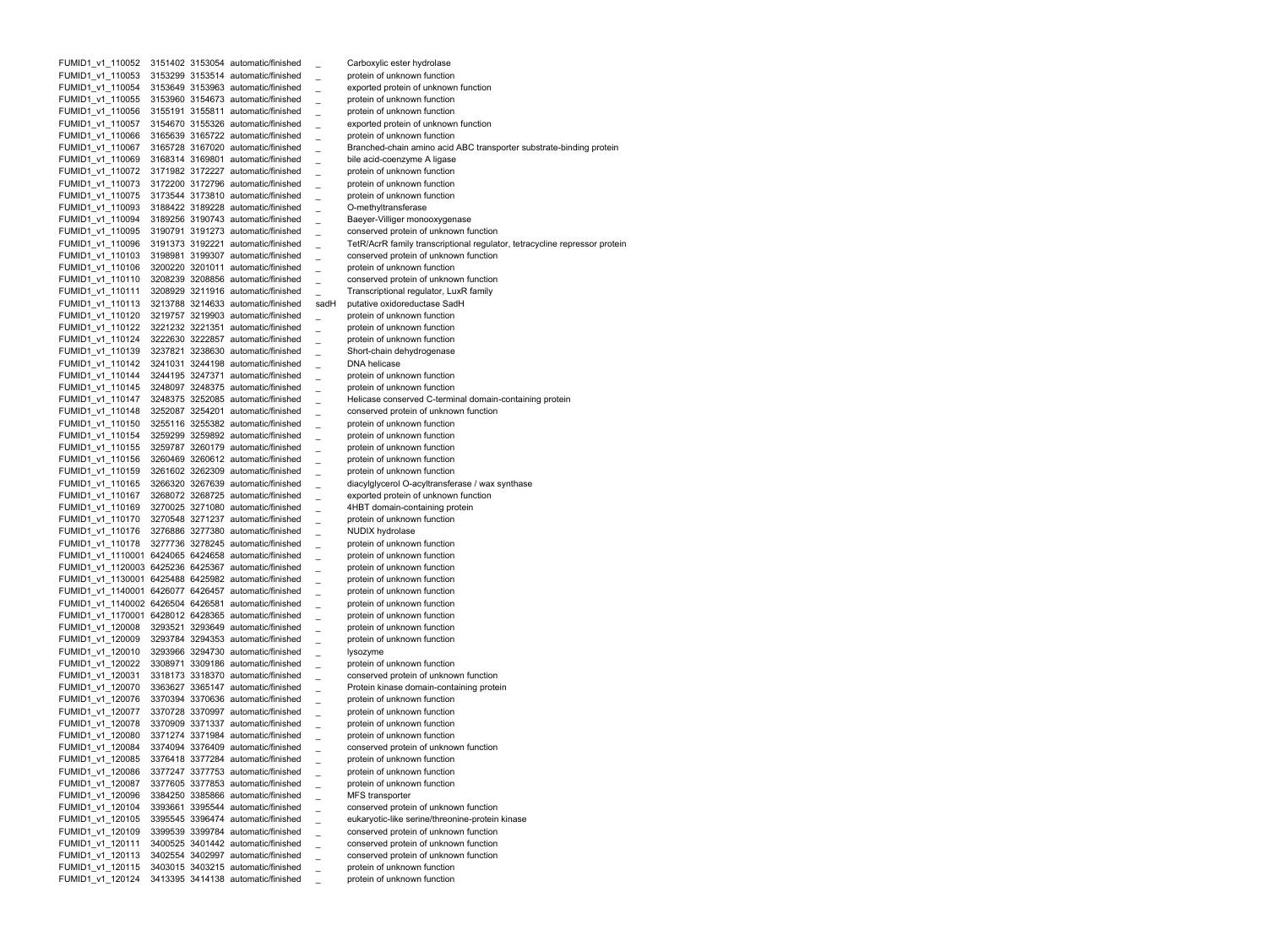FUMID1 v1 110052 3151402 3153054 automatic/finished Carboxylic ester hydrolase FUMID1 v1 110053 3153299 3153514 automatic/finished protein of unknown function FUMID1 v1 110054 3153649 3153963 automatic/finished exported protein of unknown function FUMID1 v1 110055 3153960 3154673 automatic/finished protein of unknown function FUMID1 v1 110056 3155191 3155811 automatic/finished protein of unknown function FUMID1 v1 110057 3154670 3155326 automatic/finished exported protein of unknown function FUMID1 v1 110066 3165639 3165722 automatic/finished protein of unknown function FUMID1 v1 110067 3165728 3167020 automatic/finished Branched-chain amino acid ABC transporter substrate-binding protein FUMID1 v1 110069 3168314 3169801 automatic/finished bile acid-coenzyme A ligase FUMID1 v1 110072 3171982 3172227 automatic/finished protein of unknown function FUMID1 v1 110073 3172200 3172796 automatic/finished protein of unknown function FUMID1 v1 110075 3173544 3173810 automatic/finished protein of unknown function FUMID1 v1 110093 3188422 3189228 automatic/finished **O-methyltransferase** FUMID1 v1 110094 3189256 3190743 automatic/finished Baeyer-Villiger monooxygenase FUMID1 v1 110095 3190791 3191273 automatic/finished conserved protein of unknown function FUMID1 v1 110096 3191373 3192221 automatic/finished TetR/AcrR family transcriptional regulator, tetracycline repressor protein FUMID1 v1 110103 3198981 3199307 automatic/finished conserved protein of unknown function FUMID1 v1 110106 3200220 3201011 automatic/finished protein of unknown function FUMID1 v1 110110 3208239 3208856 automatic/finished conserved protein of unknown function FUMID1 v1 110111 3208929 3211916 automatic/finished Transcriptional regulator, LuxR family FUMID1 v1 110113 3213788 3214633 automatic/finished sadH putative oxidoreductase SadH FUMID1 v1 110120 3219757 3219903 automatic/finished protein of unknown function FUMID1 v1 110122 3221232 3221351 automatic/finished protein of unknown function FUMID1 v1 110124 3222630 3222857 automatic/finished protein of unknown function FUMID1 v1 110139 3237821 3238630 automatic/finished Short-chain dehydrogenase FUMID1 v1 110142 3241031 3244198 automatic/finished DNA helicase FUMID1 v1 110144 3244195 3247371 automatic/finished protein of unknown function FUMID1 v1 110145 3248097 3248375 automatic/finished protein of unknown function FUMID1 v1 110147 3248375 3252085 automatic/finished Helicase conserved C-terminal domain-containing protein FUMID1 v1 110148 3252087 3254201 automatic/finished conserved protein of unknown function FUMID1 v1 110150 3255116 3255382 automatic/finished protein of unknown function FUMID1 v1 110154 3259299 3259892 automatic/finished protein of unknown function FUMID1 v1 110155 3259787 3260179 automatic/finished protein of unknown function FUMID1 v1 110156 3260469 3260612 automatic/finished protein of unknown function FUMID1 v1 110159 3261602 3262309 automatic/finished protein of unknown function FUMID1 v1 110165 3266320 3267639 automatic/finished diacylglycerol O-acyltransferase / wax synthase FUMID1 v1 110167 3268072 3268725 automatic/finished exported protein of unknown function FUMID1 v1 110169 3270025 3271080 automatic/finished 4HBT domain-containing protein FUMID1 v1 110170 3270548 3271237 automatic/finished protein of unknown function FUMID1 v1 110176 3276886 3277380 automatic/finished NUDIX hydrolase FUMID1 v1 110178 3277736 3278245 automatic/finished protein of unknown function FUMID1 v1 1110001 6424065 6424658 automatic/finished protein of unknown function FUMID1 v1 1120003 6425236 6425367 automatic/finished protein of unknown function FUMID1 v1 1130001 6425488 6425982 automatic/finished protein of unknown function FUMID1 v1 1140001 6426077 6426457 automatic/finished protein of unknown function FUMID1 v1 1140002 6426504 6426581 automatic/finished protein of unknown function FUMID1 v1 1170001 6428012 6428365 automatic/finished protein of unknown function FUMID1 v1 120008 3293521 3293649 automatic/finished protein of unknown function FUMID1 v1 120009 3293784 3294353 automatic/finished protein of unknown function FUMID1 v1 120010 3293966 3294730 automatic/finished lysozyme FUMID1 v1 120022 3308971 3309186 automatic/finished protein of unknown function FUMID1 v1 120031 3318173 3318370 automatic/finished conserved protein of unknown function FUMID1 v1 120070 3363627 3365147 automatic/finished Protein kinase domain-containing protein FUMID1 v1 120076 3370394 3370636 automatic/finished protein of unknown function FUMID1 v1 120077 3370728 3370997 automatic/finished protein of unknown function FUMID1 v1 120078 3370909 3371337 automatic/finished protein of unknown function FUMID1 v1 120080 3371274 3371984 automatic/finished protein of unknown function FUMID1 v1 120084 3374094 3376409 automatic/finished conserved protein of unknown function FUMID1 v1 120085 3376418 3377284 automatic/finished protein of unknown function FUMID1 v1 120086 3377247 3377753 automatic/finished protein of unknown function FUMID1\_v1\_120087 3377605 3377853 automatic/finished \_ protein of unknown function FUMID1\_v1\_120096 3384250 3385866 automatic/finished \_ MFS transporter FUMID1 v1 120104 3393661 3395544 automatic/finished conserved protein of unknown function FUMID1\_v1\_120105 3395545 3396474 automatic/finished \_ eukaryotic-like serine/threonine-protein kinase FUMID1\_v1\_120109 3399539 3399784 automatic/finished \_ conserved protein of unknown function FUMID1\_v1\_120111 3400525 3401442 automatic/finished \_ conserved protein of unknown function FUMID1\_v1\_120113 3402554 3402997 automatic/finished \_ conserved protein of unknown function FUMID1\_v1\_120115 3403015 3403215 automatic/finished \_ protein of unknown function FUMID1 v1 120124 3413395 3414138 automatic/finished protein of unknown function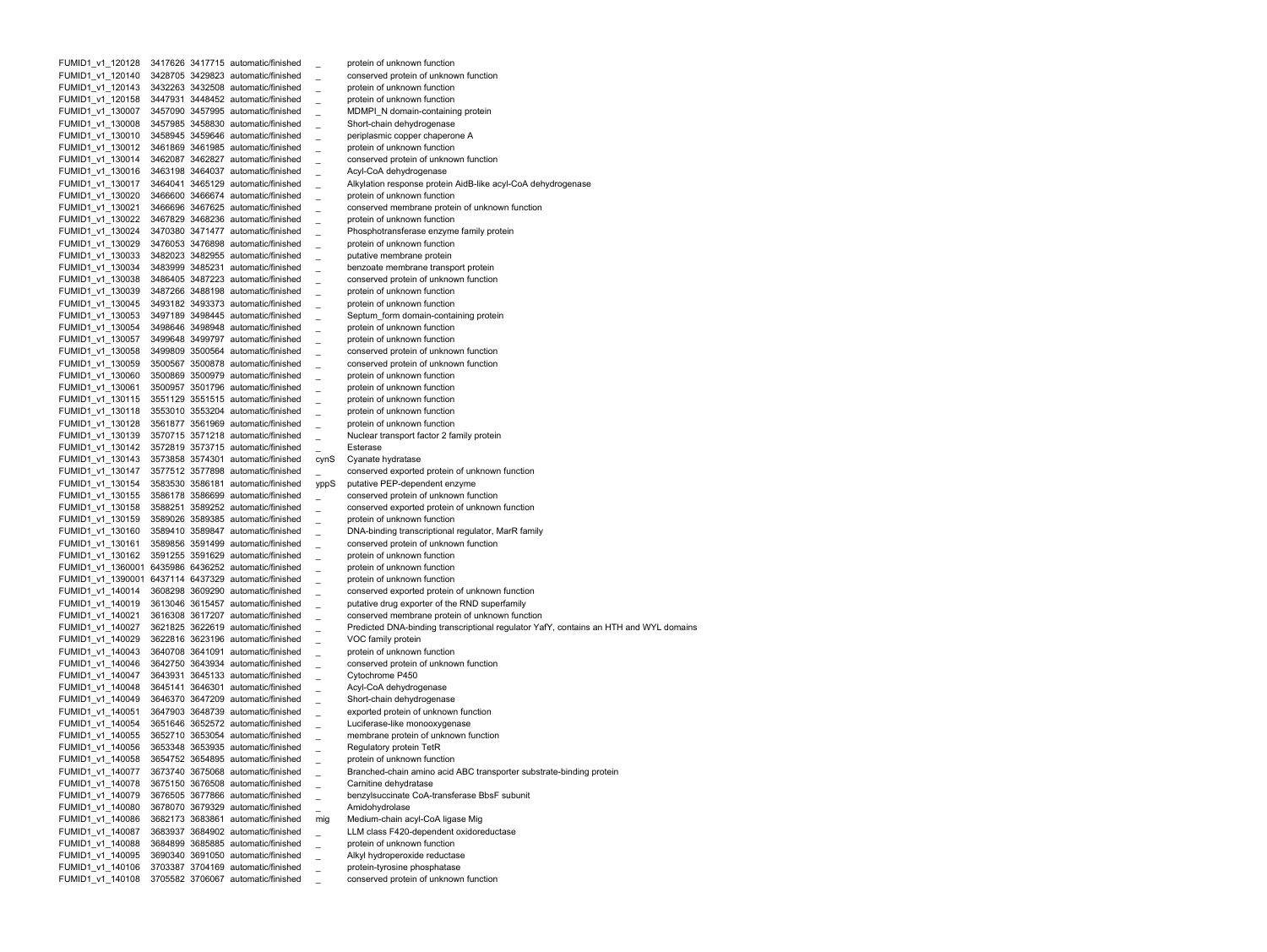FUMID1 v1 120128 3417626 3417715 automatic/finished protein of unknown function FUMID1 v1 120140 3428705 3429823 automatic/finished conserved protein of unknown function FUMID1 v1 120143 3432263 3432508 automatic/finished protein of unknown function FUMID1 v1 120158 3447931 3448452 automatic/finished protein of unknown function FUMID1 v1 130007 3457090 3457995 automatic/finished MDMPI\_N domain-containing protein FUMID1 v1 130008 3457985 3458830 automatic/finished Short-chain dehydrogenase FUMID1 v1 130010 3458945 3459646 automatic/finished periplasmic copper chaperone A FUMID1 v1 130012 3461869 3461985 automatic/finished protein of unknown function FUMID1 v1 130014 3462087 3462827 automatic/finished conserved protein of unknown function FUMID1 v1 130016 3463198 3464037 automatic/finished Acyl-CoA dehydrogenase FUMID1 v1 130017 3464041 3465129 automatic/finished Alkylation response protein AidB-like acyl-CoA dehydrogenase FUMID1 v1 130020 3466600 3466674 automatic/finished protein of unknown function FUMID1 v1 130021 3466696 3467625 automatic/finished conserved membrane protein of unknown function FUMID1 v1 130022 3467829 3468236 automatic/finished protein of unknown function FUMID1 v1 130024 3470380 3471477 automatic/finished Phosphotransferase enzyme family protein FUMID1 v1 130029 3476053 3476898 automatic/finished protein of unknown function FUMID1 v1 130033 3482023 3482955 automatic/finished putative membrane protein FUMID1 v1 130034 3483999 3485231 automatic/finished benzoate membrane transport protein FUMID1 v1 130038 3486405 3487223 automatic/finished conserved protein of unknown function FUMID1 v1 130039 3487266 3488198 automatic/finished protein of unknown function FUMID1 v1 130045 3493182 3493373 automatic/finished protein of unknown function FUMID1 v1 130053 3497189 3498445 automatic/finished Septum form domain-containing protein FUMID1 v1 130054 3498646 3498948 automatic/finished protein of unknown function FUMID1 v1 130057 3499648 3499797 automatic/finished protein of unknown function FUMID1 v1 130058 3499809 3500564 automatic/finished conserved protein of unknown function FUMID1 v1 130059 3500567 3500878 automatic/finished conserved protein of unknown function FUMID1 v1 130060 3500869 3500979 automatic/finished protein of unknown function FUMID1 v1 130061 3500957 3501796 automatic/finished protein of unknown function FUMID1 v1 130115 3551129 3551515 automatic/finished protein of unknown function FUMID1 v1 130118 3553010 3553204 automatic/finished protein of unknown function FUMID1 v1 130128 3561877 3561969 automatic/finished protein of unknown function FUMID1 v1 130139 3570715 3571218 automatic/finished Nuclear transport factor 2 family protein FUMID1 v1 130142 3572819 3573715 automatic/finished Esterase FUMID1 v1 130143 3573858 3574301 automatic/finished cynS Cyanate hydratase FUMID1 v1 130147 3577512 3577898 automatic/finished conserved exported protein of unknown function FUMID1 v1 130154 3583530 3586181 automatic/finished yppS putative PEP-dependent enzyme FUMID1 v1 130155 3586178 3586699 automatic/finished conserved protein of unknown function FUMID1 v1 130158 3588251 3589252 automatic/finished conserved exported protein of unknown function FUMID1 v1 130159 3589026 3589385 automatic/finished protein of unknown function FUMID1 v1 130160 3589410 3589847 automatic/finished DNA-binding transcriptional regulator, MarR family FUMID1 v1 130161 3589856 3591499 automatic/finished conserved protein of unknown function FUMID1 v1 130162 3591255 3591629 automatic/finished protein of unknown function FUMID1 v1 1360001 6435986 6436252 automatic/finished protein of unknown function FUMID1 v1 1390001 6437114 6437329 automatic/finished protein of unknown function FUMID1 v1 140014 3608298 3609290 automatic/finished conserved exported protein of unknown function FUMID1 v1 140019 3613046 3615457 automatic/finished putative drug exporter of the RND superfamily FUMID1 v1 140021 3616308 3617207 automatic/finished conserved membrane protein of unknown function FUMID1 v1 140027 3621825 3622619 automatic/finished Predicted DNA-binding transcriptional regulator YafY, contains an HTH and WYL domains FUMID1 v1 140029 3622816 3623196 automatic/finished VOC family protein FUMID1 v1 140043 3640708 3641091 automatic/finished protein of unknown function FUMID1 v1 140046 3642750 3643934 automatic/finished conserved protein of unknown function FUMID1 v1 140047 3643931 3645133 automatic/finished Cytochrome P450 FUMID1 v1 140048 3645141 3646301 automatic/finished Acyl-CoA dehydrogenase FUMID1 v1 140049 3646370 3647209 automatic/finished Short-chain dehydrogenase FUMID1 v1 140051 3647903 3648739 automatic/finished exported protein of unknown function FUMID1 v1 140054 3651646 3652572 automatic/finished Luciferase-like monooxygenase FUMID1 v1 140055 3652710 3653054 automatic/finished membrane protein of unknown function FUMID1 v1 140056 3653348 3653935 automatic/finished Regulatory protein TetR FUMID1 v1 140058 3654752 3654895 automatic/finished protein of unknown function FUMID1 v1 140077 3673740 3675068 automatic/finished Branched-chain amino acid ABC transporter substrate-binding protein FUMID1 v1 140078 3675150 3676508 automatic/finished Carnitine dehydratase FUMID1\_v1\_140079 3676505 3677866 automatic/finished \_ benzylsuccinate CoA-transferase BbsF subunit FUMID1\_v1\_140080 3678070 3679329 automatic/finished \_ Amidohydrolase FUMID1\_v1\_140086 3682173 3683861 automatic/finished mig Medium-chain acyl-CoA ligase Mig FUMID1\_v1\_140087 3683937 3684902 automatic/finished \_ LLM class F420-dependent oxidoreductase FUMID1\_v1\_140088 3684899 3685885 automatic/finished \_ protein of unknown function FUMID1\_v1\_140095 3690340 3691050 automatic/finished \_ Alkyl hydroperoxide reductase FUMID1\_v1\_140106 3703387 3704169 automatic/finished \_ protein-tyrosine phosphatase FUMID1\_v1\_140108 3705582 3706067 automatic/finished \_ conserved protein of unknown function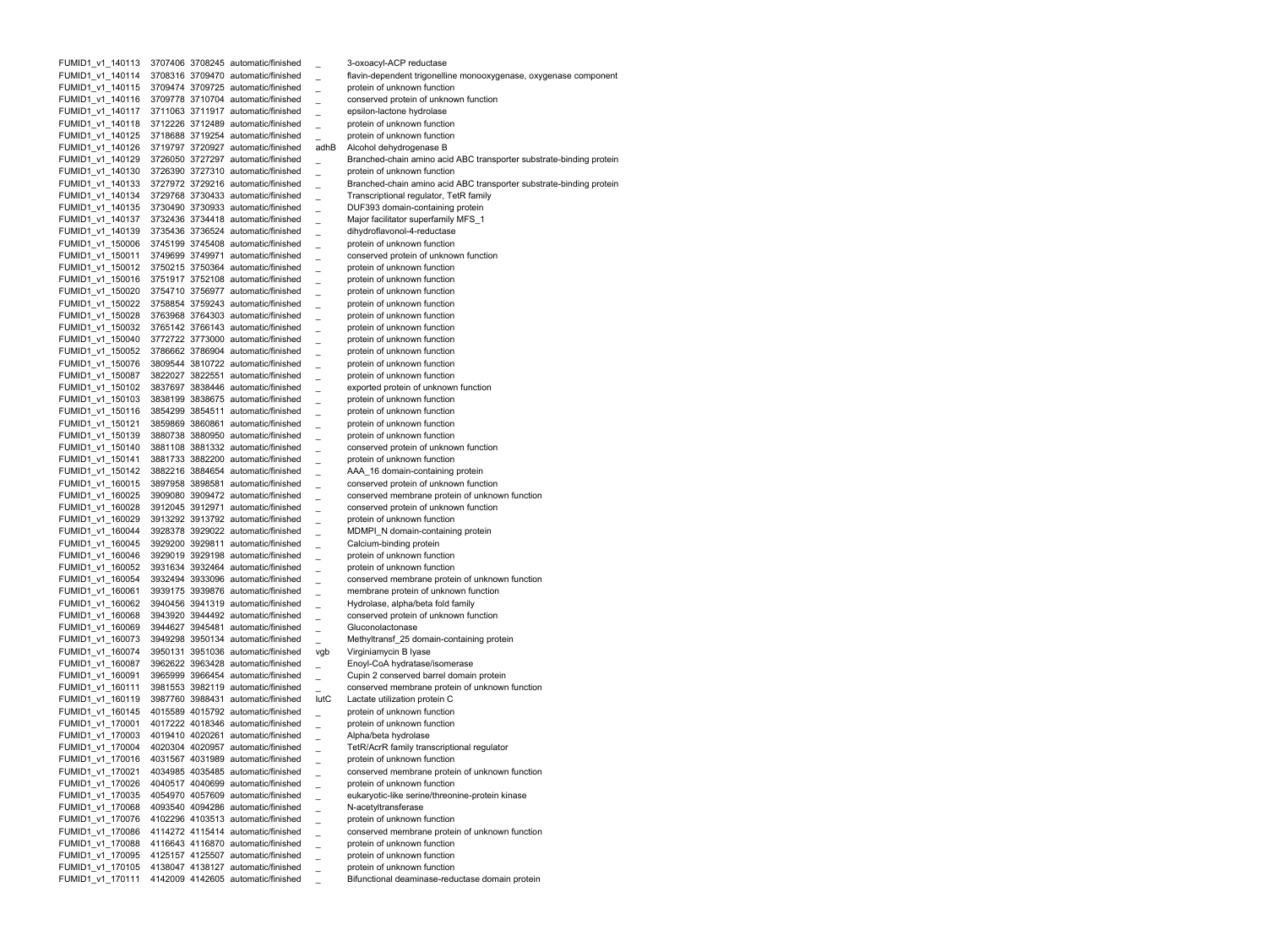FUMID1 v1 140113 3707406 3708245 automatic/finished 3-oxoacyl-ACP reductase FUMID1\_v1\_140114 3708316 3709470 automatic/finished \_ flavin-dependent trigonelline monooxygenase, oxygenase component FUMID1 v1 140115 3709474 3709725 automatic/finished protein of unknown function FUMID1 v1 140116 3709778 3710704 automatic/finished conserved protein of unknown function FUMID1 v1 140117 3711063 3711917 automatic/finished epsilon-lactone hydrolase FUMID1 v1 140118 3712226 3712489 automatic/finished protein of unknown function FUMID1 v1 140125 3718688 3719254 automatic/finished protein of unknown function FUMID1\_v1\_140126 3719797 3720927 automatic/finished adhB Alcohol dehydrogenase B FUMID1 v1 140129 3726050 3727297 automatic/finished Branched-chain amino acid ABC transporter substrate-binding protein FUMID1 v1 140130 3726390 3727310 automatic/finished protein of unknown function FUMID1 v1 140133 3727972 3729216 automatic/finished Branched-chain amino acid ABC transporter substrate-binding protein FUMID1 v1 140134 3729768 3730433 automatic/finished Transcriptional regulator, TetR family FUMID1 v1 140135 3730490 3730933 automatic/finished DUF393 domain-containing protein FUMID1 v1 140137 3732436 3734418 automatic/finished Major facilitator superfamily MFS 1 FUMID1 v1 140139 3735436 3736524 automatic/finished dihydroflavonol-4-reductase FUMID1 v1 150006 3745199 3745408 automatic/finished protein of unknown function FUMID1 v1 150011 3749699 3749971 automatic/finished conserved protein of unknown function FUMID1 v1 150012 3750215 3750364 automatic/finished protein of unknown function FUMID1 v1 150016 3751917 3752108 automatic/finished protein of unknown function FUMID1 v1 150020 3754710 3756977 automatic/finished protein of unknown function FUMID1 v1 150022 3758854 3759243 automatic/finished protein of unknown function FUMID1 v1 150028 3763968 3764303 automatic/finished protein of unknown function FUMID1 v1 150032 3765142 3766143 automatic/finished protein of unknown function FUMID1 v1 150040 3772722 3773000 automatic/finished protein of unknown function FUMID1 v1 150052 3786662 3786904 automatic/finished protein of unknown function FUMID1 v1 150076 3809544 3810722 automatic/finished protein of unknown function FUMID1 v1 150087 3822027 3822551 automatic/finished protein of unknown function FUMID1 v1 150102 3837697 3838446 automatic/finished exported protein of unknown function FUMID1 v1 150103 3838199 3838675 automatic/finished protein of unknown function FUMID1 v1 150116 3854299 3854511 automatic/finished protein of unknown function FUMID1 v1 150121 3859869 3860861 automatic/finished protein of unknown function FUMID1 v1 150139 3880738 3880950 automatic/finished protein of unknown function FUMID1 v1 150140 3881108 3881332 automatic/finished conserved protein of unknown function FUMID1 v1 150141 3881733 3882200 automatic/finished protein of unknown function FUMID1 v1 150142 3882216 3884654 automatic/finished AAA 16 domain-containing protein FUMID1 v1 160015 3897958 3898581 automatic/finished conserved protein of unknown function FUMID1 v1 160025 3909080 3909472 automatic/finished conserved membrane protein of unknown function FUMID1 v1 160028 3912045 3912971 automatic/finished conserved protein of unknown function FUMID1 v1 160029 3913292 3913792 automatic/finished protein of unknown function FUMID1 v1 160044 3928378 3929022 automatic/finished MDMPI\_N domain-containing protein FUMID1 v1 160045 3929200 3929811 automatic/finished Calcium-binding protein FUMID1 v1 160046 3929019 3929198 automatic/finished protein of unknown function FUMID1 v1 160052 3931634 3932464 automatic/finished protein of unknown function FUMID1 v1 160054 3932494 3933096 automatic/finished conserved membrane protein of unknown function FUMID1 v1 160061 3939175 3939876 automatic/finished membrane protein of unknown function FUMID1 v1 160062 3940456 3941319 automatic/finished Hydrolase, alpha/beta fold family FUMID1 v1 160068 3943920 3944492 automatic/finished conserved protein of unknown function FUMID1 v1 160069 3944627 3945481 automatic/finished Gluconolactonase FUMID1 v1 160073 3949298 3950134 automatic/finished Methyltransf 25 domain-containing protein FUMID1 v1 160074 3950131 3951036 automatic/finished vgb Virginiamycin B lyase FUMID1 v1 160087 3962622 3963428 automatic/finished Enoyl-CoA hydratase/isomerase FUMID1 v1 160091 3965999 3966454 automatic/finished Cupin 2 conserved barrel domain protein FUMID1 v1 160111 3981553 3982119 automatic/finished conserved membrane protein of unknown function FUMID1 v1 160119 3987760 3988431 automatic/finished lutC Lactate utilization protein C FUMID1 v1 160145 4015589 4015792 automatic/finished protein of unknown function FUMID1 v1 170001 4017222 4018346 automatic/finished protein of unknown function FUMID1 v1 170003 4019410 4020261 automatic/finished Alpha/beta hydrolase FUMID1 v1 170004 4020304 4020957 automatic/finished TetR/AcrR family transcriptional regulator FUMID1 v1 170016 4031567 4031989 automatic/finished protein of unknown function FUMID1 v1 170021 4034985 4035485 automatic/finished conserved membrane protein of unknown function FUMID1 v1 170026 4040517 4040699 automatic/finished protein of unknown function FUMID1\_v1\_170035 4054970 4057609 automatic/finished \_ eukaryotic-like serine/threonine-protein kinase FUMID1\_v1\_170068 4093540 4094286 automatic/finished \_ N-acetyltransferase FUMID1\_v1\_170076 4102296 4103513 automatic/finished \_ protein of unknown function FUMID1\_v1\_170086 4114272 4115414 automatic/finished \_ conserved membrane protein of unknown function FUMID1\_v1\_170088 4116643 4116870 automatic/finished \_ protein of unknown function FUMID1\_v1\_170095 4125157 4125507 automatic/finished \_ protein of unknown function FUMID1\_v1\_170105 4138047 4138127 automatic/finished \_ protein of unknown function FUMID1\_v1\_170111 4142009 4142605 automatic/finished \_ Bifunctional deaminase-reductase domain protein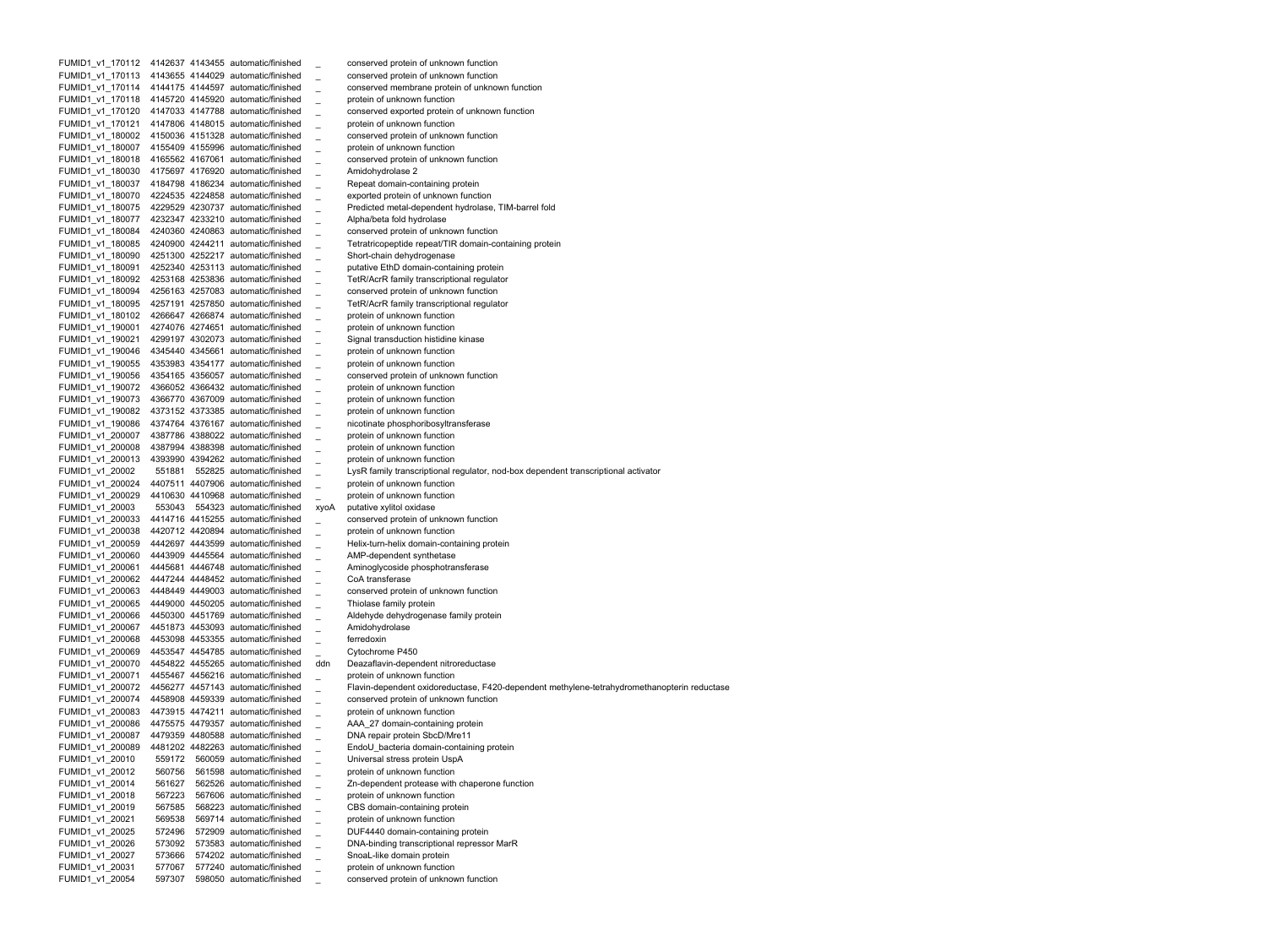FUMID1 v1 170112 4142637 4143455 automatic/finished conserved protein of unknown function FUMID1 v1 170113 4143655 4144029 automatic/finished conserved protein of unknown function FUMID1 v1 170114 4144175 4144597 automatic/finished conserved membrane protein of unknown function FUMID1 v1 170118 4145720 4145920 automatic/finished protein of unknown function FUMID1 v1 170120 4147033 4147788 automatic/finished conserved exported protein of unknown function FUMID1 v1 170121 4147806 4148015 automatic/finished protein of unknown function FUMID1 v1 180002 4150036 4151328 automatic/finished conserved protein of unknown function FUMID1 v1 180007 4155409 4155996 automatic/finished protein of unknown function FUMID1 v1 180018 4165562 4167061 automatic/finished conserved protein of unknown function FUMID1 v1 180030 4175697 4176920 automatic/finished Amidohydrolase 2 FUMID1 v1 180037 4184798 4186234 automatic/finished Repeat domain-containing protein FUMID1 v1 180070 4224535 4224858 automatic/finished exported protein of unknown function FUMID1 v1 180075 4229529 4230737 automatic/finished Predicted metal-dependent hydrolase, TIM-barrel fold FUMID1 v1 180077 4232347 4233210 automatic/finished Alpha/beta fold hydrolase FUMID1 v1 180084 4240360 4240863 automatic/finished conserved protein of unknown function FUMID1 v1 180085 4240900 4244211 automatic/finished Tetratricopeptide repeat/TIR domain-containing protein FUMID1 v1 180090 4251300 4252217 automatic/finished Short-chain dehydrogenase FUMID1 v1 180091 4252340 4253113 automatic/finished putative EthD domain-containing protein FUMID1 v1 180092 4253168 4253836 automatic/finished TetR/AcrR family transcriptional regulator FUMID1 v1 180094 4256163 4257083 automatic/finished conserved protein of unknown function FUMID1 v1 180095 4257191 4257850 automatic/finished TetR/AcrR family transcriptional regulator FUMID1 v1 180102 4266647 4266874 automatic/finished protein of unknown function FUMID1 v1 190001 4274076 4274651 automatic/finished protein of unknown function FUMID1 v1 190021 4299197 4302073 automatic/finished Signal transduction histidine kinase FUMID1 v1 190046 4345440 4345661 automatic/finished protein of unknown function FUMID1 v1 190055 4353983 4354177 automatic/finished protein of unknown function FUMID1 v1 190056 4354165 4356057 automatic/finished conserved protein of unknown function FUMID1 v1 190072 4366052 4366432 automatic/finished protein of unknown function FUMID1 v1 190073 4366770 4367009 automatic/finished protein of unknown function FUMID1 v1 190082 4373152 4373385 automatic/finished protein of unknown function FUMID1 v1 190086 4374764 4376167 automatic/finished nicotinate phosphoribosyltransferase FUMID1 v1 200007 4387786 4388022 automatic/finished protein of unknown function FUMID1 v1 200008 4387994 4388398 automatic/finished protein of unknown function FUMID1 v1 200013 4393990 4394262 automatic/finished protein of unknown function FUMID1 v1 20002 551881 552825 automatic/finished LysR family transcriptional regulator, nod-box dependent transcriptional activator FUMID1 v1 200024 4407511 4407906 automatic/finished protein of unknown function FUMID1 v1 200029 4410630 4410968 automatic/finished protein of unknown function FUMID1 v1 20003 553043 554323 automatic/finished xyoA putative xylitol oxidase FUMID1 v1 200033 4414716 4415255 automatic/finished conserved protein of unknown function FUMID1 v1 200038 4420712 4420894 automatic/finished protein of unknown function FUMID1 v1 200059 4442697 4443599 automatic/finished Helix-turn-helix domain-containing protein FUMID1 v1 200060 4443909 4445564 automatic/finished AMP-dependent synthetase FUMID1 v1 200061 4445681 4446748 automatic/finished Aminoglycoside phosphotransferase FUMID1 v1 200062 4447244 4448452 automatic/finished CoA transferase FUMID1 v1 200063 4448449 4449003 automatic/finished conserved protein of unknown function FUMID1 v1 200065 4449000 4450205 automatic/finished Thiolase family protein FUMID1 v1 200066 4450300 4451769 automatic/finished Aldehyde dehydrogenase family protein FUMID1 v1 200067 4451873 4453093 automatic/finished Amidohydrolase FUMID1 v1 200068 4453098 4453355 automatic/finished ferredoxin FUMID1 v1 200069 4453547 4454785 automatic/finished Cytochrome P450 FUMID1 v1 200070 4454822 4455265 automatic/finished ddn Deazaflavin-dependent nitroreductase FUMID1 v1 200071 4455467 4456216 automatic/finished protein of unknown function FUMID1 v1 200072 4456277 4457143 automatic/finished Flavin-dependent oxidoreductase, F420-dependent methylene-tetrahydromethanopterin reductase FUMID1 v1 200074 4458908 4459339 automatic/finished conserved protein of unknown function FUMID1 v1 200083 4473915 4474211 automatic/finished protein of unknown function FUMID1 v1 200086 4475575 4479357 automatic/finished \_ AAA\_27 domain-containing protein FUMID1\_v1\_200087 4479359 4480588 automatic/finished DNA repair protein SbcD/Mre11 FUMID1 v1 200089 4481202 4482263 automatic/finished EndoU bacteria domain-containing protein FUMID1 v1 20010 559172 560059 automatic/finished Universal stress protein UspA FUMID1 v1 20012 560756 561598 automatic/finished protein of unknown function FUMID1\_v1\_20014 561627 562526 automatic/finished \_ Zn-dependent protease with chaperone function FUMID1\_v1\_20018 567223 567606 automatic/finished \_ protein of unknown function FUMID1\_v1\_20019 567585 568223 automatic/finished \_ CBS domain-containing protein FUMID1\_v1\_20021 569538 569714 automatic/finished \_ protein of unknown function FUMID1\_v1\_20025 572496 572909 automatic/finished \_ DUF4440 domain-containing protein FUMID1\_v1\_20026 573092 573583 automatic/finished \_ DNA-binding transcriptional repressor MarR FUMID1\_v1\_20027 573666 574202 automatic/finished \_ SnoaL-like domain protein FUMID1\_v1\_20031 577067 577240 automatic/finished \_ protein of unknown function FUMID1\_v1\_20054 597307 598050 automatic/finished \_ conserved protein of unknown function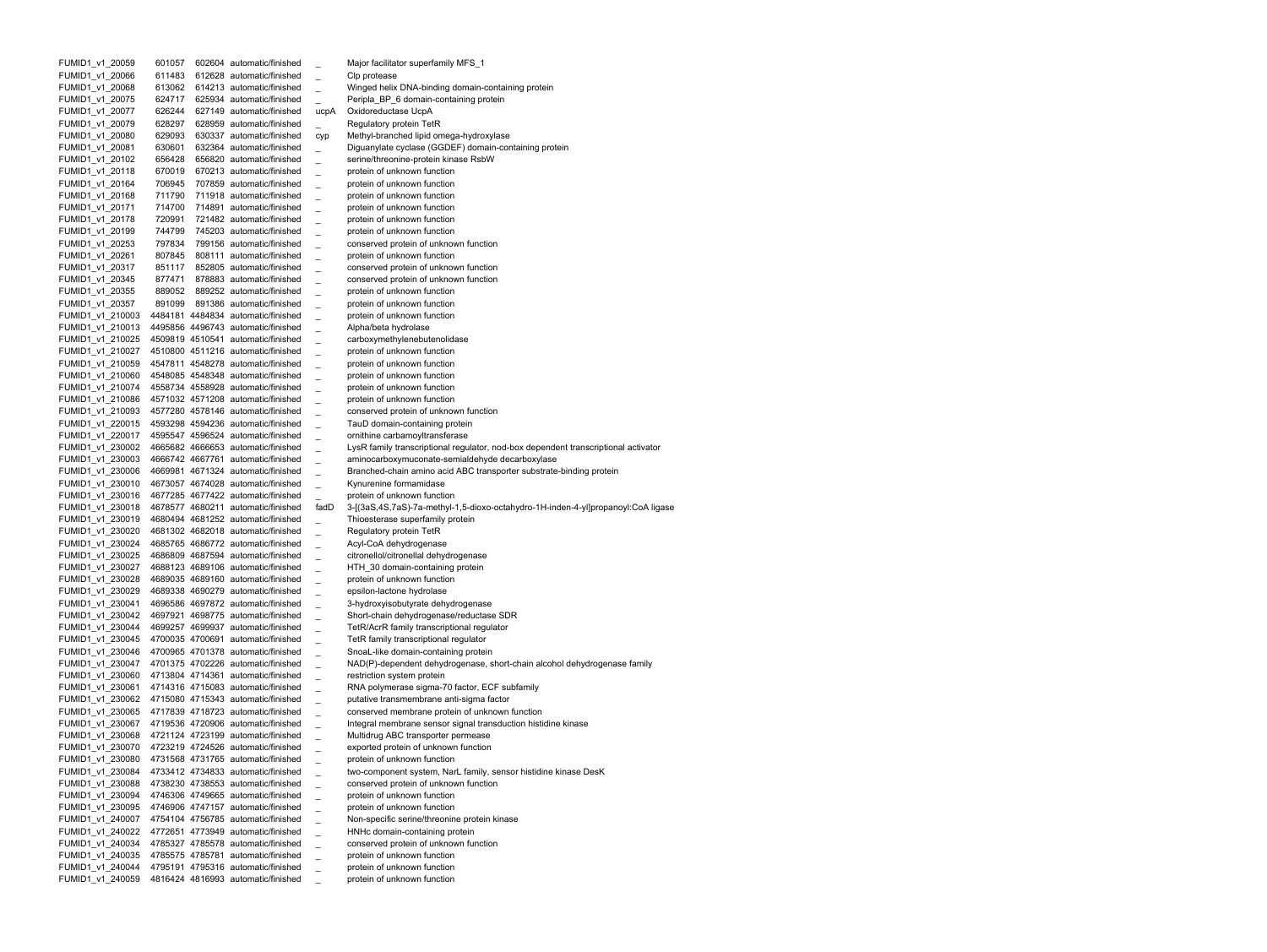| FUMID1_v1_20059                      | 601057           |        | 602604 automatic/finished                                                |      | Major facilitator superfamily MFS_1                                                                              |
|--------------------------------------|------------------|--------|--------------------------------------------------------------------------|------|------------------------------------------------------------------------------------------------------------------|
| FUMID1 v1 20066                      | 611483           |        | 612628 automatic/finished                                                |      | Clp protease                                                                                                     |
| FUMID1_v1_20068                      | 613062           |        | 614213 automatic/finished                                                |      | Winged helix DNA-binding domain-containing protein                                                               |
| FUMID1_v1_20075                      | 624717           |        | 625934 automatic/finished                                                |      | Peripla BP 6 domain-containing protein                                                                           |
| FUMID1_v1_20077                      | 626244           |        | 627149 automatic/finished                                                | ucpA | Oxidoreductase UcpA                                                                                              |
| FUMID1_v1_20079                      | 628297           |        | 628959 automatic/finished                                                |      | <b>Regulatory protein TetR</b>                                                                                   |
| FUMID1 v1 20080                      | 629093           |        | 630337 automatic/finished                                                | cyp  | Methyl-branched lipid omega-hydroxylase                                                                          |
| FUMID1 v1 20081                      | 630601           |        | 632364 automatic/finished                                                |      | Diguanylate cyclase (GGDEF) domain-containing protein                                                            |
| FUMID1 v1 20102                      | 656428           |        | 656820 automatic/finished                                                |      | serine/threonine-protein kinase RsbW                                                                             |
| FUMID1_v1_20118                      | 670019<br>706945 |        | 670213 automatic/finished<br>707859 automatic/finished                   |      | protein of unknown function<br>protein of unknown function                                                       |
| FUMID1_v1_20164<br>FUMID1_v1_20168   | 711790           |        | 711918 automatic/finished                                                |      | protein of unknown function                                                                                      |
| FUMID1 v1 20171                      | 714700           |        | 714891 automatic/finished                                                |      | protein of unknown function                                                                                      |
| FUMID1_v1_20178                      | 720991           |        | 721482 automatic/finished                                                |      | protein of unknown function                                                                                      |
| FUMID1_v1_20199                      | 744799           |        | 745203 automatic/finished                                                |      | protein of unknown function                                                                                      |
| FUMID1 v1 20253                      | 797834           |        | 799156 automatic/finished                                                |      | conserved protein of unknown function                                                                            |
| FUMID1 v1 20261                      | 807845           | 808111 | automatic/finished                                                       |      | protein of unknown function                                                                                      |
| FUMID1_v1_20317                      | 851117           |        | 852805 automatic/finished                                                |      | conserved protein of unknown function                                                                            |
| FUMID1_v1_20345                      | 877471           |        | 878883 automatic/finished                                                |      | conserved protein of unknown function                                                                            |
| FUMID1_v1_20355                      | 889052           |        | 889252 automatic/finished                                                |      | protein of unknown function                                                                                      |
| FUMID1 v1 20357                      | 891099           |        | 891386 automatic/finished                                                |      | protein of unknown function                                                                                      |
| FUMID1_v1_210003                     |                  |        | 4484181 4484834 automatic/finished                                       |      | protein of unknown function                                                                                      |
| FUMID1 v1 210013                     |                  |        | 4495856 4496743 automatic/finished                                       |      | Alpha/beta hydrolase                                                                                             |
| FUMID1_v1_210025                     |                  |        | 4509819 4510541 automatic/finished                                       |      | carboxymethylenebutenolidase                                                                                     |
| FUMID1_v1_210027                     |                  |        | 4510800 4511216 automatic/finished                                       |      | protein of unknown function                                                                                      |
| FUMID1_v1_210059                     |                  |        | 4547811 4548278 automatic/finished                                       |      | protein of unknown function                                                                                      |
| FUMID1_v1_210060                     |                  |        | 4548085 4548348 automatic/finished                                       |      | protein of unknown function                                                                                      |
| FUMID1_v1_210074                     |                  |        | 4558734 4558928 automatic/finished                                       |      | protein of unknown function                                                                                      |
| FUMID1 v1 210086                     |                  |        | 4571032 4571208 automatic/finished                                       |      | protein of unknown function                                                                                      |
| FUMID1 v1 210093                     |                  |        | 4577280 4578146 automatic/finished                                       |      | conserved protein of unknown function                                                                            |
| FUMID1 v1 220015                     |                  |        | 4593298 4594236 automatic/finished                                       |      | TauD domain-containing protein                                                                                   |
| FUMID1 v1 220017                     |                  |        | 4595547 4596524 automatic/finished                                       |      | ornithine carbamoyltransferase                                                                                   |
| FUMID1 v1 230002                     |                  |        | 4665682 4666653 automatic/finished                                       |      | LysR family transcriptional regulator, nod-box dependent transcriptional activator                               |
| FUMID1 v1 230003                     |                  |        | 4666742 4667761 automatic/finished                                       |      | aminocarboxymuconate-semialdehyde decarboxylase                                                                  |
| FUMID1 v1 230006                     |                  |        | 4669981 4671324 automatic/finished                                       |      | Branched-chain amino acid ABC transporter substrate-binding protein                                              |
|                                      |                  |        |                                                                          |      |                                                                                                                  |
| FUMID1 v1 230010                     |                  |        | 4673057 4674028 automatic/finished                                       |      | Kynurenine formamidase                                                                                           |
| FUMID1 v1 230016                     |                  |        | 4677285 4677422 automatic/finished                                       |      | protein of unknown function                                                                                      |
| FUMID1_v1_230018                     |                  |        | 4678577 4680211 automatic/finished                                       | fadD | 3-[(3aS,4S,7aS)-7a-methyl-1,5-dioxo-octahydro-1H-inden-4-yl]propanoyl:CoA ligase                                 |
| FUMID1 v1 230019                     |                  |        | 4680494 4681252 automatic/finished                                       |      | Thioesterase superfamily protein                                                                                 |
| FUMID1_v1_230020                     |                  |        | 4681302 4682018 automatic/finished                                       |      | Regulatory protein TetR                                                                                          |
| FUMID1_v1_230024                     |                  |        | 4685765 4686772 automatic/finished                                       |      | Acyl-CoA dehydrogenase                                                                                           |
| FUMID1_v1_230025                     |                  |        | 4686809 4687594 automatic/finished                                       |      | citronellol/citronellal dehydrogenase                                                                            |
| FUMID1 v1 230027                     |                  |        | 4688123 4689106 automatic/finished                                       |      | HTH 30 domain-containing protein                                                                                 |
| FUMID1_v1_230028                     |                  |        | 4689035 4689160 automatic/finished                                       |      | protein of unknown function                                                                                      |
| FUMID1_v1_230029                     |                  |        | 4689338 4690279 automatic/finished                                       |      | epsilon-lactone hydrolase                                                                                        |
| FUMID1_v1_230041                     |                  |        | 4696586 4697872 automatic/finished                                       |      | 3-hydroxyisobutyrate dehydrogenase                                                                               |
| FUMID1 v1 230042                     |                  |        | 4697921 4698775 automatic/finished                                       |      | Short-chain dehydrogenase/reductase SDR                                                                          |
| FUMID1_v1_230044                     |                  |        | 4699257 4699937 automatic/finished                                       |      | TetR/AcrR family transcriptional regulator                                                                       |
| FUMID1_v1_230045                     |                  |        | 4700035 4700691 automatic/finished<br>4700965 4701378 automatic/finished |      | TetR family transcriptional regulator                                                                            |
| FUMID1_v1_230046<br>FUMID1 v1 230047 |                  |        | 4701375 4702226 automatic/finished                                       |      | SnoaL-like domain-containing protein<br>NAD(P)-dependent dehydrogenase, short-chain alcohol dehydrogenase family |
| FUMID1_v1_230060                     |                  |        | 4713804 4714361 automatic/finished                                       |      | restriction system protein                                                                                       |
| FUMID1 v1 230061                     |                  |        | 4714316 4715083 automatic/finished                                       |      | RNA polymerase sigma-70 factor, ECF subfamily                                                                    |
| FUMID1 v1 230062                     |                  |        | 4715080 4715343 automatic/finished                                       |      | putative transmembrane anti-sigma factor                                                                         |
| FUMID1_v1_230065                     |                  |        | 4717839 4718723 automatic/finished                                       |      | conserved membrane protein of unknown function                                                                   |
| FUMID1_v1_230067                     |                  |        | 4719536 4720906 automatic/finished                                       |      | Integral membrane sensor signal transduction histidine kinase                                                    |
| FUMID1_v1_230068                     |                  |        | 4721124 4723199 automatic/finished                                       |      | Multidrug ABC transporter permease                                                                               |
| FUMID1 v1 230070                     |                  |        | 4723219 4724526 automatic/finished                                       |      | exported protein of unknown function                                                                             |
| FUMID1 v1 230080                     |                  |        | 4731568 4731765 automatic/finished                                       |      | protein of unknown function                                                                                      |
| FUMID1 v1 230084                     |                  |        | 4733412 4734833 automatic/finished                                       |      | two-component system, NarL family, sensor histidine kinase DesK                                                  |
| FUMID1 v1 230088                     |                  |        | 4738230 4738553 automatic/finished                                       |      | conserved protein of unknown function                                                                            |
| FUMID1 v1 230094                     |                  |        | 4746306 4749665 automatic/finished                                       |      | protein of unknown function                                                                                      |
| FUMID1 v1 230095                     |                  |        | 4746906 4747157 automatic/finished                                       |      | protein of unknown function                                                                                      |
| FUMID1 v1 240007                     |                  |        | 4754104 4756785 automatic/finished                                       |      | Non-specific serine/threonine protein kinase                                                                     |
| FUMID1 v1 240022                     |                  |        | 4772651 4773949 automatic/finished                                       |      | HNHc domain-containing protein                                                                                   |
| FUMID1 v1 240034                     |                  |        | 4785327 4785578 automatic/finished                                       |      | conserved protein of unknown function                                                                            |
| FUMID1 v1 240035                     |                  |        | 4785575 4785781 automatic/finished                                       |      | protein of unknown function                                                                                      |
| FUMID1 v1 240044<br>FUMID1 v1 240059 |                  |        | 4795191 4795316 automatic/finished<br>4816424 4816993 automatic/finished |      | protein of unknown function<br>protein of unknown function                                                       |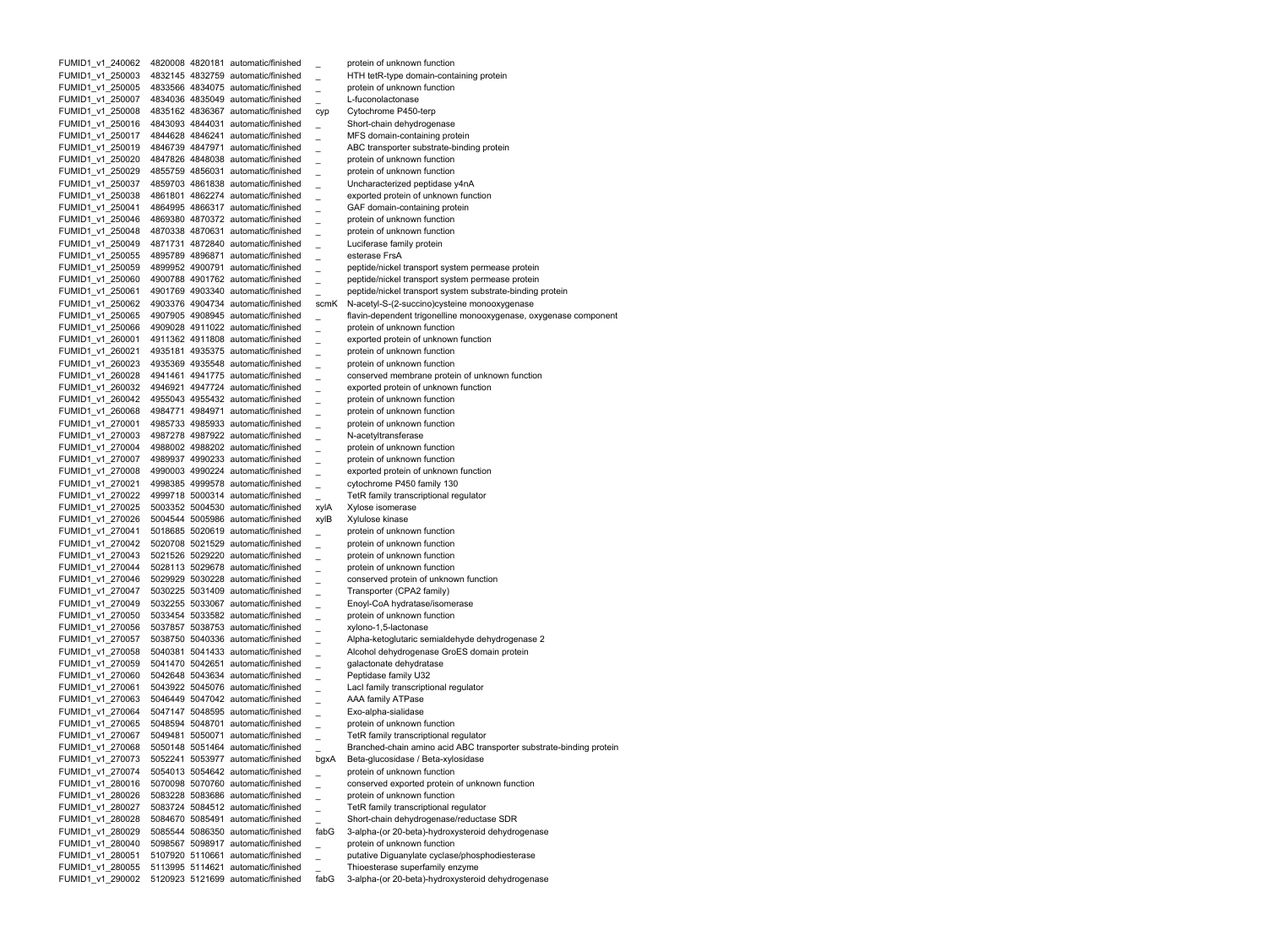FUMID1 v1 240062 4820008 4820181 automatic/finished protein of unknown function FUMID1 v1 250003 4832145 4832759 automatic/finished HTH tetR-type domain-containing protein FUMID1 v1 250005 4833566 4834075 automatic/finished protein of unknown function FUMID1 v1 250007 4834036 4835049 automatic/finished L-fuconolactonase FUMID1 v1 250008 4835162 4836367 automatic/finished cyp Cytochrome P450-terp FUMID1 v1 250016 4843093 4844031 automatic/finished Short-chain dehydrogenase FUMID1 v1 250017 4844628 4846241 automatic/finished MFS domain-containing protein FUMID1 v1 250019 4846739 4847971 automatic/finished ABC transporter substrate-binding protein FUMID1 v1 250020 4847826 4848038 automatic/finished protein of unknown function FUMID1 v1 250029 4855759 4856031 automatic/finished protein of unknown function FUMID1 v1 250037 4859703 4861838 automatic/finished Uncharacterized peptidase y4nA FUMID1 v1 250038 4861801 4862274 automatic/finished exported protein of unknown function FUMID1 v1 250041 4864995 4866317 automatic/finished GAF domain-containing protein FUMID1 v1 250046 4869380 4870372 automatic/finished protein of unknown function FUMID1 v1 250048 4870338 4870631 automatic/finished protein of unknown function FUMID1 v1 250049 4871731 4872840 automatic/finished Luciferase family protein FUMID1 v1 250055 4895789 4896871 automatic/finished esterase FrsA FUMID1 v1 250059 4899952 4900791 automatic/finished peptide/nickel transport system permease protein FUMID1 v1 250060 4900788 4901762 automatic/finished peptide/nickel transport system permease protein FUMID1 v1 250061 4901769 4903340 automatic/finished peptide/nickel transport system substrate-binding protein FUMID1\_v1\_250062 4903376 4904734 automatic/finished scmK N-acetyl-S-(2-succino)cysteine monooxygenase FUMID1 v1 250065 4907905 4908945 automatic/finished flavin-dependent trigonelline monooxygenase, oxygenase component FUMID1 v1 250066 4909028 4911022 automatic/finished protein of unknown function FUMID1 v1 260001 4911362 4911808 automatic/finished exported protein of unknown function FUMID1 v1 260021 4935181 4935375 automatic/finished protein of unknown function FUMID1 v1 260023 4935369 4935548 automatic/finished protein of unknown function FUMID1 v1 260028 4941461 4941775 automatic/finished conserved membrane protein of unknown function FUMID1 v1 260032 4946921 4947724 automatic/finished exported protein of unknown function FUMID1 v1 260042 4955043 4955432 automatic/finished protein of unknown function FUMID1 v1 260068 4984771 4984971 automatic/finished protein of unknown function FUMID1 v1 270001 4985733 4985933 automatic/finished protein of unknown function FUMID1 v1 270003 4987278 4987922 automatic/finished N-acetyltransferase FUMID1 v1 270004 4988002 4988202 automatic/finished protein of unknown function FUMID1 v1 270007 4989937 4990233 automatic/finished protein of unknown function FUMID1 v1 270008 4990003 4990224 automatic/finished exported protein of unknown function FUMID1 v1 270021 4998385 4999578 automatic/finished cytochrome P450 family 130 FUMID1 v1 270022 4999718 5000314 automatic/finished TetR family transcriptional regulator FUMID1 v1 270025 5003352 5004530 automatic/finished xylA Xylose isomerase FUMID1 v1 270026 5004544 5005986 automatic/finished xylB Xylulose kinase FUMID1 v1 270041 5018685 5020619 automatic/finished protein of unknown function FUMID1 v1 270042 5020708 5021529 automatic/finished protein of unknown function FUMID1 v1 270043 5021526 5029220 automatic/finished protein of unknown function FUMID1 v1 270044 5028113 5029678 automatic/finished protein of unknown function FUMID1 v1 270046 5029929 5030228 automatic/finished conserved protein of unknown function FUMID1 v1 270047 5030225 5031409 automatic/finished Transporter (CPA2 family) FUMID1 v1 270049 5032255 5033067 automatic/finished Enoyl-CoA hydratase/isomerase FUMID1 v1 270050 5033454 5033582 automatic/finished protein of unknown function FUMID1 v1 270056 5037857 5038753 automatic/finished xylono-1,5-lactonase FUMID1 v1 270057 5038750 5040336 automatic/finished Alpha-ketoglutaric semialdehyde dehydrogenase 2 FUMID1 v1 270058 5040381 5041433 automatic/finished Alcohol dehydrogenase GroES domain protein FUMID1 v1 270059 5041470 5042651 automatic/finished galactonate dehydratase FUMID1 v1 270060 5042648 5043634 automatic/finished Peptidase family U32 FUMID1 v1 270061 5043922 5045076 automatic/finished LacI family transcriptional regulator FUMID1 v1 270063 5046449 5047042 automatic/finished AAA family ATPase FUMID1 v1 270064 5047147 5048595 automatic/finished Exo-alpha-sialidase FUMID1 v1 270065 5048594 5048701 automatic/finished protein of unknown function FUMID1 v1 270067 5049481 5050071 automatic/finished TetR family transcriptional regulator FUMID1 v1 270068 5050148 5051464 automatic/finished Branched-chain amino acid ABC transporter substrate-binding protein FUMID1 v1 270073 5052241 5053977 automatic/finished bgxA Beta-glucosidase / Beta-xylosidase FUMID1 v1 270074 5054013 5054642 automatic/finished protein of unknown function FUMID1\_v1\_280016 5070098 5070760 automatic/finished \_ conserved exported protein of unknown function FUMID1\_v1\_280026 5083228 5083686 automatic/finished \_ protein of unknown function FUMID1\_v1\_280027 5083724 5084512 automatic/finished \_ TetR family transcriptional regulator FUMID1\_v1\_280028 5084670 5085491 automatic/finished \_ Short-chain dehydrogenase/reductase SDR FUMID1\_v1\_280029 5085544 5086350 automatic/finished fabG 3-alpha-(or 20-beta)-hydroxysteroid dehydrogenase FUMID1\_v1\_280040 5098567 5098917 automatic/finished \_ protein of unknown function FUMID1\_v1\_280051 5107920 5110661 automatic/finished \_ putative Diguanylate cyclase/phosphodiesterase FUMID1\_v1\_280055 5113995 5114621 automatic/finished \_ Thioesterase superfamily enzyme FUMID1\_v1\_290002 5120923 5121699 automatic/finished fabG 3-alpha-(or 20-beta)-hydroxysteroid dehydrogenase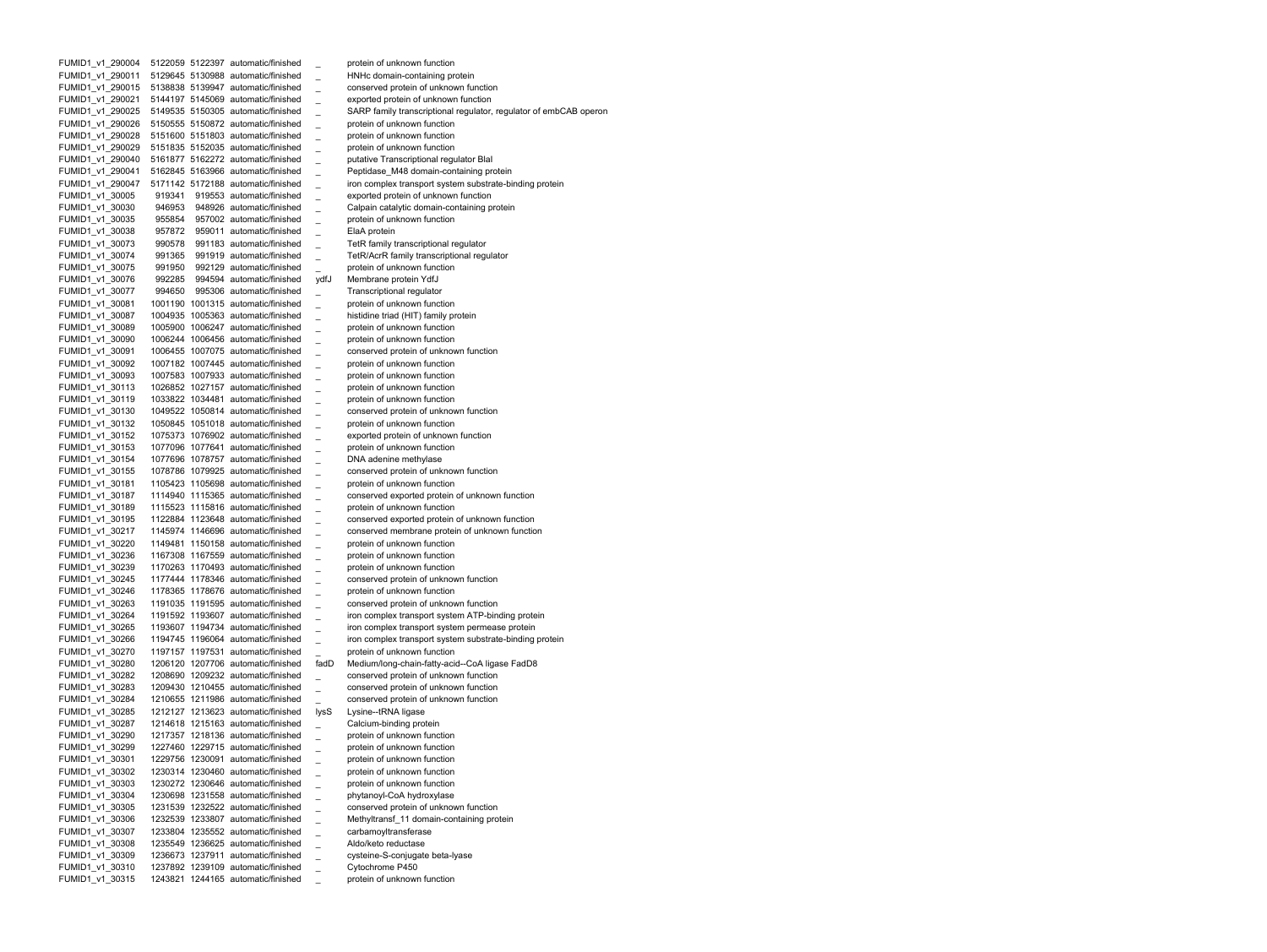FUMID1 v1 290004 5122059 5122397 automatic/finished protein of unknown function FUMID1 v1 290011 5129645 5130988 automatic/finished HNHc domain-containing protein FUMID1 v1 290015 5138838 5139947 automatic/finished conserved protein of unknown function FUMID1 v1 290021 5144197 5145069 automatic/finished exported protein of unknown function FUMID1 v1 290025 5149535 5150305 automatic/finished SARP family transcriptional regulator, regulator of embCAB operon FUMID1 v1 290026 5150555 5150872 automatic/finished protein of unknown function FUMID1 v1 290028 5151600 5151803 automatic/finished protein of unknown function FUMID1 v1 290029 5151835 5152035 automatic/finished protein of unknown function FUMID1 v1 290040 5161877 5162272 automatic/finished putative Transcriptional regulator BlaI FUMID1 v1 290041 5162845 5163966 automatic/finished Peptidase M48 domain-containing protein FUMID1 v1 290047 5171142 5172188 automatic/finished iron complex transport system substrate-binding protein FUMID1 v1 30005 919341 919553 automatic/finished exported protein of unknown function FUMID1 v1 30030 946953 948926 automatic/finished Calpain catalytic domain-containing protein FUMID1 v1 30035 955854 957002 automatic/finished protein of unknown function FUMID1 v1 30038 957872 959011 automatic/finished ElaA protein FUMID1 v1 30073 990578 991183 automatic/finished TetR family transcriptional regulator FUMID1 v1 30074 991365 991919 automatic/finished TetR/AcrR family transcriptional regulator FUMID1 v1 30075 991950 992129 automatic/finished protein of unknown function FUMID1 v1 30076 992285 994594 automatic/finished ydfJ Membrane protein YdfJ FUMID1\_v1\_30077 994650 995306 automatic/finished \_ Transcriptional regulator FUMID1 v1 30081 1001190 1001315 automatic/finished protein of unknown function FUMID1 v1 30087 1004935 1005363 automatic/finished histidine triad (HIT) family protein FUMID1 v1 30089 1005900 1006247 automatic/finished protein of unknown function FUMID1 v1 30090 1006244 1006456 automatic/finished protein of unknown function FUMID1 v1 30091 1006455 1007075 automatic/finished conserved protein of unknown function FUMID1 v1 30092 1007182 1007445 automatic/finished protein of unknown function FUMID1 v1 30093 1007583 1007933 automatic/finished protein of unknown function FUMID1 v1 30113 1026852 1027157 automatic/finished protein of unknown function FUMID1 v1 30119 1033822 1034481 automatic/finished protein of unknown function FUMID1 v1 30130 1049522 1050814 automatic/finished conserved protein of unknown function FUMID1 v1 30132 1050845 1051018 automatic/finished protein of unknown function FUMID1 v1 30152 1075373 1076902 automatic/finished exported protein of unknown function FUMID1 v1 30153 1077096 1077641 automatic/finished protein of unknown function FUMID1 v1 30154 1077696 1078757 automatic/finished DNA adenine methylase FUMID1 v1 30155 1078786 1079925 automatic/finished conserved protein of unknown function FUMID1\_v1\_30181 1105423 1105698 automatic/finished \_ protein of unknown function FUMID1 v1 30187 1114940 1115365 automatic/finished conserved exported protein of unknown function FUMID1 v1 30189 1115523 1115816 automatic/finished protein of unknown function FUMID1 v1 30195 1122884 1123648 automatic/finished conserved exported protein of unknown function FUMID1 v1 30217 1145974 1146696 automatic/finished conserved membrane protein of unknown function FUMID1 v1 30220 1149481 1150158 automatic/finished protein of unknown function FUMID1 v1 30236 1167308 1167559 automatic/finished protein of unknown function FUMID1 v1 30239 1170263 1170493 automatic/finished protein of unknown function FUMID1 v1 30245 1177444 1178346 automatic/finished conserved protein of unknown function FUMID1 v1 30246 1178365 1178676 automatic/finished protein of unknown function FUMID1 v1 30263 1191035 1191595 automatic/finished conserved protein of unknown function FUMID1 v1 30264 1191592 1193607 automatic/finished iron complex transport system ATP-binding protein FUMID1 v1 30265 1193607 1194734 automatic/finished \_ iron complex transport system permease protein FUMID1 v1 30266 1194745 1196064 automatic/finished iron complex transport system substrate-binding protein FUMID1 v1 30270 1197157 1197531 automatic/finished protein of unknown function FUMID1 v1 30280 1206120 1207706 automatic/finished fadD Medium/long-chain-fatty-acid--CoA ligase FadD8 FUMID1 v1 30282 1208690 1209232 automatic/finished conserved protein of unknown function FUMID1 v1 30283 1209430 1210455 automatic/finished conserved protein of unknown function FUMID1 v1 30284 1210655 1211986 automatic/finished conserved protein of unknown function FUMID1 v1 30285 1212127 1213623 automatic/finished lysS Lysine--tRNA ligase FUMID1 v1 30287 1214618 1215163 automatic/finished Calcium-binding protein FUMID1 v1 30290 1217357 1218136 automatic/finished protein of unknown function FUMID1 v1 30299 1227460 1229715 automatic/finished protein of unknown function FUMID1 v1 30301 1229756 1230091 automatic/finished protein of unknown function FUMID1 v1 30302 1230314 1230460 automatic/finished protein of unknown function FUMID1\_v1\_30303 1230272 1230646 automatic/finished \_ protein of unknown function FUMID1\_v1\_30304 1230698 1231558 automatic/finished \_ phytanoyl-CoA hydroxylase FUMID1\_v1\_30305 1231539 1232522 automatic/finished \_ conserved protein of unknown function FUMID1\_v1\_30306 1232539 1233807 automatic/finished \_ Methyltransf\_11 domain-containing protein FUMID1\_v1\_30307 1233804 1235552 automatic/finished \_ carbamoyltransferase FUMID1\_v1\_30308 1235549 1236625 automatic/finished \_ Aldo/keto reductase FUMID1\_v1\_30309 1236673 1237911 automatic/finished \_ cysteine-S-conjugate beta-lyase FUMID1\_v1\_30310 1237892 1239109 automatic/finished \_ Cytochrome P450 FUMID1\_v1\_30315 1243821 1244165 automatic/finished \_ protein of unknown function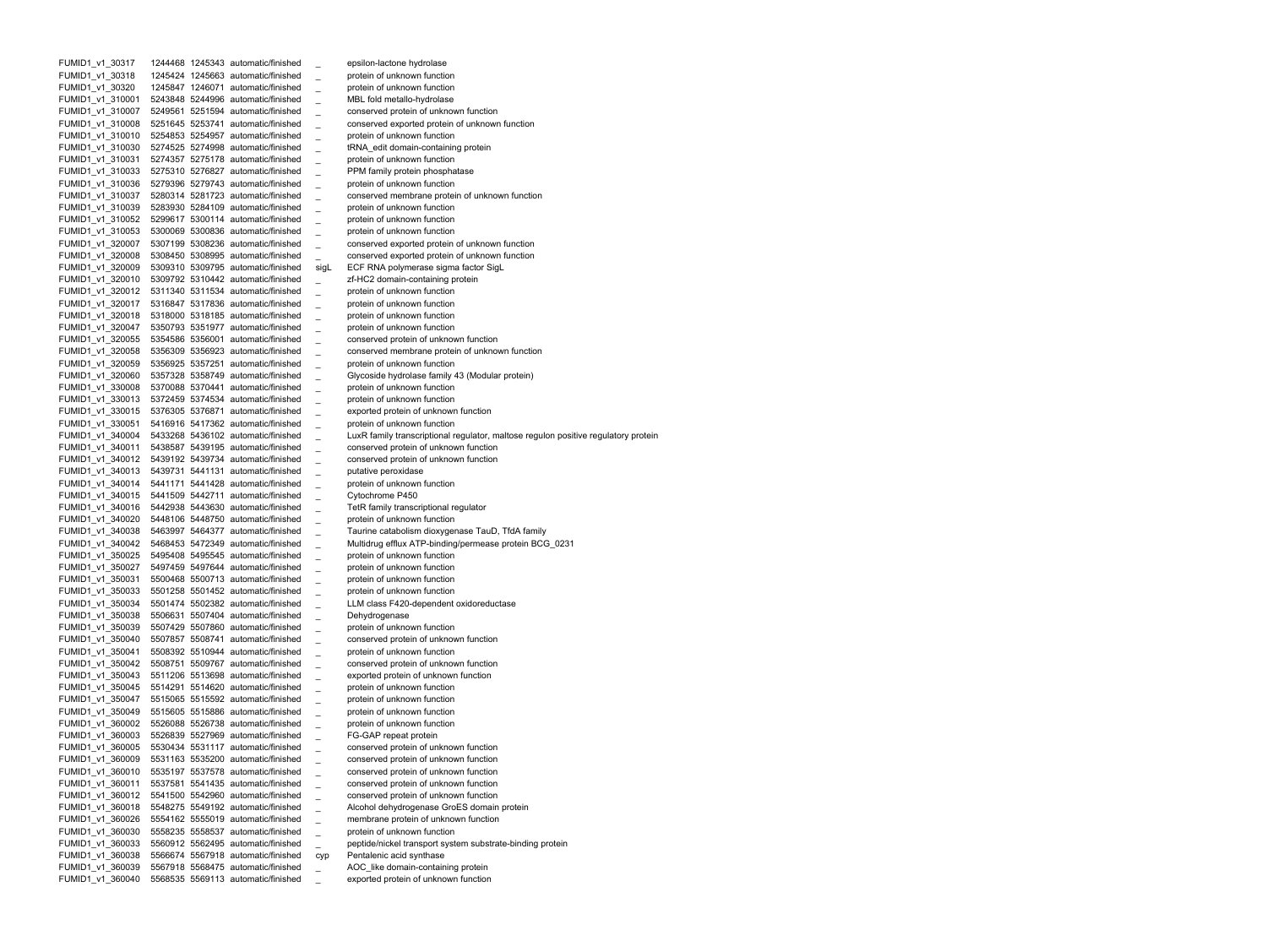FUMID1 v1 30317 1244468 1245343 automatic/finished epsilon-lactone hydrolase FUMID1 v1 30318 1245424 1245663 automatic/finished protein of unknown function FUMID1 v1 30320 1245847 1246071 automatic/finished protein of unknown function FUMID1 v1 310001 5243848 5244996 automatic/finished MBL fold metallo-hydrolase FUMID1 v1 310007 5249561 5251594 automatic/finished conserved protein of unknown function FUMID1 v1 310008 5251645 5253741 automatic/finished conserved exported protein of unknown function FUMID1 v1 310010 5254853 5254957 automatic/finished protein of unknown function FUMID1 v1 310030 5274525 5274998 automatic/finished tRNA edit domain-containing protein FUMID1 v1 310031 5274357 5275178 automatic/finished protein of unknown function FUMID1 v1 310033 5275310 5276827 automatic/finished PPM family protein phosphatase FUMID1 v1 310036 5279396 5279743 automatic/finished protein of unknown function FUMID1 v1 310037 5280314 5281723 automatic/finished conserved membrane protein of unknown function FUMID1 v1 310039 5283930 5284109 automatic/finished protein of unknown function FUMID1 v1 310052 5299617 5300114 automatic/finished protein of unknown function FUMID1 v1 310053 5300069 5300836 automatic/finished protein of unknown function FUMID1 v1 320007 5307199 5308236 automatic/finished conserved exported protein of unknown function FUMID1 v1 320008 5308450 5308995 automatic/finished conserved exported protein of unknown function FUMID1 v1 320009 5309310 5309795 automatic/finished sigL ECF RNA polymerase sigma factor SigL FUMID1 v1 320010 5309792 5310442 automatic/finished zf-HC2 domain-containing protein FUMID1 v1 320012 5311340 5311534 automatic/finished protein of unknown function FUMID1 v1 320017 5316847 5317836 automatic/finished protein of unknown function FUMID1 v1 320018 5318000 5318185 automatic/finished protein of unknown function FUMID1 v1 320047 5350793 5351977 automatic/finished protein of unknown function FUMID1 v1 320055 5354586 5356001 automatic/finished conserved protein of unknown function FUMID1 v1 320058 5356309 5356923 automatic/finished conserved membrane protein of unknown function FUMID1 v1 320059 5356925 5357251 automatic/finished protein of unknown function FUMID1\_v1\_320060 5357328 5358749 automatic/finished \_ Glycoside hydrolase family 43 (Modular protein) FUMID1 v1 330008 5370088 5370441 automatic/finished protein of unknown function FUMID1 v1 330013 5372459 5374534 automatic/finished protein of unknown function FUMID1 v1 330015 5376305 5376871 automatic/finished exported protein of unknown function FUMID1 v1 330051 5416916 5417362 automatic/finished protein of unknown function FUMID1 v1 340004 5433268 5436102 automatic/finished LuxR family transcriptional regulator, maltose regulon positive regulatory protein FUMID1 v1 340011 5438587 5439195 automatic/finished conserved protein of unknown function FUMID1 v1 340012 5439192 5439734 automatic/finished conserved protein of unknown function FUMID1 v1 340013 5439731 5441131 automatic/finished putative peroxidase FUMID1 v1 340014 5441171 5441428 automatic/finished protein of unknown function FUMID1 v1 340015 5441509 5442711 automatic/finished Cytochrome P450 FUMID1 v1 340016 5442938 5443630 automatic/finished TetR family transcriptional regulator FUMID1 v1 340020 5448106 5448750 automatic/finished protein of unknown function FUMID1 v1 340038 5463997 5464377 automatic/finished Taurine catabolism dioxygenase TauD, TfdA family FUMID1 v1 340042 5468453 5472349 automatic/finished Multidrug efflux ATP-binding/permease protein BCG 0231 FUMID1 v1 350025 5495408 5495545 automatic/finished protein of unknown function FUMID1 v1 350027 5497459 5497644 automatic/finished protein of unknown function FUMID1 v1 350031 5500468 5500713 automatic/finished protein of unknown function FUMID1 v1 350033 5501258 5501452 automatic/finished protein of unknown function FUMID1 v1 350034 5501474 5502382 automatic/finished LLM class F420-dependent oxidoreductase FUMID1 v1 350038 5506631 5507404 automatic/finished Dehydrogenase FUMID1 v1 350039 5507429 5507860 automatic/finished protein of unknown function FUMID1 v1 350040 5507857 5508741 automatic/finished conserved protein of unknown function FUMID1 v1 350041 5508392 5510944 automatic/finished protein of unknown function FUMID1 v1 350042 5508751 5509767 automatic/finished conserved protein of unknown function FUMID1 v1 350043 5511206 5513698 automatic/finished exported protein of unknown function FUMID1 v1 350045 5514291 5514620 automatic/finished protein of unknown function FUMID1 v1 350047 5515065 5515592 automatic/finished protein of unknown function FUMID1 v1 350049 5515605 5515886 automatic/finished protein of unknown function FUMID1 v1 360002 5526088 5526738 automatic/finished protein of unknown function FUMID1 v1 360003 5526839 5527969 automatic/finished FG-GAP repeat protein FUMID1 v1 360005 5530434 5531117 automatic/finished conserved protein of unknown function FUMID1 v1 360009 5531163 5535200 automatic/finished conserved protein of unknown function FUMID1 v1 360010 5535197 5537578 automatic/finished conserved protein of unknown function FUMID1 v1 360011 5537581 5541435 automatic/finished conserved protein of unknown function FUMID1\_v1\_360012 5541500 5542960 automatic/finished \_ conserved protein of unknown function FUMID1\_v1\_360018 5548275 5549192 automatic/finished \_ Alcohol dehydrogenase GroES domain protein FUMID1\_v1\_360026 5554162 5555019 automatic/finished \_ membrane protein of unknown function FUMID1\_v1\_360030 5558235 5558537 automatic/finished \_ protein of unknown function FUMID1\_v1\_360033 5560912 5562495 automatic/finished \_ peptide/nickel transport system substrate-binding protein FUMID1\_v1\_360038 5566674 5567918 automatic/finished cyp Pentalenic acid synthase FUMID1\_v1\_360039 5567918 5568475 automatic/finished \_ AOC\_like domain-containing protein FUMID1\_v1\_360040 5568535 5569113 automatic/finished \_ exported protein of unknown function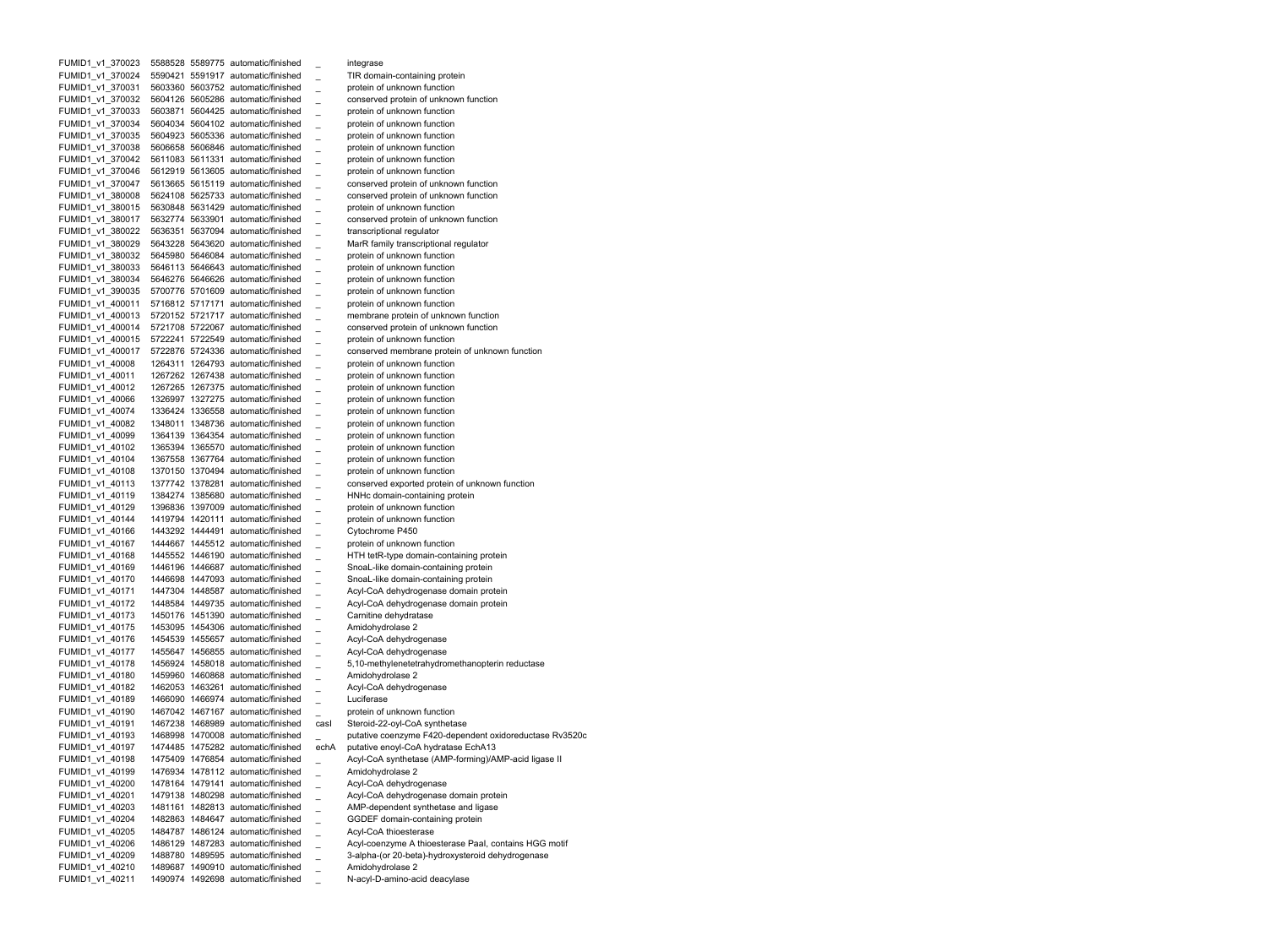FUMID1 v1 370023 5588528 5589775 automatic/finished integrase FUMID1 v1 370024 5590421 5591917 automatic/finished TIR domain-containing protein FUMID1 v1 370031 5603360 5603752 automatic/finished protein of unknown function FUMID1 v1 370032 5604126 5605286 automatic/finished conserved protein of unknown function FUMID1 v1 370033 5603871 5604425 automatic/finished protein of unknown function FUMID1 v1 370034 5604034 5604102 automatic/finished protein of unknown function FUMID1 v1 370035 5604923 5605336 automatic/finished protein of unknown function FUMID1 v1 370038 5606658 5606846 automatic/finished protein of unknown function FUMID1 v1 370042 5611083 5611331 automatic/finished protein of unknown function FUMID1 v1 370046 5612919 5613605 automatic/finished protein of unknown function FUMID1 v1 370047 5613665 5615119 automatic/finished conserved protein of unknown function FUMID1 v1 380008 5624108 5625733 automatic/finished conserved protein of unknown function FUMID1 v1 380015 5630848 5631429 automatic/finished protein of unknown function FUMID1 v1 380017 5632774 5633901 automatic/finished conserved protein of unknown function FUMID1 v1 380022 5636351 5637094 automatic/finished transcriptional regulator FUMID1 v1 380029 5643228 5643620 automatic/finished MarR family transcriptional regulator FUMID1 v1 380032 5645980 5646084 automatic/finished protein of unknown function FUMID1 v1 380033 5646113 5646643 automatic/finished protein of unknown function FUMID1 v1 380034 5646276 5646626 automatic/finished protein of unknown function FUMID1 v1 390035 5700776 5701609 automatic/finished protein of unknown function FUMID1 v1 400011 5716812 5717171 automatic/finished protein of unknown function FUMID1 v1 400013 5720152 5721717 automatic/finished membrane protein of unknown function FUMID1 v1 400014 5721708 5722067 automatic/finished conserved protein of unknown function FUMID1 v1 400015 5722241 5722549 automatic/finished protein of unknown function FUMID1 v1 400017 5722876 5724336 automatic/finished conserved membrane protein of unknown function FUMID1 v1 40008 1264311 1264793 automatic/finished protein of unknown function FUMID1 v1 40011 1267262 1267438 automatic/finished protein of unknown function FUMID1 v1 40012 1267265 1267375 automatic/finished protein of unknown function FUMID1 v1 40066 1326997 1327275 automatic/finished protein of unknown function FUMID1 v1 40074 1336424 1336558 automatic/finished protein of unknown function FUMID1 v1 40082 1348011 1348736 automatic/finished protein of unknown function FUMID1 v1 40099 1364139 1364354 automatic/finished protein of unknown function FUMID1 v1 40102 1365394 1365570 automatic/finished protein of unknown function FUMID1 v1 40104 1367558 1367764 automatic/finished protein of unknown function FUMID1 v1 40108 1370150 1370494 automatic/finished protein of unknown function FUMID1 v1 40113 1377742 1378281 automatic/finished conserved exported protein of unknown function FUMID1 v1 40119 1384274 1385680 automatic/finished HNHc domain-containing protein FUMID1 v1 40129 1396836 1397009 automatic/finished protein of unknown function FUMID1 v1 40144 1419794 1420111 automatic/finished protein of unknown function FUMID1 v1 40166 1443292 1444491 automatic/finished Cytochrome P450 FUMID1 v1 40167 1444667 1445512 automatic/finished protein of unknown function FUMID1 v1 40168 1445552 1446190 automatic/finished HTH tetR-type domain-containing protein FUMID1 v1 40169 1446196 1446687 automatic/finished SnoaL-like domain-containing protein FUMID1 v1 40170 1446698 1447093 automatic/finished SnoaL-like domain-containing protein FUMID1 v1 40171 1447304 1448587 automatic/finished Acyl-CoA dehydrogenase domain protein FUMID1 v1 40172 1448584 1449735 automatic/finished Acyl-CoA dehydrogenase domain protein FUMID1 v1 40173 1450176 1451390 automatic/finished Carnitine dehydratase FUMID1 v1 40175 1453095 1454306 automatic/finished Amidohydrolase 2 FUMID1 v1 40176 1454539 1455657 automatic/finished \_ Acyl-CoA dehydrogenase FUMID1 v1 40177 1455647 1456855 automatic/finished Acyl-CoA dehydrogenase FUMID1 v1 40178 1456924 1458018 automatic/finished 5,10-methylenetetrahydromethanopterin reductase FUMID1 v1 40180 1459960 1460868 automatic/finished Amidohydrolase 2 FUMID1 v1 40182 1462053 1463261 automatic/finished Acyl-CoA dehydrogenase FUMID1 v1 40189 1466090 1466974 automatic/finished Luciferase FUMID1 v1 40190 1467042 1467167 automatic/finished protein of unknown function FUMID1 v1 40191 1467238 1468989 automatic/finished casI Steroid-22-oyl-CoA synthetase FUMID1 v1 40193 1468998 1470008 automatic/finished putative coenzyme F420-dependent oxidoreductase Rv3520c FUMID1 v1 40197 1474485 1475282 automatic/finished echA putative enoyl-CoA hydratase EchA13 FUMID1 v1 40198 1475409 1476854 automatic/finished Acyl-CoA synthetase (AMP-forming)/AMP-acid ligase II FUMID1 v1 40199 1476934 1478112 automatic/finished Amidohydrolase 2 FUMID1\_v1\_40200 1478164 1479141 automatic/finished \_ Acyl-CoA dehydrogenase FUMID1\_v1\_40201 1479138 1480298 automatic/finished \_ Acyl-CoA dehydrogenase domain protein FUMID1\_v1\_40203 1481161 1482813 automatic/finished \_ AMP-dependent synthetase and ligase FUMID1\_v1\_40204 1482863 1484647 automatic/finished \_ GGDEF domain-containing protein FUMID1\_v1\_40205 1484787 1486124 automatic/finished \_ Acyl-CoA thioesterase FUMID1\_v1\_40206 1486129 1487283 automatic/finished \_ Acyl-coenzyme A thioesterase PaaI, contains HGG motif FUMID1\_v1\_40209 1488780 1489595 automatic/finished \_ 3-alpha-(or 20-beta)-hydroxysteroid dehydrogenase FUMID1\_v1\_40210 1489687 1490910 automatic/finished \_ Amidohydrolase 2 FUMID1\_v1\_40211 1490974 1492698 automatic/finished \_ N-acyl-D-amino-acid deacylase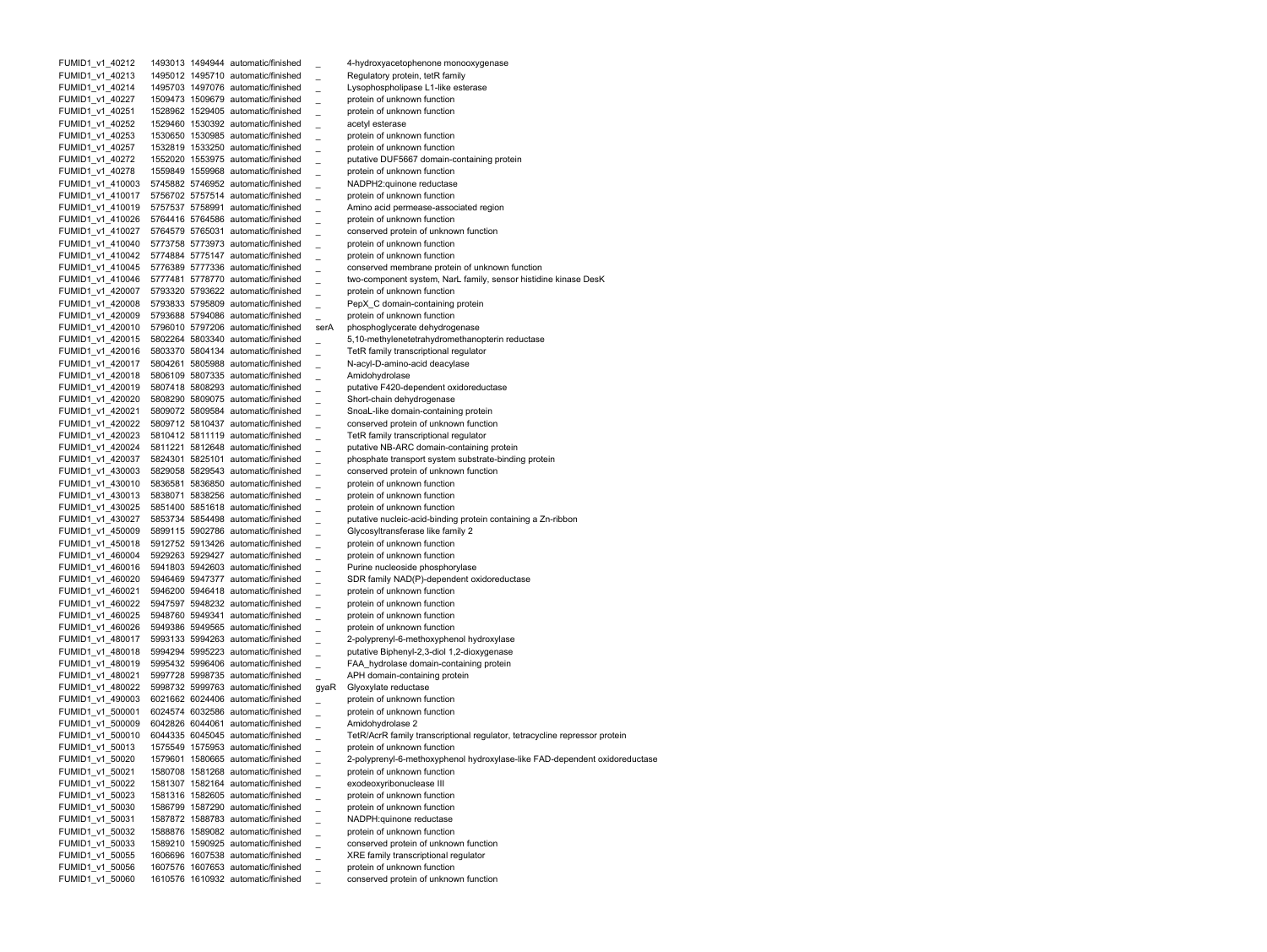FUMID1 v1 40212 1493013 1494944 automatic/finished 4-hydroxyacetophenone monooxygenase FUMID1 v1 40213 1495012 1495710 automatic/finished Regulatory protein, tetR family FUMID1 v1 40214 1495703 1497076 automatic/finished Lysophospholipase L1-like esterase FUMID1 v1 40227 1509473 1509679 automatic/finished protein of unknown function FUMID1 v1 40251 1528962 1529405 automatic/finished protein of unknown function FUMID1 v1 40252 1529460 1530392 automatic/finished acetyl esterase FUMID1 v1 40253 1530650 1530985 automatic/finished protein of unknown function FUMID1 v1 40257 1532819 1533250 automatic/finished protein of unknown function FUMID1 v1 40272 1552020 1553975 automatic/finished putative DUF5667 domain-containing protein FUMID1 v1 40278 1559849 1559968 automatic/finished protein of unknown function FUMID1 v1 410003 5745882 5746952 automatic/finished \_ NADPH2:quinone reductase FUMID1 v1 410017 5756702 5757514 automatic/finished protein of unknown function FUMID1 v1 410019 5757537 5758991 automatic/finished Amino acid permease-associated region FUMID1 v1 410026 5764416 5764586 automatic/finished protein of unknown function FUMID1 v1 410027 5764579 5765031 automatic/finished conserved protein of unknown function FUMID1 v1 410040 5773758 5773973 automatic/finished protein of unknown function FUMID1 v1 410042 5774884 5775147 automatic/finished protein of unknown function FUMID1 v1 410045 5776389 5777336 automatic/finished conserved membrane protein of unknown function FUMID1 v1 410046 5777481 5778770 automatic/finished two-component system, NarL family, sensor histidine kinase DesK FUMID1 v1 420007 5793320 5793622 automatic/finished protein of unknown function FUMID1 v1 420008 5793833 5795809 automatic/finished PepX C domain-containing protein FUMID1 v1 420009 5793688 5794086 automatic/finished protein of unknown function FUMID1 v1 420010 5796010 5797206 automatic/finished serA phosphoglycerate dehydrogenase FUMID1 v1 420015 5802264 5803340 automatic/finished 5,10-methylenetetrahydromethanopterin reductase FUMID1 v1 420016 5803370 5804134 automatic/finished TetR family transcriptional regulator FUMID1 v1 420017 5804261 5805988 automatic/finished N-acyl-D-amino-acid deacylase FUMID1 v1 420018 5806109 5807335 automatic/finished Amidohydrolase FUMID1 v1 420019 5807418 5808293 automatic/finished putative F420-dependent oxidoreductase FUMID1 v1 420020 5808290 5809075 automatic/finished Short-chain dehydrogenase FUMID1 v1 420021 5809072 5809584 automatic/finished SnoaL-like domain-containing protein FUMID1 v1 420022 5809712 5810437 automatic/finished conserved protein of unknown function FUMID1 v1 420023 5810412 5811119 automatic/finished TetR family transcriptional regulator FUMID1 v1 420024 5811221 5812648 automatic/finished putative NB-ARC domain-containing protein FUMID1 v1 420037 5824301 5825101 automatic/finished phosphate transport system substrate-binding protein FUMID1 v1 430003 5829058 5829543 automatic/finished conserved protein of unknown function FUMID1 v1 430010 5836581 5836850 automatic/finished protein of unknown function FUMID1 v1 430013 5838071 5838256 automatic/finished protein of unknown function FUMID1 v1 430025 5851400 5851618 automatic/finished protein of unknown function FUMID1 v1 430027 5853734 5854498 automatic/finished putative nucleic-acid-binding protein containing a Zn-ribbon FUMID1 v1 450009 5899115 5902786 automatic/finished Glycosyltransferase like family 2 FUMID1 v1 450018 5912752 5913426 automatic/finished protein of unknown function FUMID1 v1 460004 5929263 5929427 automatic/finished protein of unknown function FUMID1 v1 460016 5941803 5942603 automatic/finished Purine nucleoside phosphorylase FUMID1 v1 460020 5946469 5947377 automatic/finished SDR family NAD(P)-dependent oxidoreductase FUMID1 v1 460021 5946200 5946418 automatic/finished protein of unknown function FUMID1 v1 460022 5947597 5948232 automatic/finished protein of unknown function FUMID1 v1 460025 5948760 5949341 automatic/finished protein of unknown function FUMID1 v1 460026 5949386 5949565 automatic/finished protein of unknown function FUMID1\_v1\_480017 5993133 5994263 automatic/finished \_ 2-polyprenyl-6-methoxyphenol hydroxylase FUMID1 v1 480018 5994294 5995223 automatic/finished putative Biphenyl-2,3-diol 1,2-dioxygenase FUMID1 v1 480019 5995432 5996406 automatic/finished FAA hydrolase domain-containing protein FUMID1 v1 480021 5997728 5998735 automatic/finished APH domain-containing protein FUMID1 v1 480022 5998732 5999763 automatic/finished gyaR Glyoxylate reductase FUMID1 v1 490003 6021662 6024406 automatic/finished protein of unknown function FUMID1 v1 500001 6024574 6032586 automatic/finished protein of unknown function FUMID1 v1 500009 6042826 6044061 automatic/finished Amidohydrolase 2 FUMID1 v1 500010 6044335 6045045 automatic/finished TetR/AcrR family transcriptional regulator, tetracycline repressor protein FUMID1 v1 50013 1575549 1575953 automatic/finished protein of unknown function FUMID1 v1 50020 1579601 1580665 automatic/finished 2-polyprenyl-6-methoxyphenol hydroxylase-like FAD-dependent oxidoreductase FUMID1 v1 50021 1580708 1581268 automatic/finished protein of unknown function FUMID1\_v1\_50022 1581307 1582164 automatic/finished \_ exodeoxyribonuclease III FUMID1\_v1\_50023 1581316 1582605 automatic/finished \_ protein of unknown function FUMID1\_v1\_50030 1586799 1587290 automatic/finished \_ protein of unknown function FUMID1\_v1\_50031 1587872 1588783 automatic/finished \_ NADPH:quinone reductase FUMID1\_v1\_50032 1588876 1589082 automatic/finished \_ protein of unknown function FUMID1\_v1\_50033 1589210 1590925 automatic/finished \_ conserved protein of unknown function FUMID1\_v1\_50055 1606696 1607538 automatic/finished \_ XRE family transcriptional regulator FUMID1\_v1\_50056 1607576 1607653 automatic/finished \_ protein of unknown function FUMID1\_v1\_50060 1610576 1610932 automatic/finished \_ conserved protein of unknown function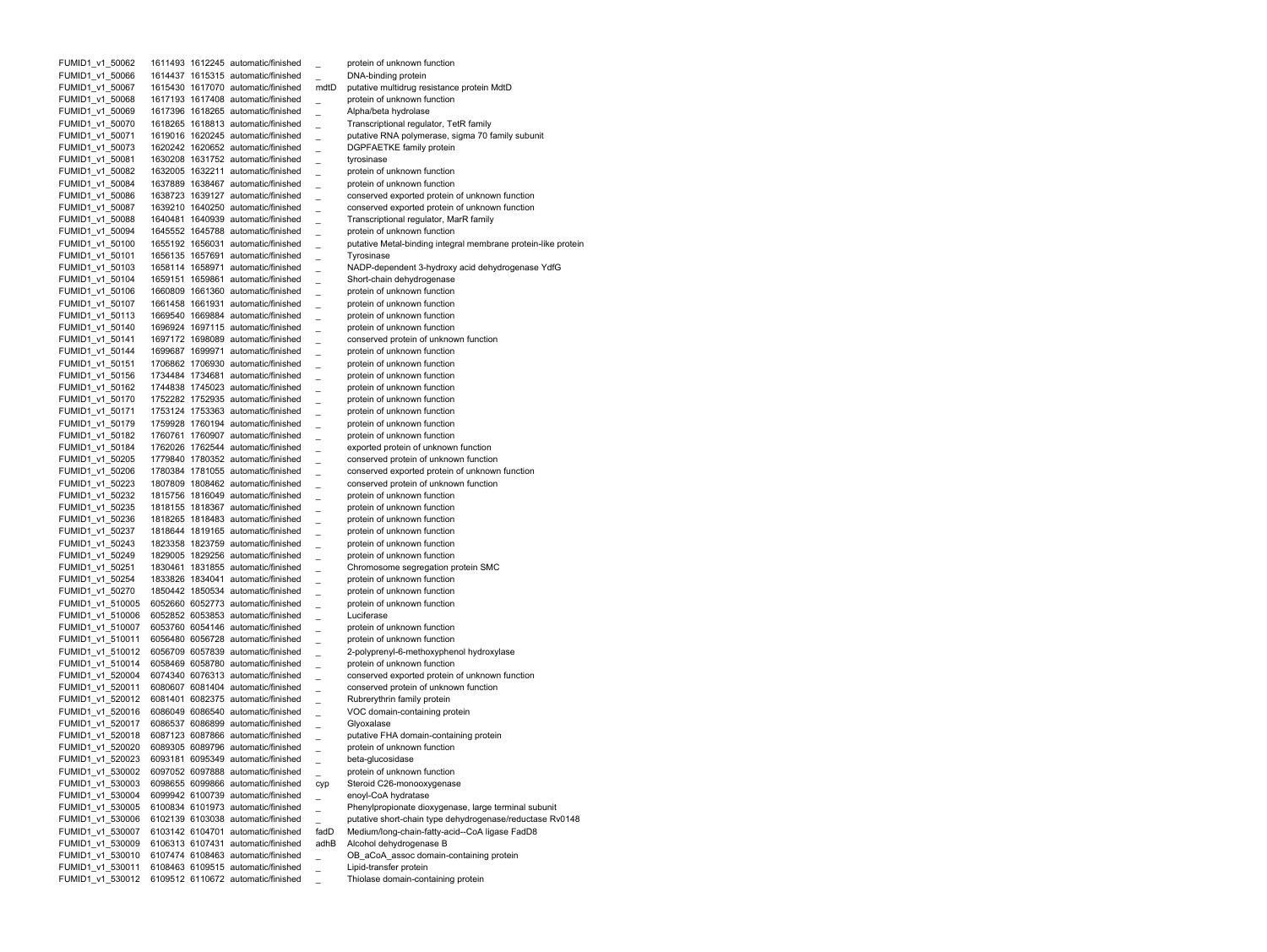| FUMID1_v1_50062  |  | 1611493 1612245 automatic/finished |      | protein of unknown function                                   |
|------------------|--|------------------------------------|------|---------------------------------------------------------------|
| FUMID1 v1 50066  |  | 1614437 1615315 automatic/finished |      | DNA-binding protein                                           |
| FUMID1 v1 50067  |  | 1615430 1617070 automatic/finished | mdtD | putative multidrug resistance protein MdtD                    |
| FUMID1 v1 50068  |  | 1617193 1617408 automatic/finished |      | protein of unknown function                                   |
| FUMID1_v1_50069  |  | 1617396 1618265 automatic/finished |      | Alpha/beta hydrolase                                          |
| FUMID1 v1 50070  |  | 1618265 1618813 automatic/finished |      | Transcriptional regulator, TetR family                        |
| FUMID1 v1 50071  |  | 1619016 1620245 automatic/finished |      | putative RNA polymerase, sigma 70 family subunit              |
| FUMID1_v1_50073  |  | 1620242 1620652 automatic/finished |      | <b>DGPFAETKE family protein</b>                               |
| FUMID1 v1 50081  |  | 1630208 1631752 automatic/finished |      | tyrosinase                                                    |
| FUMID1 v1 50082  |  | 1632005 1632211 automatic/finished |      | protein of unknown function                                   |
| FUMID1_v1_50084  |  | 1637889 1638467 automatic/finished |      | protein of unknown function                                   |
| FUMID1_v1_50086  |  | 1638723 1639127 automatic/finished |      | conserved exported protein of unknown function                |
| FUMID1 v1 50087  |  | 1639210 1640250 automatic/finished |      | conserved exported protein of unknown function                |
| FUMID1 v1 50088  |  | 1640481 1640939 automatic/finished |      | Transcriptional regulator, MarR family                        |
| FUMID1_v1_50094  |  | 1645552 1645788 automatic/finished |      | protein of unknown function                                   |
| FUMID1_v1_50100  |  | 1655192 1656031 automatic/finished |      | putative Metal-binding integral membrane protein-like protein |
| FUMID1 v1 50101  |  | 1656135 1657691 automatic/finished |      | Tyrosinase                                                    |
| FUMID1 v1 50103  |  | 1658114 1658971 automatic/finished |      | NADP-dependent 3-hydroxy acid dehydrogenase YdfG              |
| FUMID1_v1_50104  |  | 1659151 1659861 automatic/finished |      | Short-chain dehydrogenase                                     |
| FUMID1_v1_50106  |  | 1660809 1661360 automatic/finished |      | protein of unknown function                                   |
| FUMID1 v1 50107  |  | 1661458 1661931 automatic/finished |      | protein of unknown function                                   |
| FUMID1 v1 50113  |  | 1669540 1669884 automatic/finished |      | protein of unknown function                                   |
| FUMID1_v1_50140  |  | 1696924 1697115 automatic/finished |      | protein of unknown function                                   |
| FUMID1_v1_50141  |  | 1697172 1698089 automatic/finished |      | conserved protein of unknown function                         |
| FUMID1_v1_50144  |  | 1699687 1699971 automatic/finished |      | protein of unknown function                                   |
| FUMID1_v1_50151  |  | 1706862 1706930 automatic/finished |      | protein of unknown function                                   |
| FUMID1_v1_50156  |  | 1734484 1734681 automatic/finished |      | protein of unknown function                                   |
| FUMID1 v1 50162  |  | 1744838 1745023 automatic/finished |      | protein of unknown function                                   |
| FUMID1_v1_50170  |  | 1752282 1752935 automatic/finished |      | protein of unknown function                                   |
| FUMID1 v1 50171  |  | 1753124 1753363 automatic/finished |      | protein of unknown function                                   |
| FUMID1 v1 50179  |  | 1759928 1760194 automatic/finished |      | protein of unknown function                                   |
| FUMID1 v1 50182  |  | 1760761 1760907 automatic/finished |      | protein of unknown function                                   |
| FUMID1 v1 50184  |  | 1762026 1762544 automatic/finished |      | exported protein of unknown function                          |
| FUMID1 v1 50205  |  | 1779840 1780352 automatic/finished |      | conserved protein of unknown function                         |
| FUMID1 v1 50206  |  | 1780384 1781055 automatic/finished |      | conserved exported protein of unknown function                |
| FUMID1 v1 50223  |  | 1807809 1808462 automatic/finished |      | conserved protein of unknown function                         |
| FUMID1_v1_50232  |  | 1815756 1816049 automatic/finished |      | protein of unknown function                                   |
| FUMID1_v1_50235  |  | 1818155 1818367 automatic/finished |      | protein of unknown function                                   |
| FUMID1 v1 50236  |  | 1818265 1818483 automatic/finished |      | protein of unknown function                                   |
| FUMID1 v1 50237  |  | 1818644 1819165 automatic/finished |      | protein of unknown function                                   |
| FUMID1_v1_50243  |  | 1823358 1823759 automatic/finished |      | protein of unknown function                                   |
| FUMID1_v1_50249  |  | 1829005 1829256 automatic/finished |      | protein of unknown function                                   |
| FUMID1 v1 50251  |  | 1830461 1831855 automatic/finished |      | Chromosome segregation protein SMC                            |
| FUMID1 v1 50254  |  | 1833826 1834041 automatic/finished |      | protein of unknown function                                   |
| FUMID1_v1_50270  |  | 1850442 1850534 automatic/finished |      | protein of unknown function                                   |
| FUMID1_v1_510005 |  | 6052660 6052773 automatic/finished |      | protein of unknown function                                   |
| FUMID1 v1 510006 |  | 6052852 6053853 automatic/finished |      | Luciferase                                                    |
| FUMID1 v1 510007 |  | 6053760 6054146 automatic/finished |      | protein of unknown function                                   |
| FUMID1 v1 510011 |  | 6056480 6056728 automatic/finished |      | protein of unknown function                                   |
| FUMID1_v1_510012 |  | 6056709 6057839 automatic/finished |      | 2-polyprenyl-6-methoxyphenol hydroxylase                      |
| FUMID1 v1 510014 |  | 6058469 6058780 automatic/finished |      | protein of unknown function                                   |
| FUMID1 v1 520004 |  | 6074340 6076313 automatic/finished |      | conserved exported protein of unknown function                |
| FUMID1_v1_520011 |  | 6080607 6081404 automatic/finished |      | conserved protein of unknown function                         |
| FUMID1_v1_520012 |  | 6081401 6082375 automatic/finished |      | Rubrerythrin family protein                                   |
| FUMID1 v1 520016 |  | 6086049 6086540 automatic/finished |      | VOC domain-containing protein                                 |
| FUMID1_v1_520017 |  | 6086537 6086899 automatic/finished |      | Glyoxalase                                                    |
| FUMID1_v1_520018 |  | 6087123 6087866 automatic/finished |      | putative FHA domain-containing protein                        |
| FUMID1_v1_520020 |  | 6089305 6089796 automatic/finished |      | protein of unknown function                                   |
| FUMID1_v1_520023 |  | 6093181 6095349 automatic/finished |      | beta-glucosidase                                              |
| FUMID1 v1 530002 |  | 6097052 6097888 automatic/finished |      | protein of unknown function                                   |
| FUMID1_v1_530003 |  | 6098655 6099866 automatic/finished |      | Steroid C26-monooxygenase                                     |
| FUMID1 v1 530004 |  | 6099942 6100739 automatic/finished | cyp  | enoyl-CoA hydratase                                           |
|                  |  | 6100834 6101973 automatic/finished |      |                                                               |
| FUMID1 v1 530005 |  |                                    |      | Phenylpropionate dioxygenase, large terminal subunit          |
| FUMID1 v1 530006 |  | 6102139 6103038 automatic/finished |      | putative short-chain type dehydrogenase/reductase Rv0148      |
| FUMID1 v1 530007 |  | 6103142 6104701 automatic/finished | fadD | Medium/long-chain-fatty-acid--CoA ligase FadD8                |
| FUMID1 v1 530009 |  | 6106313 6107431 automatic/finished | adhB | Alcohol dehydrogenase B                                       |
| FUMID1 v1 530010 |  | 6107474 6108463 automatic/finished |      | OB_aCoA_assoc domain-containing protein                       |
| FUMID1 v1 530011 |  | 6108463 6109515 automatic/finished |      | Lipid-transfer protein                                        |
| FUMID1 v1 530012 |  | 6109512 6110672 automatic/finished |      | Thiolase domain-containing protein                            |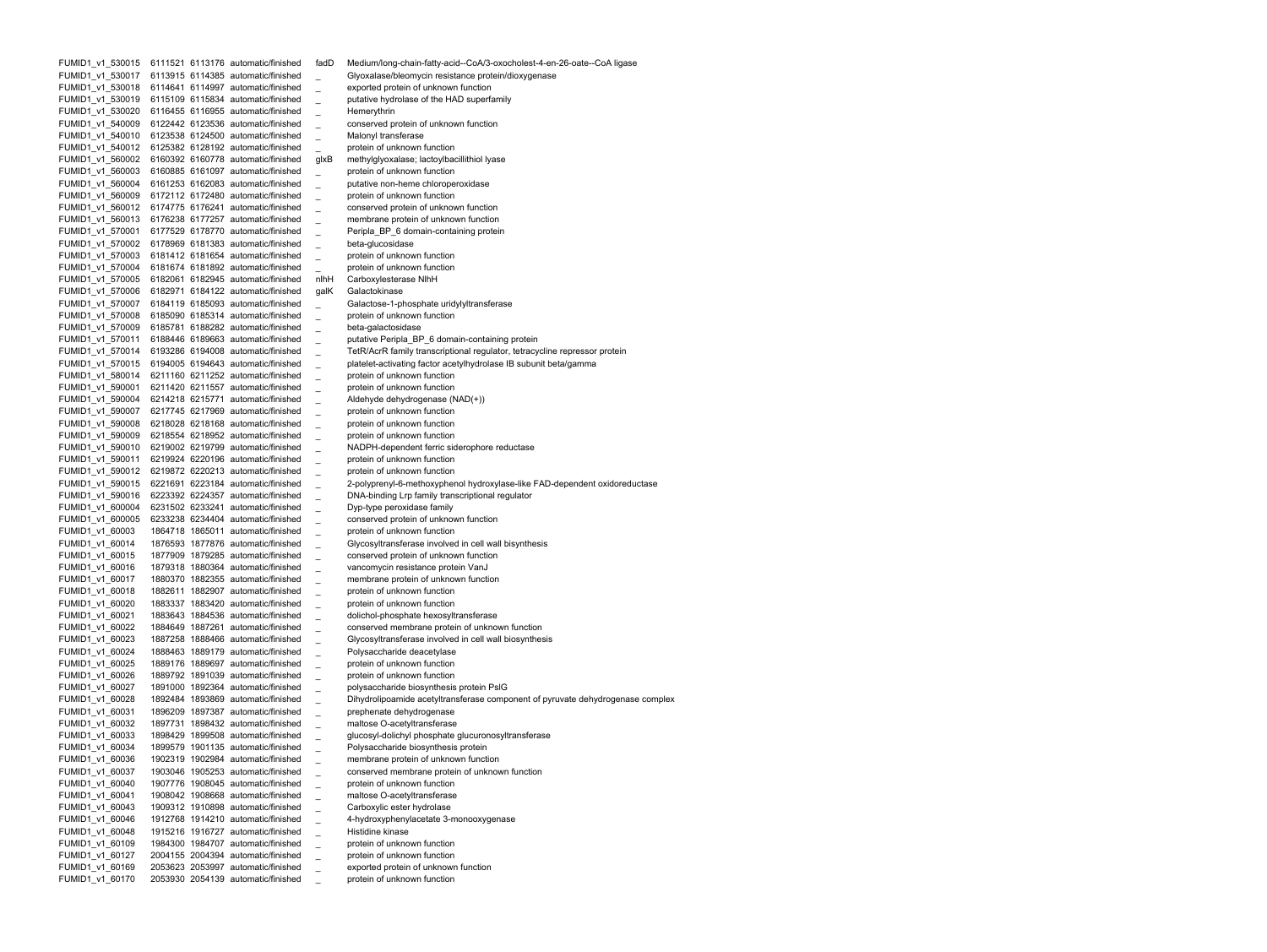FUMID1\_v1\_530015 6111521 6113176 automatic/finished fadD Medium/long-chain-fatty-acid--CoA/3-oxocholest-4-en-26-oate--CoA ligase FUMID1 v1 530017 6113915 6114385 automatic/finished Glyoxalase/bleomycin resistance protein/dioxygenase FUMID1 v1 530018 6114641 6114997 automatic/finished exported protein of unknown function FUMID1 v1 530019 6115109 6115834 automatic/finished putative hydrolase of the HAD superfamily FUMID1 v1 530020 6116455 6116955 automatic/finished Hemerythrin FUMID1 v1 540009 6122442 6123536 automatic/finished conserved protein of unknown function FUMID1 v1 540010 6123538 6124500 automatic/finished Malonyl transferase FUMID1 v1 540012 6125382 6128192 automatic/finished protein of unknown function FUMID1 v1 560002 6160392 6160778 automatic/finished glxB methylglyoxalase; lactoylbacillithiol lyase FUMID1 v1 560003 6160885 6161097 automatic/finished protein of unknown function FUMID1 v1 560004 6161253 6162083 automatic/finished putative non-heme chloroperoxidase FUMID1 v1 560009 6172112 6172480 automatic/finished protein of unknown function FUMID1 v1 560012 6174775 6176241 automatic/finished conserved protein of unknown function FUMID1 v1 560013 6176238 6177257 automatic/finished membrane protein of unknown function FUMID1 v1 570001 6177529 6178770 automatic/finished Peripla BP 6 domain-containing protein FUMID1 v1 570002 6178969 6181383 automatic/finished beta-glucosidase FUMID1 v1 570003 6181412 6181654 automatic/finished protein of unknown function FUMID1 v1 570004 6181674 6181892 automatic/finished protein of unknown function FUMID1 v1 570005 6182061 6182945 automatic/finished nlhH Carboxylesterase NlhH FUMID1 v1 570006 6182971 6184122 automatic/finished galK Galactokinase FUMID1 v1 570007 6184119 6185093 automatic/finished Galactose-1-phosphate uridylyltransferase FUMID1 v1 570008 6185090 6185314 automatic/finished protein of unknown function FUMID1 v1 570009 6185781 6188282 automatic/finished beta-galactosidase FUMID1 v1 570011 6188446 6189663 automatic/finished putative Peripla BP 6 domain-containing protein FUMID1 v1 570014 6193286 6194008 automatic/finished TetR/AcrR family transcriptional regulator, tetracycline repressor protein FUMID1 v1 570015 6194005 6194643 automatic/finished platelet-activating factor acetylhydrolase IB subunit beta/gamma FUMID1 v1 580014 6211160 6211252 automatic/finished protein of unknown function FUMID1 v1 590001 6211420 6211557 automatic/finished protein of unknown function FUMID1 v1 590004 6214218 6215771 automatic/finished Aldehyde dehydrogenase (NAD(+)) FUMID1 v1 590007 6217745 6217969 automatic/finished protein of unknown function FUMID1 v1 590008 6218028 6218168 automatic/finished protein of unknown function FUMID1 v1 590009 6218554 6218952 automatic/finished protein of unknown function FUMID1 v1 590010 6219002 6219799 automatic/finished NADPH-dependent ferric siderophore reductase FUMID1 v1 590011 6219924 6220196 automatic/finished protein of unknown function FUMID1 v1 590012 6219872 6220213 automatic/finished protein of unknown function FUMID1\_v1\_590015 6221691 6223184 automatic/finished \_ 2-polyprenyl-6-methoxyphenol hydroxylase-like FAD-dependent oxidoreductase FUMID1 v1 590016 6223392 6224357 automatic/finished DNA-binding Lrp family transcriptional regulator FUMID1 v1 600004 6231502 6233241 automatic/finished Dyp-type peroxidase family FUMID1 v1 600005 6233238 6234404 automatic/finished conserved protein of unknown function FUMID1 v1 60003 1864718 1865011 automatic/finished protein of unknown function FUMID1 v1 60014 1876593 1877876 automatic/finished Glycosyltransferase involved in cell wall bisynthesis FUMID1 v1 60015 1877909 1879285 automatic/finished conserved protein of unknown function FUMID1 v1 60016 1879318 1880364 automatic/finished vancomycin resistance protein VanJ FUMID1 v1 60017 1880370 1882355 automatic/finished membrane protein of unknown function FUMID1 v1 60018 1882611 1882907 automatic/finished protein of unknown function FUMID1 v1 60020 1883337 1883420 automatic/finished protein of unknown function FUMID1 v1 60021 1883643 1884536 automatic/finished dolichol-phosphate hexosyltransferase FUMID1 v1 60022 1884649 1887261 automatic/finished conserved membrane protein of unknown function FUMID1 v1 60023 1887258 1888466 automatic/finished Glycosyltransferase involved in cell wall biosynthesis FUMID1 v1 60024 1888463 1889179 automatic/finished Polysaccharide deacetylase FUMID1 v1 60025 1889176 1889697 automatic/finished protein of unknown function FUMID1 v1 60026 1889792 1891039 automatic/finished protein of unknown function FUMID1 v1 60027 1891000 1892364 automatic/finished polysaccharide biosynthesis protein PslG FUMID1 v1 60028 1892484 1893869 automatic/finished Dihydrolipoamide acetyltransferase component of pyruvate dehydrogenase complex FUMID1 v1 60031 1896209 1897387 automatic/finished prephenate dehydrogenase FUMID1 v1 60032 1897731 1898432 automatic/finished maltose O-acetyltransferase FUMID1 v1 60033 1898429 1899508 automatic/finished glucosyl-dolichyl phosphate glucuronosyltransferase FUMID1 v1 60034 1899579 1901135 automatic/finished Polysaccharide biosynthesis protein FUMID1 v1 60036 1902319 1902984 automatic/finished membrane protein of unknown function FUMID1 v1 60037 1903046 1905253 automatic/finished conserved membrane protein of unknown function FUMID1\_v1\_60040 1907776 1908045 automatic/finished \_ protein of unknown function FUMID1\_v1\_60041 1908042 1908668 automatic/finished \_ maltose O-acetyltransferase FUMID1\_v1\_60043 1909312 1910898 automatic/finished \_ Carboxylic ester hydrolase FUMID1\_v1\_60046 1912768 1914210 automatic/finished \_ 4-hydroxyphenylacetate 3-monooxygenase FUMID1\_v1\_60048 1915216 1916727 automatic/finished \_ Histidine kinase FUMID1\_v1\_60109 1984300 1984707 automatic/finished \_ protein of unknown function FUMID1\_v1\_60127 2004155 2004394 automatic/finished \_ protein of unknown function FUMID1\_v1\_60169 2053623 2053997 automatic/finished \_ exported protein of unknown function FUMID1\_v1\_60170 2053930 2054139 automatic/finished \_ protein of unknown function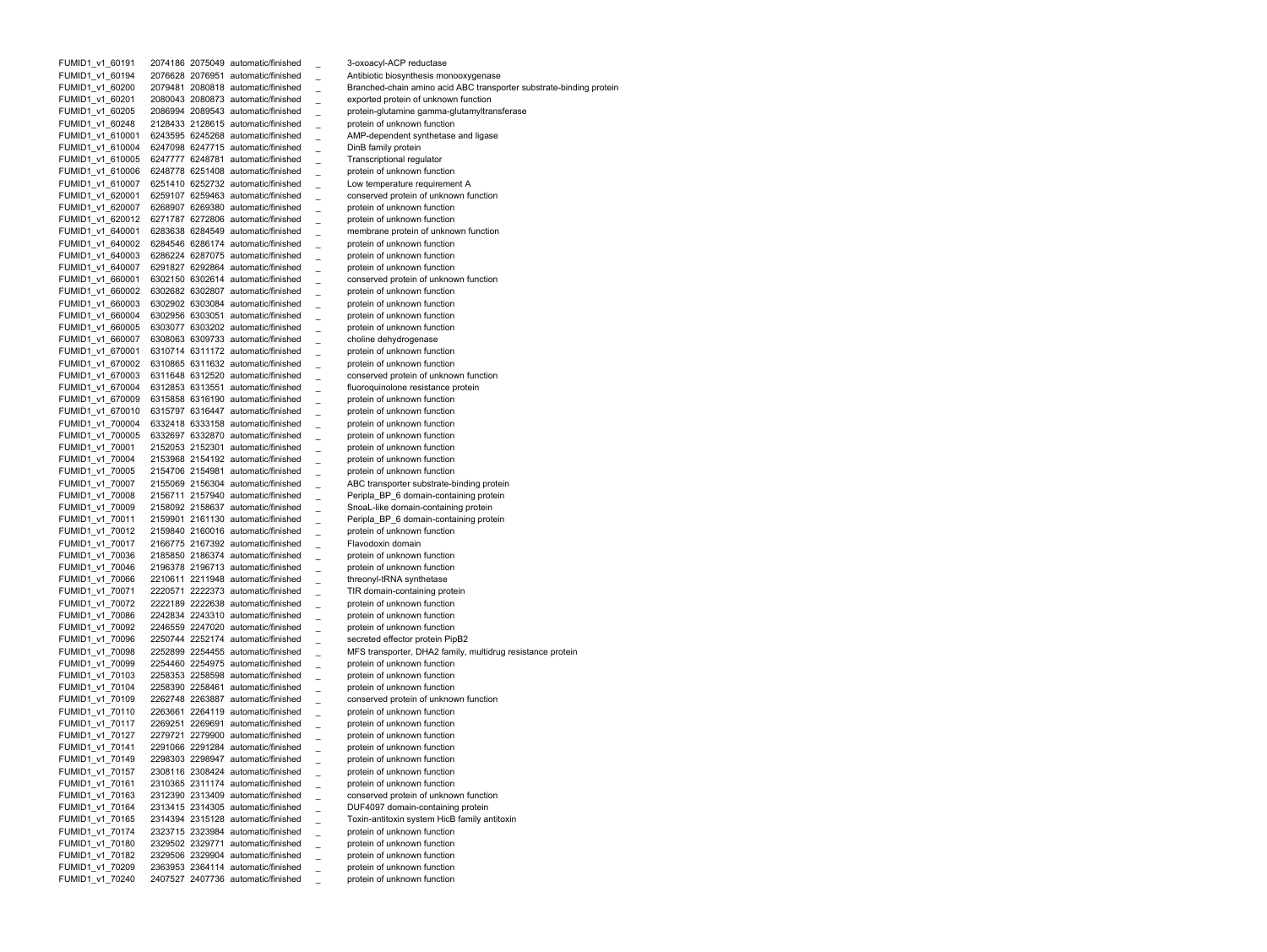FUMID1 v1 60191 2074186 2075049 automatic/finished 3-oxoacyl-ACP reductase FUMID1 v1 60194 2076628 2076951 automatic/finished Antibiotic biosynthesis monooxygenase FUMID1 v1 60200 2079481 2080818 automatic/finished Branched-chain amino acid ABC transporter substrate-binding protein FUMID1 v1 60201 2080043 2080873 automatic/finished exported protein of unknown function FUMID1 v1 60205 2086994 2089543 automatic/finished protein-glutamine gamma-glutamyltransferase FUMID1 v1 60248 2128433 2128615 automatic/finished protein of unknown function FUMID1 v1 610001 6243595 6245268 automatic/finished AMP-dependent synthetase and ligase FUMID1 v1 610004 6247098 6247715 automatic/finished DinB family protein FUMID1 v1 610005 6247777 6248781 automatic/finished Transcriptional regulator FUMID1 v1 610006 6248778 6251408 automatic/finished protein of unknown function FUMID1 v1 610007 6251410 6252732 automatic/finished Low temperature requirement A FUMID1 v1 620001 6259107 6259463 automatic/finished conserved protein of unknown function FUMID1 v1 620007 6268907 6269380 automatic/finished protein of unknown function FUMID1 v1 620012 6271787 6272806 automatic/finished protein of unknown function FUMID1 v1 640001 6283638 6284549 automatic/finished membrane protein of unknown function FUMID1 v1 640002 6284546 6286174 automatic/finished protein of unknown function FUMID1 v1 640003 6286224 6287075 automatic/finished protein of unknown function FUMID1 v1 640007 6291827 6292864 automatic/finished protein of unknown function FUMID1 v1 660001 6302150 6302614 automatic/finished conserved protein of unknown function FUMID1 v1 660002 6302682 6302807 automatic/finished protein of unknown function FUMID1 v1 660003 6302902 6303084 automatic/finished protein of unknown function FUMID1 v1 660004 6302956 6303051 automatic/finished protein of unknown function FUMID1 v1 660005 6303077 6303202 automatic/finished protein of unknown function FUMID1 v1 660007 6308063 6309733 automatic/finished choline dehydrogenase FUMID1 v1 670001 6310714 6311172 automatic/finished protein of unknown function FUMID1 v1 670002 6310865 6311632 automatic/finished protein of unknown function FUMID1 v1 670003 6311648 6312520 automatic/finished conserved protein of unknown function FUMID1 v1 670004 6312853 6313551 automatic/finished fluoroquinolone resistance protein FUMID1 v1 670009 6315858 6316190 automatic/finished protein of unknown function FUMID1 v1 670010 6315797 6316447 automatic/finished protein of unknown function FUMID1 v1 700004 6332418 6333158 automatic/finished protein of unknown function FUMID1 v1 700005 6332697 6332870 automatic/finished protein of unknown function FUMID1 v1 70001 2152053 2152301 automatic/finished protein of unknown function FUMID1 v1 70004 2153968 2154192 automatic/finished protein of unknown function FUMID1 v1 70005 2154706 2154981 automatic/finished protein of unknown function FUMID1 v1 70007 2155069 2156304 automatic/finished ABC transporter substrate-binding protein FUMID1 v1 70008 2156711 2157940 automatic/finished Peripla BP 6 domain-containing protein FUMID1 v1 70009 2158092 2158637 automatic/finished SnoaL-like domain-containing protein FUMID1 v1 70011 2159901 2161130 automatic/finished Peripla BP 6 domain-containing protein FUMID1 v1 70012 2159840 2160016 automatic/finished protein of unknown function FUMID1 v1 70017 2166775 2167392 automatic/finished Flavodoxin domain FUMID1 v1 70036 2185850 2186374 automatic/finished protein of unknown function FUMID1 v1 70046 2196378 2196713 automatic/finished protein of unknown function FUMID1 v1 70066 2210611 2211948 automatic/finished threonyl-tRNA synthetase FUMID1 v1 70071 2220571 2222373 automatic/finished TIR domain-containing protein FUMID1 v1 70072 2222189 2222638 automatic/finished protein of unknown function FUMID1 v1 70086 2242834 2243310 automatic/finished protein of unknown function FUMID1 v1 70092 2246559 2247020 automatic/finished protein of unknown function FUMID1 v1 70096 2250744 2252174 automatic/finished secreted effector protein PipB2 FUMID1 v1 70098 2252899 2254455 automatic/finished MFS transporter, DHA2 family, multidrug resistance protein FUMID1 v1 70099 2254460 2254975 automatic/finished protein of unknown function FUMID1 v1 70103 2258353 2258598 automatic/finished protein of unknown function FUMID1 v1 70104 2258390 2258461 automatic/finished protein of unknown function FUMID1 v1 70109 2262748 2263887 automatic/finished conserved protein of unknown function FUMID1 v1 70110 2263661 2264119 automatic/finished protein of unknown function FUMID1 v1 70117 2269251 2269691 automatic/finished \_ protein of unknown function FUMID1 v1 70127 2279721 2279900 automatic/finished protein of unknown function FUMID1 v1 70141 2291066 2291284 automatic/finished protein of unknown function FUMID1 v1 70149 2298303 2298947 automatic/finished protein of unknown function FUMID1 v1 70157 2308116 2308424 automatic/finished protein of unknown function FUMID1\_v1\_70161 2310365 2311174 automatic/finished \_ protein of unknown function FUMID1\_v1\_70163 2312390 2313409 automatic/finished \_ conserved protein of unknown function FUMID1\_v1\_70164 2313415 2314305 automatic/finished \_ DUF4097 domain-containing protein FUMID1\_v1\_70165 2314394 2315128 automatic/finished \_ Toxin-antitoxin system HicB family antitoxin FUMID1\_v1\_70174 2323715 2323984 automatic/finished \_ protein of unknown function FUMID1\_v1\_70180 2329502 2329771 automatic/finished \_ protein of unknown function FUMID1\_v1\_70182 2329506 2329904 automatic/finished \_ protein of unknown function FUMID1\_v1\_70209 2363953 2364114 automatic/finished \_ protein of unknown function FUMID1\_v1\_70240 2407527 2407736 automatic/finished \_ protein of unknown function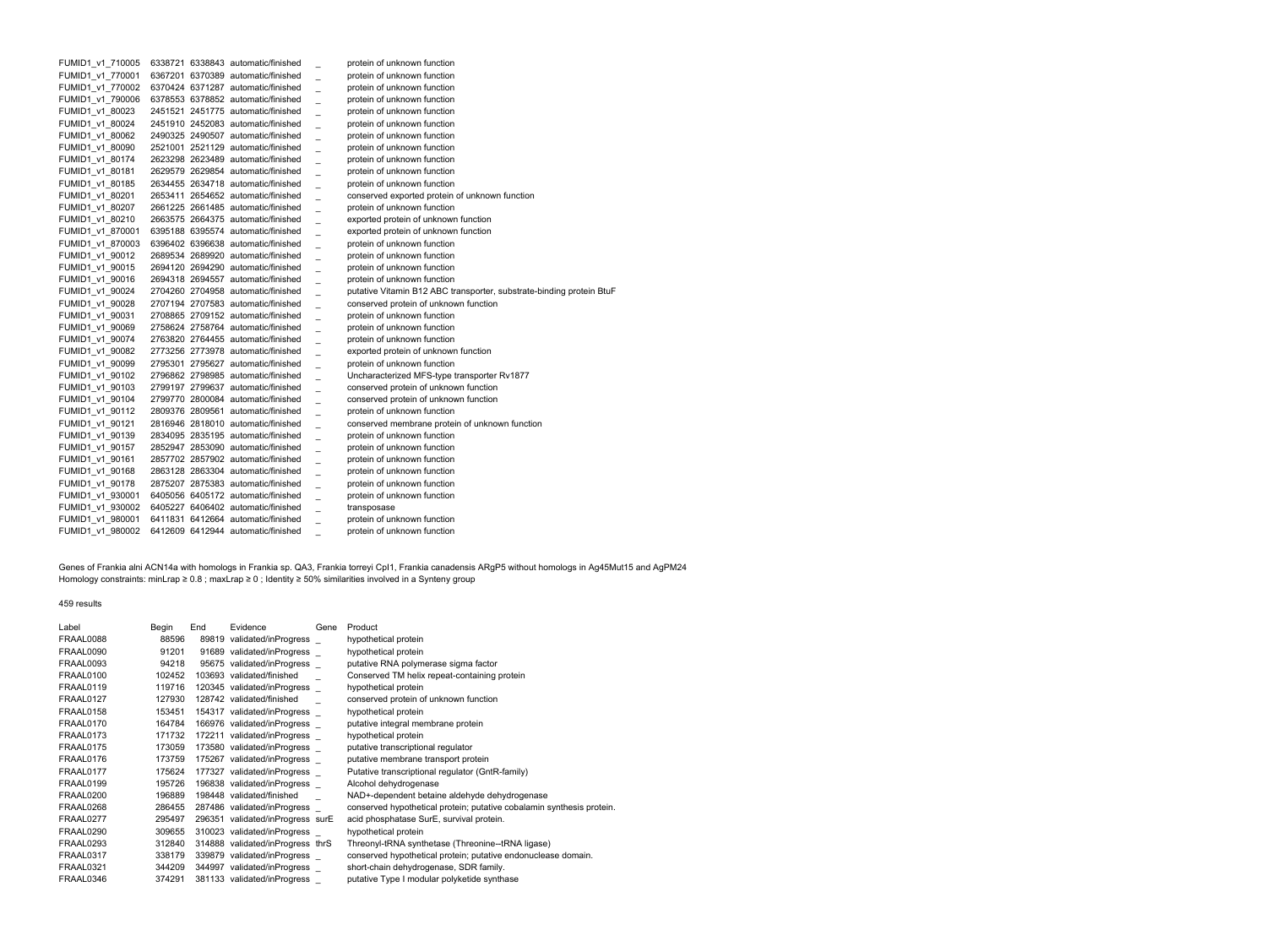| FUMID1 v1 710005 |  | 6338721 6338843 automatic/finished |                | protein of unknown function                                          |
|------------------|--|------------------------------------|----------------|----------------------------------------------------------------------|
| FUMID1 v1 770001 |  | 6367201 6370389 automatic/finished |                | protein of unknown function                                          |
| FUMID1 v1 770002 |  | 6370424 6371287 automatic/finished |                | protein of unknown function                                          |
| FUMID1 v1 790006 |  | 6378553 6378852 automatic/finished |                | protein of unknown function                                          |
| FUMID1 v1 80023  |  | 2451521 2451775 automatic/finished |                | protein of unknown function                                          |
| FUMID1_v1_80024  |  | 2451910 2452083 automatic/finished |                | protein of unknown function                                          |
| FUMID1_v1_80062  |  | 2490325 2490507 automatic/finished |                | protein of unknown function                                          |
| FUMID1 v1 80090  |  | 2521001 2521129 automatic/finished |                | protein of unknown function                                          |
| FUMID1 v1 80174  |  | 2623298 2623489 automatic/finished |                | protein of unknown function                                          |
| FUMID1 v1 80181  |  | 2629579 2629854 automatic/finished |                | protein of unknown function                                          |
| FUMID1_v1_80185  |  | 2634455 2634718 automatic/finished |                | protein of unknown function                                          |
| FUMID1 v1 80201  |  | 2653411 2654652 automatic/finished |                | conserved exported protein of unknown function                       |
| FUMID1 v1 80207  |  | 2661225 2661485 automatic/finished |                | protein of unknown function                                          |
| FUMID1 v1 80210  |  | 2663575 2664375 automatic/finished |                | exported protein of unknown function                                 |
| FUMID1 v1 870001 |  | 6395188 6395574 automatic/finished |                | exported protein of unknown function                                 |
| FUMID1 v1 870003 |  | 6396402 6396638 automatic/finished |                | protein of unknown function                                          |
| FUMID1 v1 90012  |  | 2689534 2689920 automatic/finished |                | protein of unknown function                                          |
| FUMID1 v1 90015  |  | 2694120 2694290 automatic/finished |                | protein of unknown function                                          |
| FUMID1_v1_90016  |  | 2694318 2694557 automatic/finished |                | protein of unknown function                                          |
| FUMID1 v1 90024  |  | 2704260 2704958 automatic/finished |                | putative Vitamin B12 ABC transporter, substrate-binding protein BtuF |
| FUMID1 v1 90028  |  | 2707194 2707583 automatic/finished |                | conserved protein of unknown function                                |
| FUMID1 v1 90031  |  | 2708865 2709152 automatic/finished |                | protein of unknown function                                          |
| FUMID1_v1_90069  |  | 2758624 2758764 automatic/finished |                | protein of unknown function                                          |
| FUMID1 v1 90074  |  | 2763820 2764455 automatic/finished |                | protein of unknown function                                          |
| FUMID1_v1_90082  |  | 2773256 2773978 automatic/finished |                | exported protein of unknown function                                 |
| FUMID1_v1_90099  |  | 2795301 2795627 automatic/finished | $\overline{a}$ | protein of unknown function                                          |
| FUMID1_v1_90102  |  | 2796862 2798985 automatic/finished |                | Uncharacterized MFS-type transporter Rv1877                          |
| FUMID1 v1 90103  |  | 2799197 2799637 automatic/finished |                | conserved protein of unknown function                                |
| FUMID1 v1 90104  |  | 2799770 2800084 automatic/finished |                | conserved protein of unknown function                                |
| FUMID1 v1 90112  |  | 2809376 2809561 automatic/finished |                | protein of unknown function                                          |
| FUMID1 v1 90121  |  | 2816946 2818010 automatic/finished |                | conserved membrane protein of unknown function                       |
| FUMID1 v1 90139  |  | 2834095 2835195 automatic/finished |                | protein of unknown function                                          |
| FUMID1 v1 90157  |  | 2852947 2853090 automatic/finished |                | protein of unknown function                                          |
| FUMID1 v1 90161  |  | 2857702 2857902 automatic/finished |                | protein of unknown function                                          |
| FUMID1 v1 90168  |  | 2863128 2863304 automatic/finished |                | protein of unknown function                                          |
| FUMID1 v1 90178  |  | 2875207 2875383 automatic/finished |                | protein of unknown function                                          |
| FUMID1_v1_930001 |  | 6405056 6405172 automatic/finished |                | protein of unknown function                                          |
| FUMID1 v1 930002 |  | 6405227 6406402 automatic/finished |                | transposase                                                          |
| FUMID1 v1 980001 |  | 6411831 6412664 automatic/finished |                | protein of unknown function                                          |
| FUMID1 v1 980002 |  | 6412609 6412944 automatic/finished |                | protein of unknown function                                          |

Genes of Frankia alni ACN14a with homologs in Frankia sp. QA3, Frankia torreyi CpI1, Frankia canadensis ARgP5 without homologs in Ag45Mut15 and AgPM24 Homology constraints: minLrap ≥ 0.8 ; maxLrap ≥ 0 ; Identity ≥ 50% similarities involved in a Synteny group

459 results

| Label     | Begin  | End    | Evidence                         | Gene | Product                                                               |
|-----------|--------|--------|----------------------------------|------|-----------------------------------------------------------------------|
| FRAAL0088 | 88596  | 89819  | validated/inProgress             |      | hypothetical protein                                                  |
| FRAAL0090 | 91201  |        | 91689 validated/inProgress       |      | hypothetical protein                                                  |
| FRAAL0093 | 94218  |        | 95675 validated/inProgress       |      | putative RNA polymerase sigma factor                                  |
| FRAAL0100 | 102452 |        | 103693 validated/finished        |      | Conserved TM helix repeat-containing protein                          |
| FRAAL0119 | 119716 |        | 120345 validated/inProgress      |      | hypothetical protein                                                  |
| FRAAL0127 | 127930 |        | 128742 validated/finished        |      | conserved protein of unknown function                                 |
| FRAAL0158 | 153451 |        | 154317 validated/inProgress      |      | hypothetical protein                                                  |
| FRAAL0170 | 164784 |        | 166976 validated/inProgress      |      | putative integral membrane protein                                    |
| FRAAL0173 | 171732 | 172211 | validated/inProgress             |      | hypothetical protein                                                  |
| FRAAL0175 | 173059 |        | 173580 validated/inProgress      |      | putative transcriptional regulator                                    |
| FRAAL0176 | 173759 |        | 175267 validated/inProgress      |      | putative membrane transport protein                                   |
| FRAAL0177 | 175624 |        | 177327 validated/inProgress      |      | Putative transcriptional regulator (GntR-family)                      |
| FRAAL0199 | 195726 |        | 196838 validated/inProgress      |      | Alcohol dehydrogenase                                                 |
| FRAAL0200 | 196889 |        | 198448 validated/finished        |      | NAD+-dependent betaine aldehyde dehydrogenase                         |
| FRAAL0268 | 286455 |        | 287486 validated/inProgress      |      | conserved hypothetical protein; putative cobalamin synthesis protein. |
| FRAAL0277 | 295497 |        | 296351 validated/inProgress surE |      | acid phosphatase SurE, survival protein.                              |
| FRAAL0290 | 309655 |        | 310023 validated/inProgress      |      | hypothetical protein                                                  |
| FRAAL0293 | 312840 |        | 314888 validated/inProgress thrS |      | Threonyl-tRNA synthetase (Threonine--tRNA ligase)                     |
| FRAAL0317 | 338179 |        | 339879 validated/inProgress      |      | conserved hypothetical protein; putative endonuclease domain.         |
| FRAAL0321 | 344209 |        | 344997 validated/inProgress      |      | short-chain dehydrogenase, SDR family.                                |
| FRAAL0346 | 374291 |        | 381133 validated/inProgress      |      | putative Type I modular polyketide synthase                           |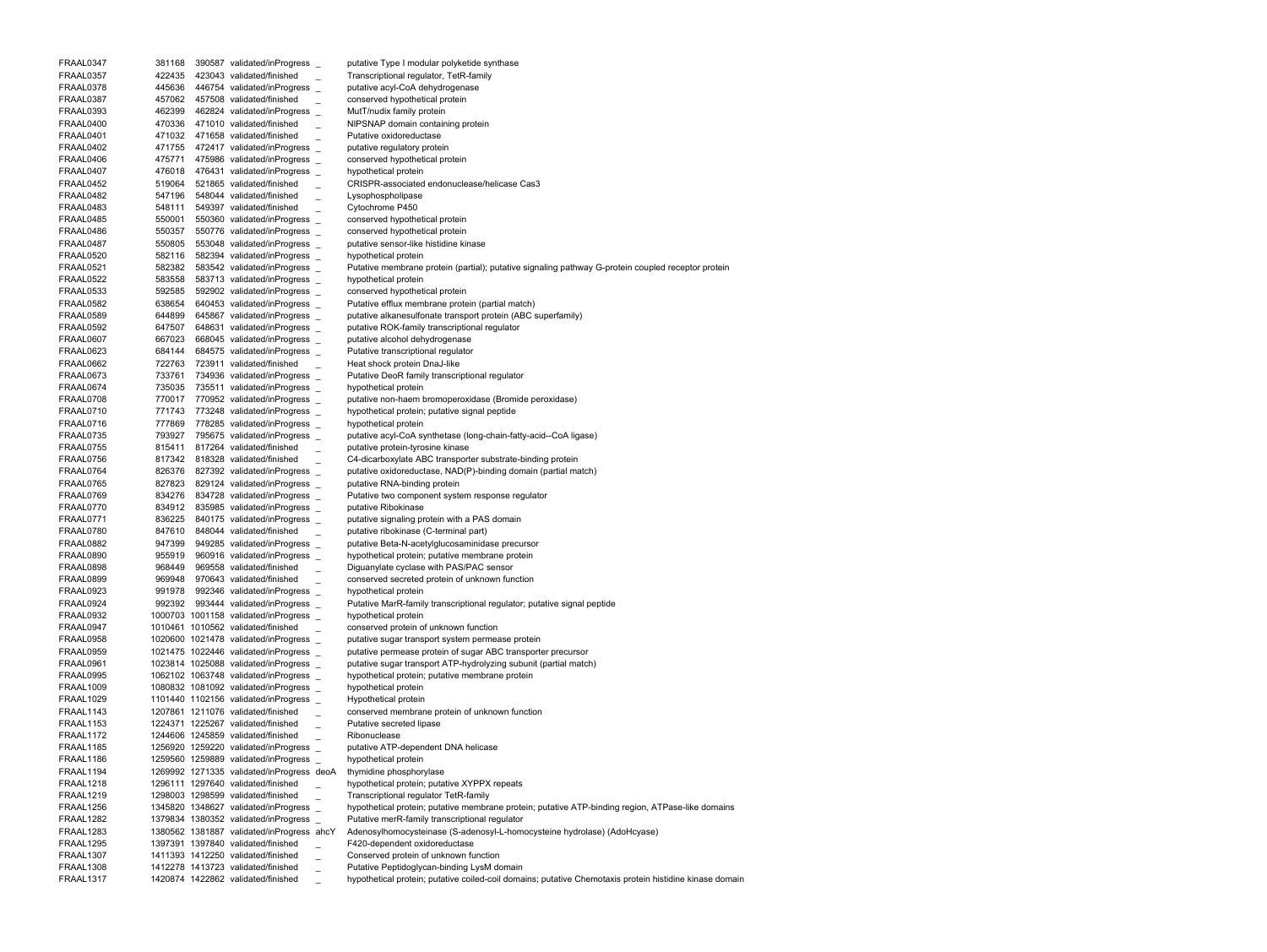| FRAAL0347        | 381168 |        | 390587 validated/inProgress               | putative Type I modular polyketide synthase                                                             |
|------------------|--------|--------|-------------------------------------------|---------------------------------------------------------------------------------------------------------|
| FRAAL0357        | 422435 |        | 423043 validated/finished                 | Transcriptional regulator, TetR-family                                                                  |
| FRAAL0378        | 445636 |        | 446754 validated/inProgress               | putative acyl-CoA dehydrogenase                                                                         |
| FRAAL0387        | 457062 |        | 457508 validated/finished                 | conserved hypothetical protein                                                                          |
| FRAAL0393        | 462399 |        | 462824 validated/inProgress               | MutT/nudix family protein                                                                               |
|                  |        |        |                                           |                                                                                                         |
| FRAAL0400        | 470336 |        | 471010 validated/finished                 | NIPSNAP domain containing protein                                                                       |
| FRAAL0401        | 471032 |        | 471658 validated/finished                 | Putative oxidoreductase                                                                                 |
| FRAAL0402        | 471755 |        | 472417 validated/inProgress               | putative regulatory protein                                                                             |
| FRAAL0406        | 475771 |        | 475986 validated/inProgress _             | conserved hypothetical protein                                                                          |
| FRAAL0407        | 476018 |        | 476431 validated/inProgress _             | hypothetical protein                                                                                    |
|                  |        |        |                                           |                                                                                                         |
| FRAAL0452        | 519064 |        | 521865 validated/finished                 | CRISPR-associated endonuclease/helicase Cas3                                                            |
| FRAAL0482        | 547196 |        | 548044 validated/finished                 | Lysophospholipase                                                                                       |
| FRAAL0483        | 548111 |        | 549397 validated/finished                 | Cytochrome P450                                                                                         |
| FRAAL0485        | 550001 |        | 550360 validated/inProgress               | conserved hypothetical protein                                                                          |
| FRAAL0486        | 550357 |        | 550776 validated/inProgress               | conserved hypothetical protein                                                                          |
|                  |        |        |                                           |                                                                                                         |
| FRAAL0487        | 550805 |        | 553048 validated/inProgress _             | putative sensor-like histidine kinase                                                                   |
| FRAAL0520        | 582116 |        | 582394 validated/inProgress _             | hypothetical protein                                                                                    |
| FRAAL0521        | 582382 |        | 583542 validated/inProgress _             | Putative membrane protein (partial); putative signaling pathway G-protein coupled receptor protein      |
| FRAAL0522        | 583558 |        | 583713 validated/inProgress               | hypothetical protein                                                                                    |
| FRAAL0533        | 592585 |        | 592902 validated/inProgress _             | conserved hypothetical protein                                                                          |
|                  |        |        |                                           |                                                                                                         |
| FRAAL0582        | 638654 |        | 640453 validated/inProgress _             | Putative efflux membrane protein (partial match)                                                        |
| FRAAL0589        | 644899 |        | 645867 validated/inProgress               | putative alkanesulfonate transport protein (ABC superfamily)                                            |
| FRAAL0592        | 647507 | 648631 | validated/inProgress                      | putative ROK-family transcriptional regulator                                                           |
| FRAAL0607        | 667023 |        | 668045 validated/inProgress               | putative alcohol dehydrogenase                                                                          |
| FRAAL0623        | 684144 |        | 684575 validated/inProgress _             | Putative transcriptional regulator                                                                      |
|                  |        |        |                                           |                                                                                                         |
| FRAAL0662        | 722763 | 723911 | validated/finished                        | Heat shock protein DnaJ-like                                                                            |
| FRAAL0673        | 733761 |        | 734936 validated/inProgress               | Putative DeoR family transcriptional regulator                                                          |
| FRAAL0674        | 735035 | 735511 | validated/inProgress                      | hypothetical protein                                                                                    |
| FRAAL0708        | 770017 |        | 770952 validated/inProgress _             | putative non-haem bromoperoxidase (Bromide peroxidase)                                                  |
| FRAAL0710        | 771743 |        | 773248 validated/inProgress               | hypothetical protein; putative signal peptide                                                           |
|                  |        |        |                                           |                                                                                                         |
| FRAAL0716        | 777869 |        | 778285 validated/inProgress               | hypothetical protein                                                                                    |
| FRAAL0735        | 793927 |        | 795675 validated/inProgress               | putative acyl-CoA synthetase (long-chain-fatty-acid--CoA ligase)                                        |
| FRAAL0755        | 815411 |        | 817264 validated/finished                 | putative protein-tyrosine kinase                                                                        |
| FRAAL0756        | 817342 |        | 818328 validated/finished                 | C4-dicarboxylate ABC transporter substrate-binding protein                                              |
| FRAAL0764        | 826376 |        | 827392 validated/inProgress               | putative oxidoreductase, NAD(P)-binding domain (partial match)                                          |
|                  |        |        |                                           |                                                                                                         |
| FRAAL0765        | 827823 |        | 829124 validated/inProgress               | putative RNA-binding protein                                                                            |
| FRAAL0769        | 834276 |        | 834728 validated/inProgress               | Putative two component system response regulator                                                        |
| FRAAL0770        | 834912 |        | 835985 validated/inProgress               | putative Ribokinase                                                                                     |
| FRAAL0771        | 836225 |        | 840175 validated/inProgress               | putative signaling protein with a PAS domain                                                            |
| FRAAL0780        | 847610 |        | 848044 validated/finished                 | putative ribokinase (C-terminal part)                                                                   |
| FRAAL0882        | 947399 |        | 949285 validated/inProgress _             |                                                                                                         |
|                  |        |        |                                           | putative Beta-N-acetylglucosaminidase precursor                                                         |
| FRAAL0890        | 955919 |        | 960916 validated/inProgress _             | hypothetical protein; putative membrane protein                                                         |
| FRAAL0898        | 968449 |        | 969558 validated/finished                 | Diguanylate cyclase with PAS/PAC sensor                                                                 |
| FRAAL0899        | 969948 |        | 970643 validated/finished                 | conserved secreted protein of unknown function                                                          |
| FRAAL0923        | 991978 |        | 992346 validated/inProgress _             | hypothetical protein                                                                                    |
| FRAAL0924        | 992392 |        | 993444 validated/inProgress               |                                                                                                         |
|                  |        |        |                                           | Putative MarR-family transcriptional regulator; putative signal peptide                                 |
| FRAAL0932        |        |        | 1000703 1001158 validated/inProgress      | hypothetical protein                                                                                    |
| FRAAL0947        |        |        | 1010461 1010562 validated/finished        | conserved protein of unknown function                                                                   |
| FRAAL0958        |        |        | 1020600 1021478 validated/inProgress _    | putative sugar transport system permease protein                                                        |
| FRAAL0959        |        |        | 1021475 1022446 validated/inProgress      | putative permease protein of sugar ABC transporter precursor                                            |
| FRAAL0961        |        |        | 1023814 1025088 validated/inProgress      | putative sugar transport ATP-hydrolyzing subunit (partial match)                                        |
|                  |        |        |                                           |                                                                                                         |
| FRAAL0995        |        |        | 1062102 1063748 validated/inProgress      | hypothetical protein; putative membrane protein                                                         |
| FRAAL1009        |        |        | 1080832 1081092 validated/inProgress      | hypothetical protein                                                                                    |
| FRAAL1029        |        |        | 1101440 1102156 validated/inProgress _    | Hypothetical protein                                                                                    |
| FRAAL1143        |        |        | 1207861 1211076 validated/finished        | conserved membrane protein of unknown function                                                          |
| <b>FRAAL1153</b> |        |        | 1224371 1225267 validated/finished        | Putative secreted lipase                                                                                |
|                  |        |        |                                           |                                                                                                         |
| FRAAL1172        |        |        | 1244606 1245859 validated/finished        | Ribonuclease                                                                                            |
| <b>FRAAL1185</b> |        |        | 1256920 1259220 validated/inProgress      | putative ATP-dependent DNA helicase                                                                     |
| FRAAL1186        |        |        | 1259560 1259889 validated/inProgress      | hypothetical protein                                                                                    |
| FRAAL1194        |        |        | 1269992 1271335 validated/inProgress deoA | thymidine phosphorylase                                                                                 |
| FRAAL1218        |        |        | 1296111 1297640 validated/finished        | hypothetical protein; putative XYPPX repeats                                                            |
| <b>FRAAL1219</b> |        |        | 1298003 1298599 validated/finished        |                                                                                                         |
|                  |        |        |                                           | Transcriptional regulator TetR-family                                                                   |
| FRAAL1256        |        |        | 1345820 1348627 validated/inProgress      | hypothetical protein; putative membrane protein; putative ATP-binding region, ATPase-like domains       |
| FRAAL1282        |        |        | 1379834 1380352 validated/inProgress      | Putative merR-family transcriptional regulator                                                          |
| <b>FRAAL1283</b> |        |        | 1380562 1381887 validated/inProgress ahcY | Adenosylhomocysteinase (S-adenosyl-L-homocysteine hydrolase) (AdoHcyase)                                |
| FRAAL1295        |        |        | 1397391 1397840 validated/finished        | F420-dependent oxidoreductase                                                                           |
| <b>FRAAL1307</b> |        |        | 1411393 1412250 validated/finished        | Conserved protein of unknown function                                                                   |
|                  |        |        |                                           |                                                                                                         |
| <b>FRAAL1308</b> |        |        | 1412278 1413723 validated/finished        | Putative Peptidoglycan-binding LysM domain                                                              |
| FRAAL1317        |        |        | 1420874 1422862 validated/finished        | hypothetical protein; putative coiled-coil domains; putative Chemotaxis protein histidine kinase domain |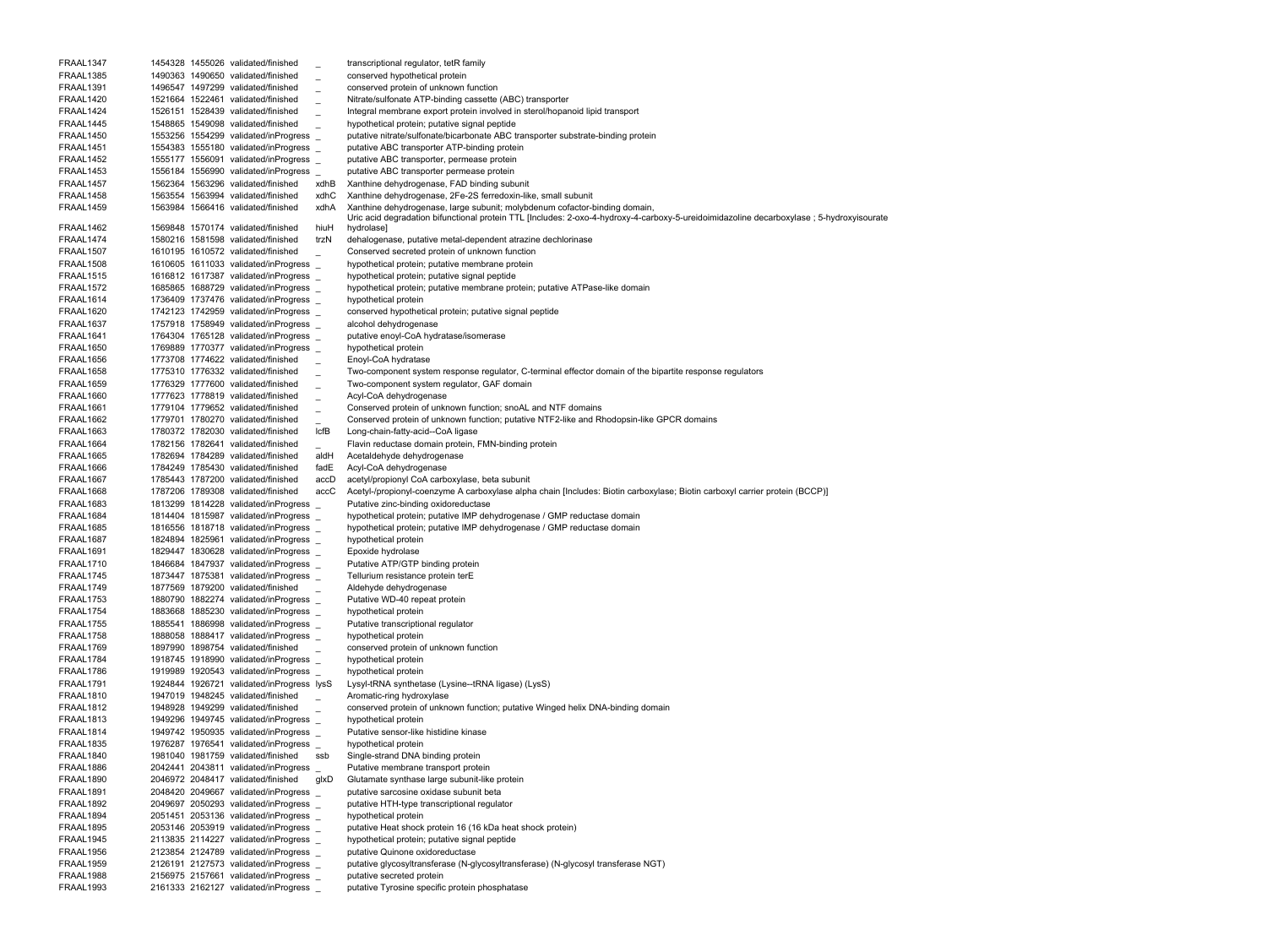FRAAL1347 1454328 1455026 validated/finished \_ transcriptional regulator, tetR family FRAAL1385 1490363 1490650 validated/finished \_ conserved hypothetical protein FRAAL1391 1496547 1497299 validated/finished \_ conserved protein of unknown function FRAAL1420 1521664 1522461 validated/finished Nitrate/sulfonate ATP-binding cassette (ABC) transporter FRAAL1424 1526151 1528439 validated/finished Integral membrane export protein involved in sterol/hopanoid lipid transport FRAAL1445 1548865 1549098 validated/finished hypothetical protein; putative signal peptide FRAAL1450 1553256 1554299 validated/inProgress putative nitrate/sulfonate/bicarbonate ABC transporter substrate-binding protein FRAAL1451 1554383 1555180 validated/inProgress \_ putative ABC transporter ATP-binding protein FRAAL1452 1555177 1556091 validated/inProgress \_ putative ABC transporter, permease protein FRAAL1453 1556184 1556990 validated/inProgress \_ putative ABC transporter permease protein FRAAL1457 1562364 1563296 validated/finished xdhB Xanthine dehydrogenase, FAD binding subunit FRAAL1458 1563554 1563994 validated/finished xdhC Xanthine dehydrogenase, 2Fe-2S ferredoxin-like, small subunit FRAAL1459 1563984 1566416 validated/finished xdhA Xanthine dehydrogenase, large subunit; molybdenum cofactor-binding domain, FRAAL1462 1569848 1570174 validated/finished hiuH Uric acid degradation bifunctional protein TTL [Includes: 2-oxo-4-hydroxy-4-carboxy-5-ureidoimidazoline decarboxylase ; 5-hydroxyisourate hydrolase] FRAAL1474 1580216 1581598 validated/finished trzN dehalogenase, putative metal-dependent atrazine dechlorinase FRAAL1507 1610195 1610572 validated/finished \_ Conserved secreted protein of unknown function FRAAL1508 1610605 1611033 validated/inProgress \_ hypothetical protein; putative membrane protein FRAAL1515 1616812 1617387 validated/inProgress \_ hypothetical protein; putative signal peptide FRAAL1572 1685865 1688729 validated/inProgress \_ hypothetical protein; putative membrane protein; putative ATPase-like domain FRAAL1614 1736409 1737476 validated/inProgress \_ hypothetical protein FRAAL1620 1742123 1742959 validated/inProgress conserved hypothetical protein; putative signal peptide FRAAL1637 1757918 1758949 validated/inProgress alcohol dehydrogenase FRAAL1641 1764304 1765128 validated/inProgress \_ putative enoyl-CoA hydratase/isomerase FRAAL1650 1769889 1770377 validated/inProgress \_ hypothetical protein FRAAL1656 1773708 1774622 validated/finished Enoyl-CoA hydratase FRAAL1658 1775310 1776332 validated/finished Two-component system response regulator, C-terminal effector domain of the bipartite response regulators FRAAL1659 1776329 1777600 validated/finished Two-component system regulator, GAF domain FRAAL1660 1777623 1778819 validated/finished Acyl-CoA dehydrogenase FRAAL1661 1779104 1779652 validated/finished Conserved protein of unknown function; snoAL and NTF domains FRAAL1662 1779701 1780270 validated/finished Conserved protein of unknown function; putative NTF2-like and Rhodopsin-like GPCR domains FRAAL1663 1780372 1782030 validated/finished lcfB Long-chain-fatty-acid--CoA ligase FRAAL1664 1782156 1782641 validated/finished Flavin reductase domain protein, FMN-binding protein FRAAL1665 1782694 1784289 validated/finished aldH Acetaldehyde dehydrogenase FRAAL1666 1784249 1785430 validated/finished fadE Acyl-CoA dehydrogenase FRAAL1667 1785443 1787200 validated/finished accD acetyl/propionyl CoA carboxylase, beta subunit FRAAL1668 1787206 1789308 validated/finished accC Acetyl-/propionyl-coenzyme A carboxylase alpha chain [Includes: Biotin carboxylase; Biotin carboxyl carrier protein (BCCP)] FRAAL1683 1813299 1814228 validated/inProgress \_ Putative zinc-binding oxidoreductase FRAAL1684 1814404 1815987 validated/inProgress \_ hypothetical protein; putative IMP dehydrogenase / GMP reductase domain FRAAL1685 1816556 1818718 validated/inProgress \_ hypothetical protein; putative IMP dehydrogenase / GMP reductase domain FRAAL1687 1824894 1825961 validated/inProgress \_ hypothetical protein FRAAL1691 1829447 1830628 validated/inProgress \_ Epoxide hydrolase FRAAL1710 1846684 1847937 validated/inProgress \_ Putative ATP/GTP binding protein FRAAL1745 1873447 1875381 validated/inProgress \_ Tellurium resistance protein terE FRAAL1749 1877569 1879200 validated/finished Aldehyde dehydrogenase FRAAL1753 1880790 1882274 validated/inProgress \_ Putative WD-40 repeat protein FRAAL1754 1883668 1885230 validated/inProgress \_ hypothetical protein FRAAL1755 1885541 1886998 validated/inProgress \_ Putative transcriptional regulator FRAAL1758 1888058 1888417 validated/inProgress \_ hypothetical protein FRAAL1769 1897990 1898754 validated/finished \_ conserved protein of unknown function FRAAL1784 1918745 1918990 validated/inProgress \_ hypothetical protein FRAAL1786 1919989 1920543 validated/inProgress \_ hypothetical protein FRAAL1791 1924844 1926721 validated/inProgress lysS Lysyl-tRNA synthetase (Lysine--tRNA ligase) (LysS) FRAAL1810 1947019 1948245 validated/finished Aromatic-ring hydroxylase FRAAL1812 1948928 1949299 validated/finished conserved protein of unknown function; putative Winged helix DNA-binding domain FRAAL1813 1949296 1949745 validated/inProgress \_ hypothetical protein FRAAL1814 1949742 1950935 validated/inProgress \_ Putative sensor-like histidine kinase FRAAL1835 1976287 1976541 validated/inProgress \_ hypothetical protein FRAAL1840 1981040 1981759 validated/finished ssb Single-strand DNA binding protein FRAAL1886 2042441 2043811 validated/inProgress \_ Putative membrane transport protein FRAAL1890 2046972 2048417 validated/finished glxD Glutamate synthase large subunit-like protein FRAAL1891 2048420 2049667 validated/inProgress \_ putative sarcosine oxidase subunit beta FRAAL1892 2049697 2050293 validated/inProgress \_ putative HTH-type transcriptional regulator FRAAL1894 2051451 2053136 validated/inProgress \_ hypothetical protein FRAAL1895 2053146 2053919 validated/inProgress \_ putative Heat shock protein 16 (16 kDa heat shock protein) FRAAL1945 2113835 2114227 validated/inProgress \_ hypothetical protein; putative signal peptide FRAAL1956 2123854 2124789 validated/inProgress \_ putative Quinone oxidoreductase FRAAL1959 2126191 2127573 validated/inProgress \_ putative glycosyltransferase (N-glycosyltransferase) (N-glycosyl transferase NGT) FRAAL1988 2156975 2157661 validated/inProgress \_ putative secreted protein FRAAL1993 2161333 2162127 validated/inProgress \_ putative Tyrosine specific protein phosphatase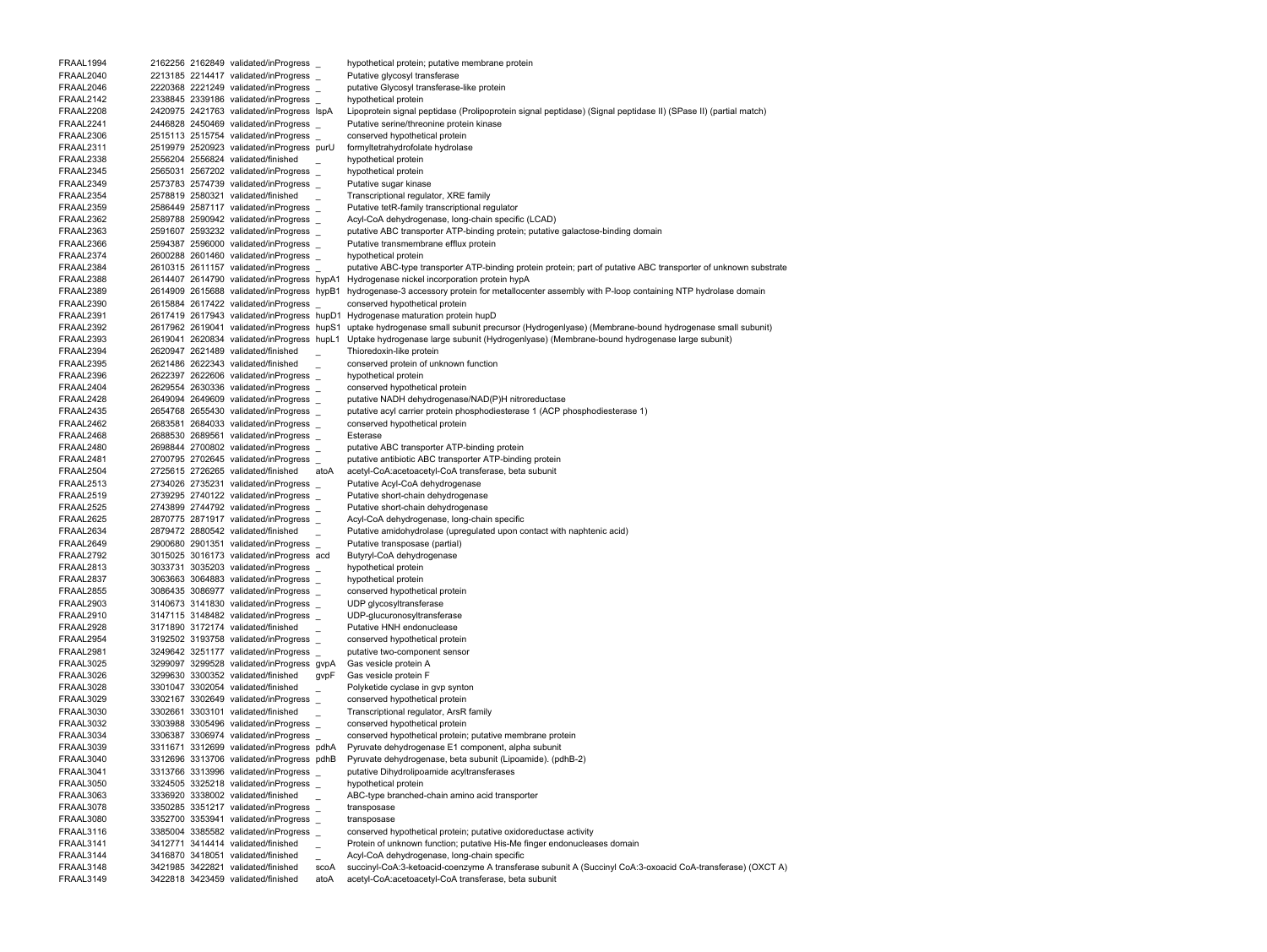FRAAL1994 2162256 2162849 validated/inProgress \_ hypothetical protein; putative membrane protein FRAAL2040 2213185 2214417 validated/inProgress \_ Putative glycosyl transferase FRAAL2046 2220368 2221249 validated/inProgress \_ putative Glycosyl transferase-like protein FRAAL2142 2338845 2339186 validated/inProgress \_ hypothetical protein FRAAL2208 2420975 2421763 validated/inProgress lspA Lipoprotein signal peptidase (Prolipoprotein signal peptidase) (Signal peptidase II) (SPase II) (partial match) FRAAL2241 2446828 2450469 validated/inProgress \_ Putative serine/threonine protein kinase FRAAL2306 2515113 2515754 validated/inProgress \_ conserved hypothetical protein FRAAL2311 2519979 2520923 validated/inProgress purU formyltetrahydrofolate hydrolase FRAAL2338 2556204 2556824 validated/finished \_ hypothetical protein FRAAL2345 2565031 2567202 validated/inProgress \_ hypothetical protein FRAAL2349 2573783 2574739 validated/inProgress \_ Putative sugar kinase FRAAL2354 2578819 2580321 validated/finished \_ Transcriptional regulator, XRE family FRAAL2359 2586449 2587117 validated/inProgress \_ Putative tetR-family transcriptional regulator FRAAL2362 2589788 2590942 validated/inProgress \_ Acyl-CoA dehydrogenase, long-chain specific (LCAD) FRAAL2363 2591607 2593232 validated/inProgress putative ABC transporter ATP-binding protein; putative galactose-binding domain FRAAL2366 2594387 2596000 validated/inProgress \_ Putative transmembrane efflux protein FRAAL2374 2600288 2601460 validated/inProgress \_ hypothetical protein FRAAL2384 2610315 2611157 validated/inProgress putative ABC-type transporter ATP-binding protein protein; part of putative ABC transporter of unknown substrate FRAAL2388 2614407 2614790 validated/inProgress hypA1 Hydrogenase nickel incorporation protein hypA FRAAL2389 2614909 2615688 validated/inProgress hypB1 hydrogenase-3 accessory protein for metallocenter assembly with P-loop containing NTP hydrolase domain FRAAL2390 2615884 2617422 validated/inProgress \_ conserved hypothetical protein FRAAL2391 2617419 2617943 validated/inProgress hupD1 Hydrogenase maturation protein hupD FRAAL2392 2617962 2619041 validated/inProgress hupS1 uptake hydrogenase small subunit precursor (Hydrogenlyase) (Membrane-bound hydrogenase small subunit) FRAAL2393 2619041 2620834 validated/inProgress hupL1 Uptake hydrogenase large subunit (Hydrogenlyase) (Membrane-bound hydrogenase large subunit) FRAAL2394 2620947 2621489 validated/finished \_ Thioredoxin-like protein FRAAL2395 2621486 2622343 validated/finished \_ conserved protein of unknown function FRAAL2396 2622397 2622606 validated/inProgress \_ hypothetical protein FRAAL2404 2629554 2630336 validated/inProgress \_ conserved hypothetical protein FRAAL2428 2649094 2649609 validated/inProgress \_ putative NADH dehydrogenase/NAD(P)H nitroreductase FRAAL2435 2654768 2655430 validated/inProgress \_ putative acyl carrier protein phosphodiesterase 1 (ACP phosphodiesterase 1) FRAAL2462 2683581 2684033 validated/inProgress \_ conserved hypothetical protein FRAAL2468 2688530 2689561 validated/inProgress \_ Esterase FRAAL2480 2698844 2700802 validated/inProgress \_ putative ABC transporter ATP-binding protein FRAAL2481 2700795 2702645 validated/inProgress \_ putative antibiotic ABC transporter ATP-binding protein FRAAL2504 2725615 2726265 validated/finished atoA acetyl-CoA:acetoacetyl-CoA transferase, beta subunit FRAAL2513 2734026 2735231 validated/inProgress \_ Putative Acyl-CoA dehydrogenase FRAAL2519 2739295 2740122 validated/inProgress \_ Putative short-chain dehydrogenase FRAAL2525 2743899 2744792 validated/inProgress \_ Putative short-chain dehydrogenase FRAAL2625 2870775 2871917 validated/inProgress \_ Acyl-CoA dehydrogenase, long-chain specific FRAAL2634 2879472 2880542 validated/finished Putative amidohydrolase (upregulated upon contact with naphtenic acid) FRAAL2649 2900680 2901351 validated/inProgress \_ Putative transposase (partial) FRAAL2792 3015025 3016173 validated/inProgress acd Butyryl-CoA dehydrogenase FRAAL2813 3033731 3035203 validated/inProgress \_ hypothetical protein FRAAL2837 3063663 3064883 validated/inProgress \_ hypothetical protein FRAAL2855 3086435 3086977 validated/inProgress \_ conserved hypothetical protein FRAAL2903 3140673 3141830 validated/inProgress UDP glycosyltransferase FRAAL2910 3147115 3148482 validated/inProgress \_ UDP-glucuronosyltransferase FRAAL2928 3171890 3172174 validated/finished Putative HNH endonuclease FRAAL2954 3192502 3193758 validated/inProgress \_ conserved hypothetical protein FRAAL2981 3249642 3251177 validated/inProgress \_ putative two-component sensor FRAAL3025 3299097 3299528 validated/inProgress gvpA Gas vesicle protein A FRAAL3026 3299630 3300352 validated/finished gvpF Gas vesicle protein F FRAAL3028 3301047 3302054 validated/finished \_ Polyketide cyclase in gvp synton FRAAL3029 3302167 3302649 validated/inProgress \_ conserved hypothetical protein FRAAL3030 3302661 3303101 validated/finished \_ Transcriptional regulator, ArsR family FRAAL3032 3303988 3305496 validated/inProgress \_ conserved hypothetical protein FRAAL3034 3306387 3306974 validated/inProgress \_ conserved hypothetical protein; putative membrane protein FRAAL3039 3311671 3312699 validated/inProgress pdhA Pyruvate dehydrogenase E1 component, alpha subunit FRAAL3040 3312696 3313706 validated/inProgress pdhB Pyruvate dehydrogenase, beta subunit (Lipoamide). (pdhB-2) FRAAL3041 3313766 3313996 validated/inProgress \_ putative Dihydrolipoamide acyltransferases FRAAL3050 3324505 3325218 validated/inProgress \_ hypothetical protein FRAAL3063 3336920 3338002 validated/finished \_ ABC-type branched-chain amino acid transporter FRAAL3078 3350285 3351217 validated/inProgress \_ transposase FRAAL3080 3352700 3353941 validated/inProgress \_ transposase FRAAL3116 3385004 3385582 validated/inProgress \_ conserved hypothetical protein; putative oxidoreductase activity FRAAL3141 3412771 3414414 validated/finished \_ Protein of unknown function; putative His-Me finger endonucleases domain FRAAL3144 3416870 3418051 validated/finished \_ Acyl-CoA dehydrogenase, long-chain specific FRAAL3148 3421985 3422821 validated/finished scoA succinyl-CoA:3-ketoacid-coenzyme A transferase subunit A (Succinyl CoA:3-oxoacid CoA-transferase) (OXCT A) FRAAL3149 3422818 3423459 validated/finished atoA acetyl-CoA:acetoacetyl-CoA transferase, beta subunit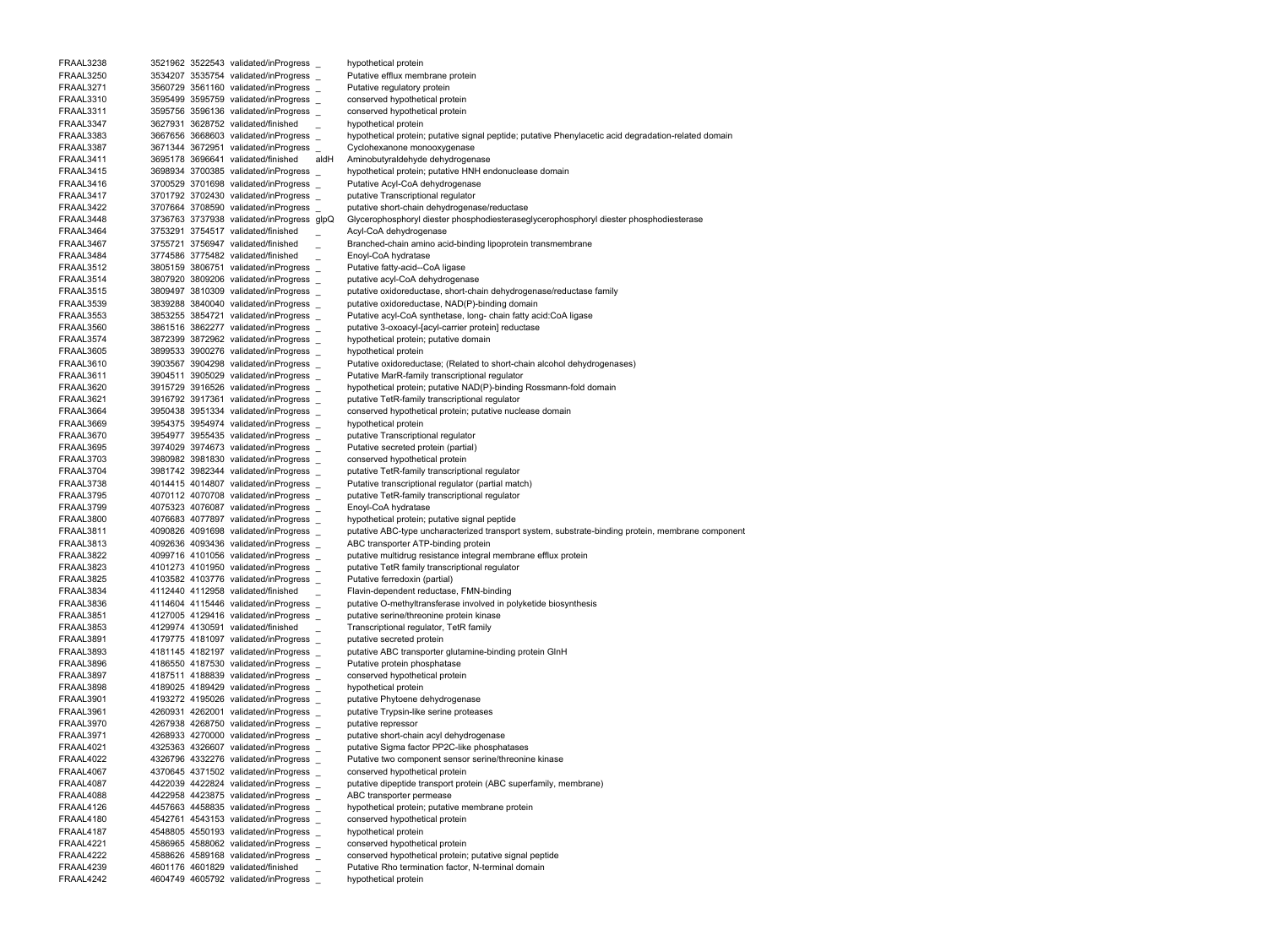FRAAL3238 3521962 3522543 validated/inProgress \_ hypothetical protein FRAAL3250 3534207 3535754 validated/inProgress \_ Putative efflux membrane protein FRAAL3271 3560729 3561160 validated/inProgress \_ Putative regulatory protein FRAAL3310 3595499 3595759 validated/inProgress \_ conserved hypothetical protein FRAAL3311 3595756 3596136 validated/inProgress \_ conserved hypothetical protein FRAAL3347 3627931 3628752 validated/finished hypothetical protein FRAAL3383 3667656 3668603 validated/inProgress hypothetical protein; putative signal peptide; putative Phenylacetic acid degradation-related domain FRAAL3387 3671344 3672951 validated/inProgress \_ Cyclohexanone monooxygenase FRAAL3411 3695178 3696641 validated/finished aldH Aminobutyraldehyde dehydrogenase FRAAL3415 3698934 3700385 validated/inProgress hypothetical protein; putative HNH endonuclease domain FRAAL3416 3700529 3701698 validated/inProgress \_ Putative Acyl-CoA dehydrogenase FRAAL3417 3701792 3702430 validated/inProgress \_ putative Transcriptional regulator FRAAL3422 3707664 3708590 validated/inProgress \_ putative short-chain dehydrogenase/reductase FRAAL3448 3736763 3737938 validated/inProgress glpQ Glycerophosphoryl diester phosphodiesteraseglycerophosphoryl diester phosphodiesterase FRAAL3464 3753291 3754517 validated/finished Acyl-CoA dehydrogenase FRAAL3467 3755721 3756947 validated/finished Branched-chain amino acid-binding lipoprotein transmembrane FRAAL3484 3774586 3775482 validated/finished Enoyl-CoA hydratase FRAAL3512 3805159 3806751 validated/inProgress \_ Putative fatty-acid--CoA ligase FRAAL3514 3807920 3809206 validated/inProgress \_ putative acyl-CoA dehydrogenase FRAAL3515 3809497 3810309 validated/inProgress putative oxidoreductase, short-chain dehydrogenase/reductase family FRAAL3539 3839288 3840040 validated/inProgress \_ putative oxidoreductase, NAD(P)-binding domain FRAAL3553 3853255 3854721 validated/inProgress \_ Putative acyl-CoA synthetase, long- chain fatty acid:CoA ligase FRAAL3560 3861516 3862277 validated/inProgress putative 3-oxoacyl-[acyl-carrier protein] reductase FRAAL3574 3872399 3872962 validated/inProgress \_ hypothetical protein; putative domain FRAAL3605 3899533 3900276 validated/inProgress \_ hypothetical protein FRAAL3610 3903567 3904298 validated/inProgress \_ Putative oxidoreductase; (Related to short-chain alcohol dehydrogenases) FRAAL3611 3904511 3905029 validated/inProgress \_ Putative MarR-family transcriptional regulator FRAAL3620 3915729 3916526 validated/inProgress \_ hypothetical protein; putative NAD(P)-binding Rossmann-fold domain FRAAL3621 3916792 3917361 validated/inProgress \_ putative TetR-family transcriptional regulator FRAAL3664 3950438 3951334 validated/inProgress conserved hypothetical protein; putative nuclease domain FRAAL3669 3954375 3954974 validated/inProgress \_ hypothetical protein FRAAL3670 3954977 3955435 validated/inProgress \_ putative Transcriptional regulator FRAAL3695 3974029 3974673 validated/inProgress \_ Putative secreted protein (partial) FRAAL3703 3980982 3981830 validated/inProgress \_ conserved hypothetical protein FRAAL3704 3981742 3982344 validated/inProgress \_ putative TetR-family transcriptional regulator FRAAL3738 4014415 4014807 validated/inProgress Putative transcriptional regulator (partial match) FRAAL3795 4070112 4070708 validated/inProgress \_ putative TetR-family transcriptional regulator FRAAL3799 4075323 4076087 validated/inProgress Enoyl-CoA hydratase FRAAL3800 4076683 4077897 validated/inProgress \_ hypothetical protein; putative signal peptide FRAAL3811 4090826 4091698 validated/inProgress putative ABC-type uncharacterized transport system, substrate-binding protein, membrane component FRAAL3813 4092636 4093436 validated/inProgress \_ ABC transporter ATP-binding protein FRAAL3822 4099716 4101056 validated/inProgress \_ putative multidrug resistance integral membrane efflux protein FRAAL3823 4101273 4101950 validated/inProgress \_ putative TetR family transcriptional regulator FRAAL3825 4103582 4103776 validated/inProgress \_ Putative ferredoxin (partial) FRAAL3834 4112440 4112958 validated/finished \_ Flavin-dependent reductase, FMN-binding FRAAL3836 4114604 4115446 validated/inProgress \_ putative O-methyltransferase involved in polyketide biosynthesis FRAAL3851 4127005 4129416 validated/inProgress \_ putative serine/threonine protein kinase FRAAL3853 4129974 4130591 validated/finished Transcriptional regulator, TetR family FRAAL3891 4179775 4181097 validated/inProgress putative secreted protein FRAAL3893 4181145 4182197 validated/inProgress putative ABC transporter glutamine-binding protein GlnH FRAAL3896 4186550 4187530 validated/inProgress Putative protein phosphatase FRAAL3897 4187511 4188839 validated/inProgress \_ conserved hypothetical protein FRAAL3898 4189025 4189429 validated/inProgress \_ hypothetical protein FRAAL3901 4193272 4195026 validated/inProgress putative Phytoene dehydrogenase FRAAL3961 4260931 4262001 validated/inProgress \_ putative Trypsin-like serine proteases FRAAL3970 4267938 4268750 validated/inProgress \_ putative repressor FRAAL3971 4268933 4270000 validated/inProgress putative short-chain acyl dehydrogenase FRAAL4021 4325363 4326607 validated/inProgress \_ putative Sigma factor PP2C-like phosphatases FRAAL4022 4326796 4332276 validated/inProgress \_ Putative two component sensor serine/threonine kinase FRAAL4067 4370645 4371502 validated/inProgress \_ conserved hypothetical protein FRAAL4087 4422039 4422824 validated/inProgress \_ putative dipeptide transport protein (ABC superfamily, membrane) FRAAL4088 4422958 4423875 validated/inProgress \_ ABC transporter permease FRAAL4126 4457663 4458835 validated/inProgress \_ hypothetical protein; putative membrane protein FRAAL4180 4542761 4543153 validated/inProgress \_ conserved hypothetical protein FRAAL4187 4548805 4550193 validated/inProgress \_ hypothetical protein FRAAL4221 4586965 4588062 validated/inProgress \_ conserved hypothetical protein FRAAL4222 4588626 4589168 validated/inProgress \_ conserved hypothetical protein; putative signal peptide FRAAL4239 4601176 4601829 validated/finished \_ Putative Rho termination factor, N-terminal domain FRAAL4242 4604749 4605792 validated/inProgress \_ hypothetical protein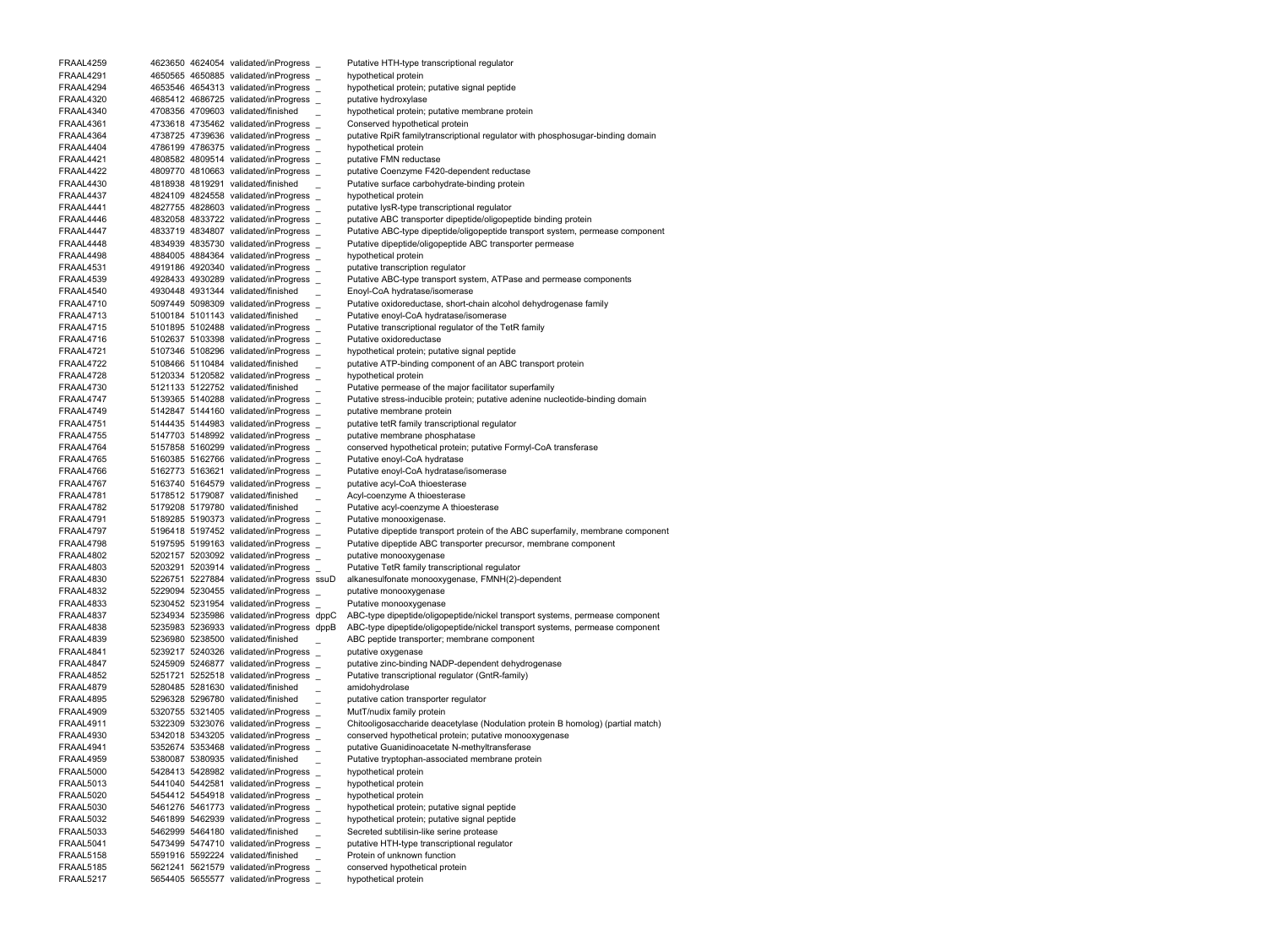FRAAL4259 4623650 4624054 validated/inProgress \_ Putative HTH-type transcriptional regulator FRAAL4291 4650565 4650885 validated/inProgress \_ hypothetical protein FRAAL4294 4653546 4654313 validated/inProgress \_ hypothetical protein; putative signal peptide FRAAL4320 4685412 4686725 validated/inProgress putative hydroxylase FRAAL4340 4708356 4709603 validated/finished \_ hypothetical protein; putative membrane protein FRAAL4361 4733618 4735462 validated/inProgress \_ Conserved hypothetical protein FRAAL4364 4738725 4739636 validated/inProgress putative RpiR familytranscriptional regulator with phosphosugar-binding domain FRAAL4404 4786199 4786375 validated/inProgress \_ hypothetical protein FRAAL4421 4808582 4809514 validated/inProgress \_ putative FMN reductase FRAAL4422 4809770 4810663 validated/inProgress \_ putative Coenzyme F420-dependent reductase FRAAL4430 4818938 4819291 validated/finished \_ Putative surface carbohydrate-binding protein FRAAL4437 4824109 4824558 validated/inProgress \_ hypothetical protein FRAAL4441 4827755 4828603 validated/inProgress putative lysR-type transcriptional regulator FRAAL4446 4832058 4833722 validated/inProgress putative ABC transporter dipeptide/oligopeptide binding protein FRAAL4447 4833719 4834807 validated/inProgress Putative ABC-type dipeptide/oligopeptide transport system, permease component FRAAL4448 4834939 4835730 validated/inProgress \_ Putative dipeptide/oligopeptide ABC transporter permease FRAAL4498 4884005 4884364 validated/inProgress \_ hypothetical protein FRAAL4531 4919186 4920340 validated/inProgress \_ putative transcription regulator FRAAL4539 4928433 4930289 validated/inProgress Putative ABC-type transport system, ATPase and permease components FRAAL4540 4930448 4931344 validated/finished \_ Enoyl-CoA hydratase/isomerase FRAAL4710 5097449 5098309 validated/inProgress Putative oxidoreductase, short-chain alcohol dehydrogenase family FRAAL4713 5100184 5101143 validated/finished Putative enoyl-CoA hydratase/isomerase FRAAL4715 5101895 5102488 validated/inProgress Putative transcriptional regulator of the TetR family FRAAL4716 5102637 5103398 validated/inProgress Putative oxidoreductase FRAAL4721 5107346 5108296 validated/inProgress \_ hypothetical protein; putative signal peptide FRAAL4722 5108466 5110484 validated/finished putative ATP-binding component of an ABC transport protein FRAAL4728 5120334 5120582 validated/inProgress \_ hypothetical protein FRAAL4730 5121133 5122752 validated/finished Putative permease of the major facilitator superfamily FRAAL4747 5139365 5140288 validated/inProgress Putative stress-inducible protein; putative adenine nucleotide-binding domain FRAAL4749 5142847 5144160 validated/inProgress \_ putative membrane protein FRAAL4751 5144435 5144983 validated/inProgress \_ putative tetR family transcriptional regulator FRAAL4755 5147703 5148992 validated/inProgress \_ putative membrane phosphatase FRAAL4764 5157858 5160299 validated/inProgress \_ conserved hypothetical protein; putative Formyl-CoA transferase FRAAL4765 5160385 5162766 validated/inProgress \_ Putative enoyl-CoA hydratase FRAAL4766 5162773 5163621 validated/inProgress \_ Putative enoyl-CoA hydratase/isomerase FRAAL4767 5163740 5164579 validated/inProgress putative acyl-CoA thioesterase FRAAL4781 5178512 5179087 validated/finished Acyl-coenzyme A thioesterase FRAAL4782 5179208 5179780 validated/finished Putative acyl-coenzyme A thioesterase FRAAL4791 5189285 5190373 validated/inProgress Putative monooxigenase. FRAAL4797 5196418 5197452 validated/inProgress Putative dipeptide transport protein of the ABC superfamily, membrane component FRAAL4798 5197595 5199163 validated/inProgress Putative dipeptide ABC transporter precursor, membrane component FRAAL4802 5202157 5203092 validated/inProgress \_ putative monooxygenase FRAAL4803 5203291 5203914 validated/inProgress \_ Putative TetR family transcriptional regulator FRAAL4830 5226751 5227884 validated/inProgress ssuD alkanesulfonate monooxygenase, FMNH(2)-dependent FRAAL4832 5229094 5230455 validated/inProgress \_ putative monooxygenase FRAAL4833 5230452 5231954 validated/inProgress \_ Putative monooxygenase FRAAL4837 5234934 5235986 validated/inProgress dppC ABC-type dipeptide/oligopeptide/nickel transport systems, permease component FRAAL4838 5235983 5236933 validated/inProgress dppB ABC-type dipeptide/oligopeptide/nickel transport systems, permease component FRAAL4839 5236980 5238500 validated/finished ABC peptide transporter; membrane component FRAAL4841 5239217 5240326 validated/inProgress \_ putative oxygenase FRAAL4847 5245909 5246877 validated/inProgress \_ putative zinc-binding NADP-dependent dehydrogenase FRAAL4852 5251721 5252518 validated/inProgress \_ Putative transcriptional regulator (GntR-family) FRAAL4879 5280485 5281630 validated/finished amidohydrolase FRAAL4895 5296328 5296780 validated/finished putative cation transporter regulator FRAAL4909 5320755 5321405 validated/inProgress \_ MutT/nudix family protein FRAAL4911 5322309 5323076 validated/inProgress \_ Chitooligosaccharide deacetylase (Nodulation protein B homolog) (partial match) FRAAL4930 5342018 5343205 validated/inProgress conserved hypothetical protein; putative monooxygenase FRAAL4941 5352674 5353468 validated/inProgress \_ putative Guanidinoacetate N-methyltransferase FRAAL4959 5380087 5380935 validated/finished \_ Putative tryptophan-associated membrane protein FRAAL5000 5428413 5428982 validated/inProgress \_ hypothetical protein FRAAL5013 5441040 5442581 validated/inProgress \_ hypothetical protein FRAAL5020 5454412 5454918 validated/inProgress \_ hypothetical protein FRAAL5030 5461276 5461773 validated/inProgress \_ hypothetical protein; putative signal peptide FRAAL5032 5461899 5462939 validated/inProgress \_ hypothetical protein; putative signal peptide FRAAL5033 5462999 5464180 validated/finished \_ Secreted subtilisin-like serine protease FRAAL5041 5473499 5474710 validated/inProgress \_ putative HTH-type transcriptional regulator FRAAL5158 5591916 5592224 validated/finished \_ Protein of unknown function FRAAL5185 5621241 5621579 validated/inProgress \_ conserved hypothetical protein FRAAL5217 5654405 5655577 validated/inProgress \_ hypothetical protein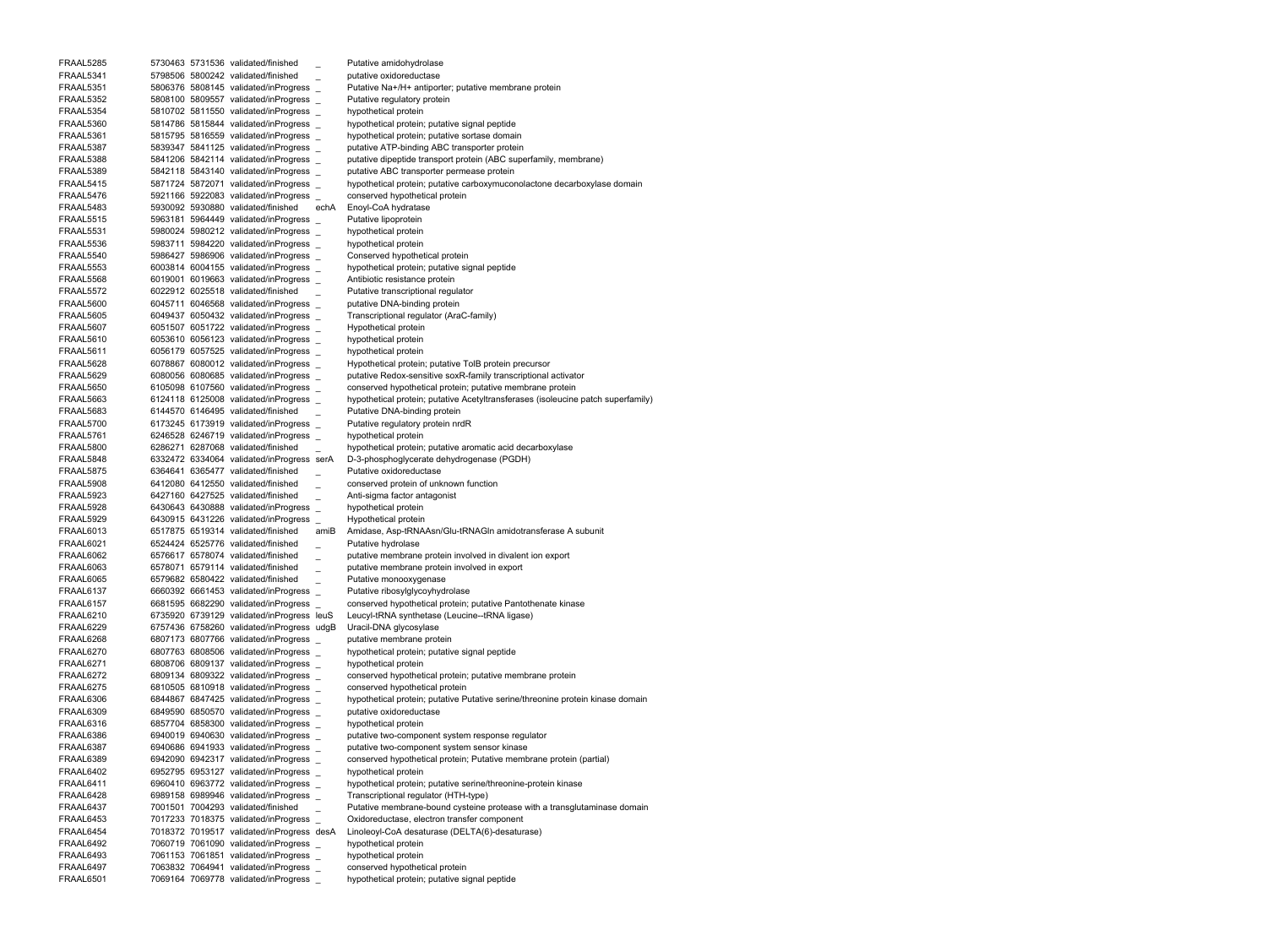FRAAL5285 5730463 5731536 validated/finished Putative amidohydrolase FRAAL5341 5798506 5800242 validated/finished putative oxidoreductase FRAAL5351 5806376 5808145 validated/inProgress \_ Putative Na+/H+ antiporter; putative membrane protein FRAAL5352 5808100 5809557 validated/inProgress \_ Putative regulatory protein FRAAL5354 5810702 5811550 validated/inProgress \_ hypothetical protein FRAAL5360 5814786 5815844 validated/inProgress \_ hypothetical protein; putative signal peptide FRAAL5361 5815795 5816559 validated/inProgress \_ hypothetical protein; putative sortase domain FRAAL5387 5839347 5841125 validated/inProgress \_ putative ATP-binding ABC transporter protein FRAAL5388 5841206 5842114 validated/inProgress putative dipeptide transport protein (ABC superfamily, membrane) FRAAL5389 5842118 5843140 validated/inProgress \_ putative ABC transporter permease protein FRAAL5415 5871724 5872071 validated/inProgress hypothetical protein; putative carboxymuconolactone decarboxylase domain FRAAL5476 5921166 5922083 validated/inProgress \_ conserved hypothetical protein FRAAL5483 5930092 5930880 validated/finished echA Enoyl-CoA hydratase FRAAL5515 5963181 5964449 validated/inProgress \_ Putative lipoprotein FRAAL5531 5980024 5980212 validated/inProgress \_ hypothetical protein FRAAL5536 5983711 5984220 validated/inProgress \_ hypothetical protein FRAAL5540 5986427 5986906 validated/inProgress \_ Conserved hypothetical protein FRAAL5553 6003814 6004155 validated/inProgress \_ hypothetical protein; putative signal peptide FRAAL5568 6019001 6019663 validated/inProgress \_ Antibiotic resistance protein FRAAL5572 6022912 6025518 validated/finished \_ Putative transcriptional regulator FRAAL5600 6045711 6046568 validated/inProgress \_ putative DNA-binding protein FRAAL5605 6049437 6050432 validated/inProgress \_ Transcriptional regulator (AraC-family) FRAAL5607 6051507 6051722 validated/inProgress \_ Hypothetical protein FRAAL5610 6053610 6056123 validated/inProgress \_ hypothetical protein FRAAL5611 6056179 6057525 validated/inProgress \_ hypothetical protein FRAAL5628 6078867 6080012 validated/inProgress Hypothetical protein; putative TolB protein precursor FRAAL5629 6080056 6080685 validated/inProgress \_ putative Redox-sensitive soxR-family transcriptional activator FRAAL5650 6105098 6107560 validated/inProgress \_ conserved hypothetical protein; putative membrane protein FRAAL5663 6124118 6125008 validated/inProgress hypothetical protein; putative Acetyltransferases (isoleucine patch superfamily) FRAAL5683 6144570 6146495 validated/finished \_ Putative DNA-binding protein FRAAL5700 6173245 6173919 validated/inProgress Putative regulatory protein nrdR FRAAL5761 6246528 6246719 validated/inProgress \_ hypothetical protein FRAAL5800 6286271 6287068 validated/finished hypothetical protein; putative aromatic acid decarboxylase FRAAL5848 6332472 6334064 validated/inProgress serA D-3-phosphoglycerate dehydrogenase (PGDH) FRAAL5875 6364641 6365477 validated/finished Putative oxidoreductase FRAAL5908 6412080 6412550 validated/finished \_ conserved protein of unknown function FRAAL5923 6427160 6427525 validated/finished Anti-sigma factor antagonist FRAAL5928 6430643 6430888 validated/inProgress \_ hypothetical protein FRAAL5929 6430915 6431226 validated/inProgress \_ Hypothetical protein FRAAL6013 6517875 6519314 validated/finished amiB Amidase, Asp-tRNAAsn/Glu-tRNAGln amidotransferase A subunit FRAAL6021 6524424 6525776 validated/finished Putative hydrolase FRAAL6062 6576617 6578074 validated/finished \_ putative membrane protein involved in divalent ion export FRAAL6063 6578071 6579114 validated/finished \_ putative membrane protein involved in export FRAAL6065 6579682 6580422 validated/finished Putative monooxygenase FRAAL6137 6660392 6661453 validated/inProgress Putative ribosylglycoyhydrolase FRAAL6157 6681595 6682290 validated/inProgress \_ conserved hypothetical protein; putative Pantothenate kinase FRAAL6210 6735920 6739129 validated/inProgress leuS Leucyl-tRNA synthetase (Leucine--tRNA ligase) FRAAL6229 6757436 6758260 validated/inProgress udgB Uracil-DNA glycosylase FRAAL6268 6807173 6807766 validated/inProgress \_ putative membrane protein FRAAL6270 6807763 6808506 validated/inProgress \_ hypothetical protein; putative signal peptide FRAAL6271 6808706 6809137 validated/inProgress \_ hypothetical protein FRAAL6272 6809134 6809322 validated/inProgress \_ conserved hypothetical protein; putative membrane protein FRAAL6275 6810505 6810918 validated/inProgress \_ conserved hypothetical protein FRAAL6306 6844867 6847425 validated/inProgress hypothetical protein; putative Putative serine/threonine protein kinase domain FRAAL6309 6849590 6850570 validated/inProgress putative oxidoreductase FRAAL6316 6857704 6858300 validated/inProgress \_ hypothetical protein FRAAL6386 6940019 6940630 validated/inProgress putative two-component system response regulator FRAAL6387 6940686 6941933 validated/inProgress \_ putative two-component system sensor kinase FRAAL6389 6942090 6942317 validated/inProgress conserved hypothetical protein; Putative membrane protein (partial) FRAAL6402 6952795 6953127 validated/inProgress \_ hypothetical protein FRAAL6411 6960410 6963772 validated/inProgress \_ hypothetical protein; putative serine/threonine-protein kinase FRAAL6428 6989158 6989946 validated/inProgress \_ Transcriptional regulator (HTH-type) FRAAL6437 7001501 7004293 validated/finished \_ Putative membrane-bound cysteine protease with a transglutaminase domain FRAAL6453 7017233 7018375 validated/inProgress \_ Oxidoreductase, electron transfer component FRAAL6454 7018372 7019517 validated/inProgress desA Linoleoyl-CoA desaturase (DELTA(6)-desaturase) FRAAL6492 7060719 7061090 validated/inProgress \_ hypothetical protein FRAAL6493 7061153 7061851 validated/inProgress \_ hypothetical protein FRAAL6497 7063832 7064941 validated/inProgress \_ conserved hypothetical protein FRAAL6501 7069164 7069778 validated/inProgress \_ hypothetical protein; putative signal peptide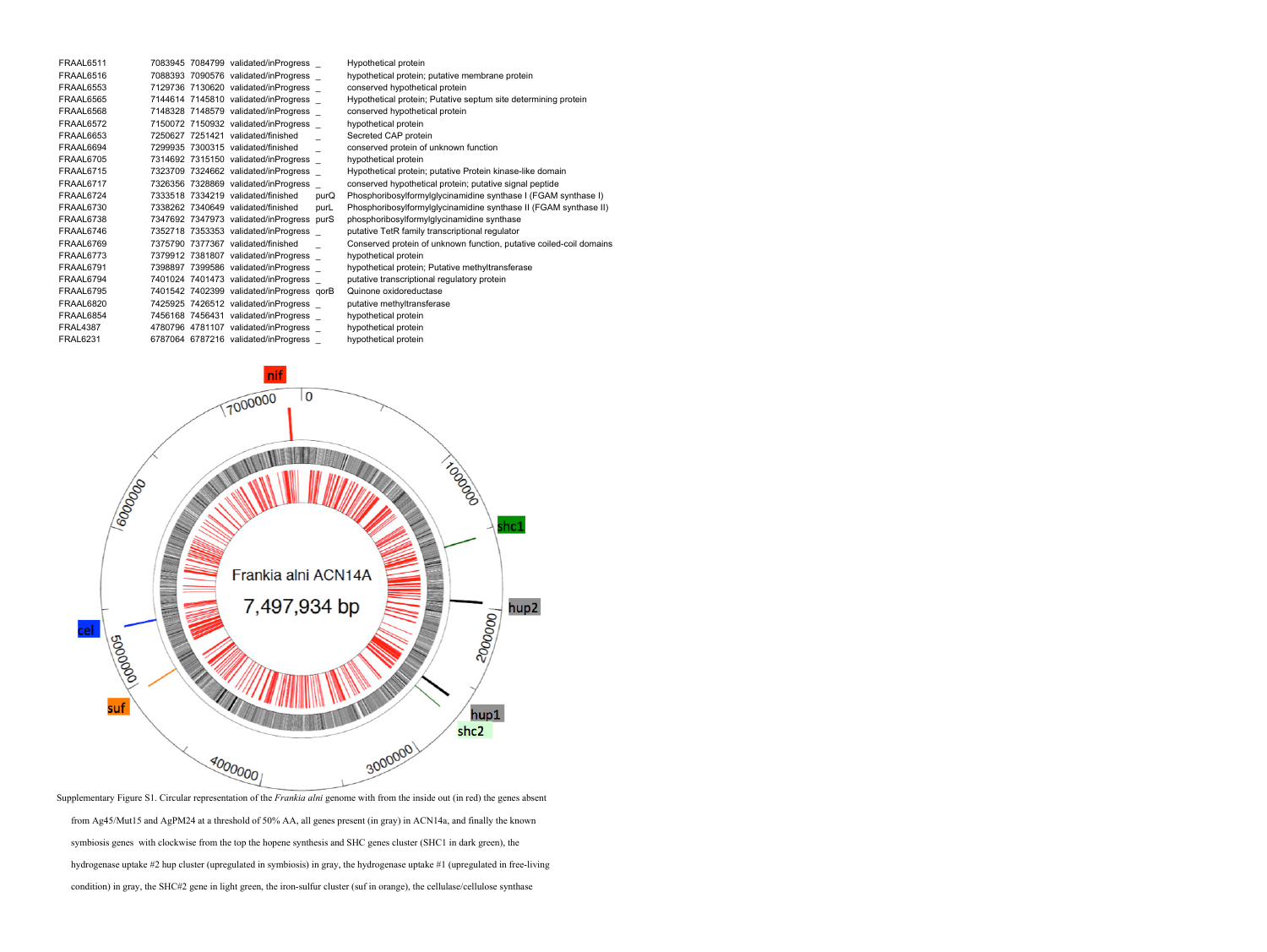| FRAAL6511        |  | 7083945 7084799 validated/inProgress      |      | Hypothetical protein                                                |
|------------------|--|-------------------------------------------|------|---------------------------------------------------------------------|
| FRAAL6516        |  | 7088393 7090576 validated/inProgress      |      | hypothetical protein; putative membrane protein                     |
| <b>FRAAL6553</b> |  | 7129736 7130620 validated/inProgress      |      | conserved hypothetical protein                                      |
| FRAAL6565        |  | 7144614 7145810 validated/inProgress      |      | Hypothetical protein; Putative septum site determining protein      |
| FRAAL6568        |  | 7148328 7148579 validated/inProgress      |      | conserved hypothetical protein                                      |
| FRAAL6572        |  | 7150072 7150932 validated/inProgress      |      | hypothetical protein                                                |
| FRAAL6653        |  | 7250627 7251421 validated/finished        |      | Secreted CAP protein                                                |
| FRAAL6694        |  | 7299935 7300315 validated/finished        |      | conserved protein of unknown function                               |
| FRAAL6705        |  | 7314692 7315150 validated/inProgress      |      | hypothetical protein                                                |
| FRAAL6715        |  | 7323709 7324662 validated/inProgress      |      | Hypothetical protein; putative Protein kinase-like domain           |
| FRAAL6717        |  | 7326356 7328869 validated/inProgress      |      | conserved hypothetical protein; putative signal peptide             |
| FRAAL6724        |  | 7333518 7334219 validated/finished        | purQ | Phosphoribosylformylglycinamidine synthase I (FGAM synthase I)      |
| FRAAL6730        |  | 7338262 7340649 validated/finished        | purL | Phosphoribosylformylglycinamidine synthase II (FGAM synthase II)    |
| FRAAL6738        |  | 7347692 7347973 validated/inProgress purS |      | phosphoribosylformylglycinamidine synthase                          |
| FRAAL6746        |  | 7352718 7353353 validated/inProgress      |      | putative TetR family transcriptional regulator                      |
| FRAAL6769        |  | 7375790 7377367 validated/finished        |      | Conserved protein of unknown function, putative coiled-coil domains |
| FRAAL6773        |  | 7379912 7381807 validated/inProgress      |      | hypothetical protein                                                |
| FRAAL6791        |  | 7398897 7399586 validated/inProgress      |      | hypothetical protein; Putative methyltransferase                    |
| FRAAL6794        |  | 7401024 7401473 validated/inProgress      |      | putative transcriptional regulatory protein                         |
| FRAAL6795        |  | 7401542 7402399 validated/inProgress qorB |      | Quinone oxidoreductase                                              |
| FRAAL6820        |  | 7425925 7426512 validated/inProgress      |      | putative methyltransferase                                          |
| FRAAL6854        |  | 7456168 7456431 validated/inProgress      |      | hypothetical protein                                                |
| <b>FRAL4387</b>  |  | 4780796 4781107 validated/inProgress      |      | hypothetical protein                                                |
| <b>FRAL6231</b>  |  | 6787064 6787216 validated/inProgress      |      | hypothetical protein                                                |
|                  |  |                                           |      |                                                                     |



Supplementary Figure S1. Circular representation of the *Frankia alni* genome with from the inside out (in red) the genes absent from Ag45/Mut15 and AgPM24 at a threshold of 50% AA, all genes present (in gray) in ACN14a, and finally the known symbiosis genes with clockwise from the top the hopene synthesis and SHC genes cluster (SHC1 in dark green), the hydrogenase uptake #2 hup cluster (upregulated in symbiosis) in gray, the hydrogenase uptake #1 (upregulated in free-living condition) in gray, the SHC#2 gene in light green, the iron-sulfur cluster (suf in orange), the cellulase/cellulose synthase